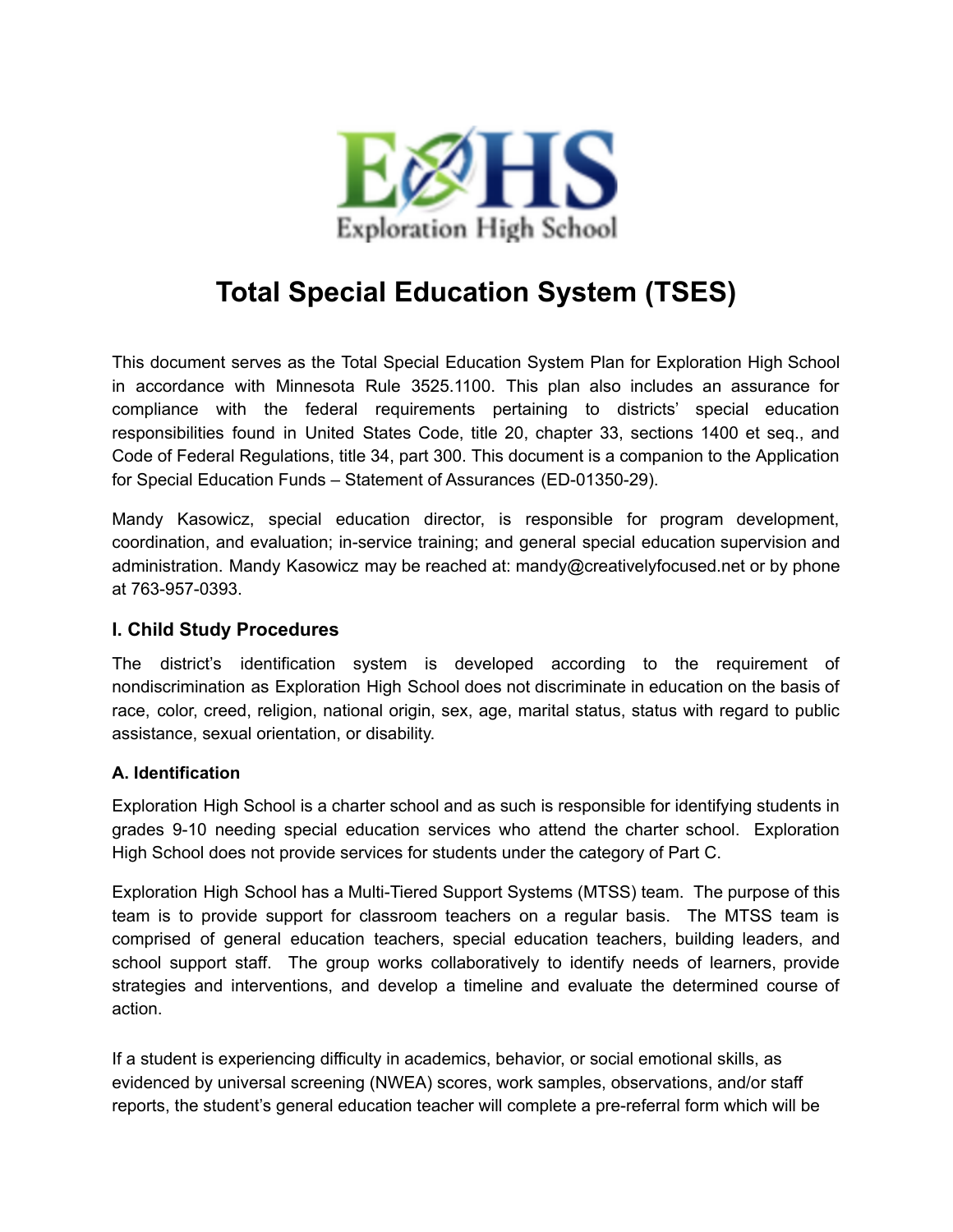

# **Total Special Education System (TSES)**

This document serves as the Total Special Education System Plan for Exploration High School in accordance with Minnesota Rule 3525.1100. This plan also includes an assurance for compliance with the federal requirements pertaining to districts' special education responsibilities found in United States Code, title 20, chapter 33, sections 1400 et seq., and Code of Federal Regulations, title 34, part 300. This document is a companion to the Application for Special Education Funds – Statement of Assurances (ED-01350-29).

Mandy Kasowicz, special education director, is responsible for program development, coordination, and evaluation; in-service training; and general special education supervision and administration. Mandy Kasowicz may be reached at: mandy@creativelyfocused.net or by phone at 763-957-0393.

#### **I. Child Study Procedures**

The district's identification system is developed according to the requirement of nondiscrimination as Exploration High School does not discriminate in education on the basis of race, color, creed, religion, national origin, sex, age, marital status, status with regard to public assistance, sexual orientation, or disability.

#### **A. Identification**

Exploration High School is a charter school and as such is responsible for identifying students in grades 9-10 needing special education services who attend the charter school. Exploration High School does not provide services for students under the category of Part C.

Exploration High School has a Multi-Tiered Support Systems (MTSS) team. The purpose of this team is to provide support for classroom teachers on a regular basis. The MTSS team is comprised of general education teachers, special education teachers, building leaders, and school support staff. The group works collaboratively to identify needs of learners, provide strategies and interventions, and develop a timeline and evaluate the determined course of action.

If a student is experiencing difficulty in academics, behavior, or social emotional skills, as evidenced by universal screening (NWEA) scores, work samples, observations, and/or staff reports, the student's general education teacher will complete a pre-referral form which will be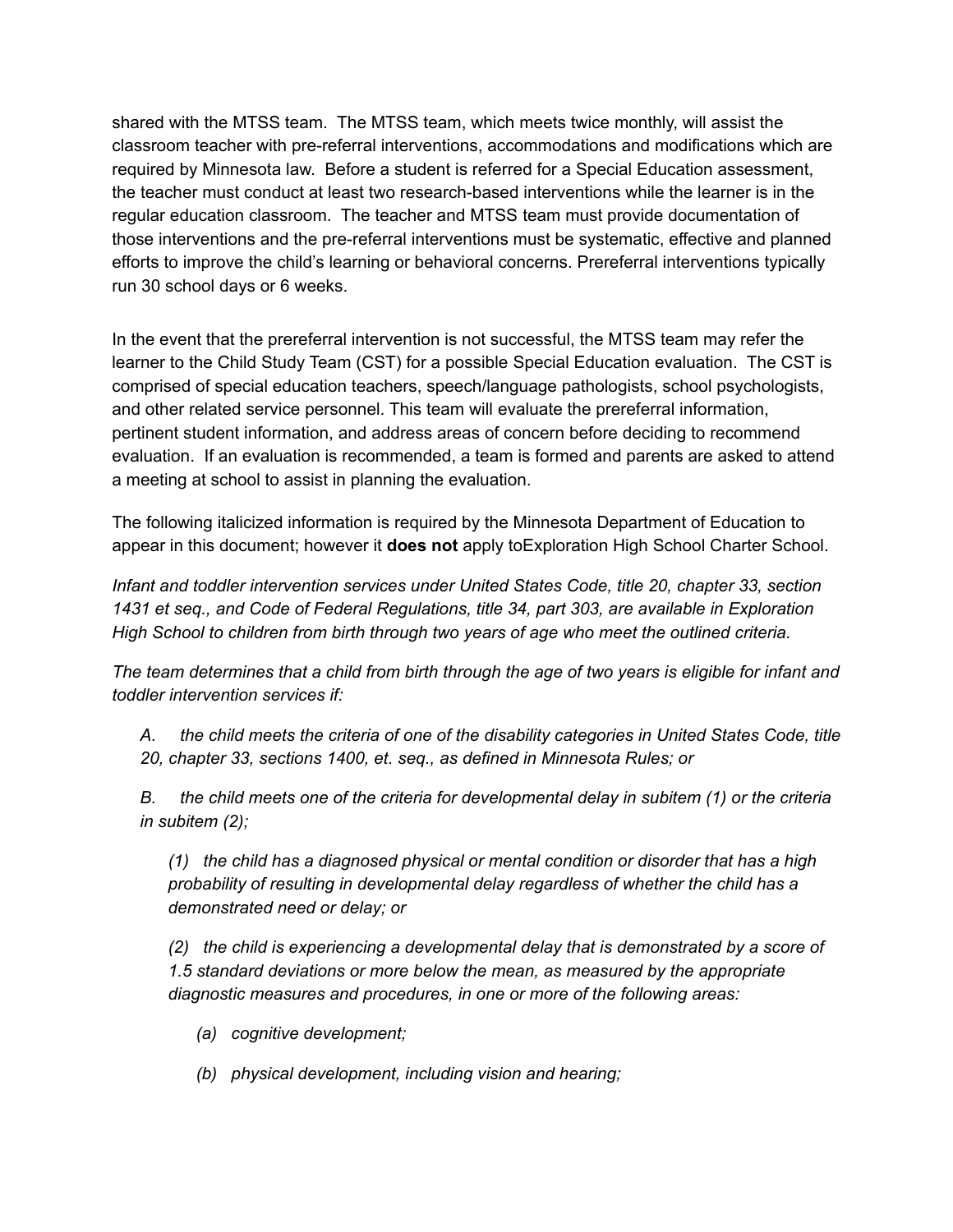shared with the MTSS team. The MTSS team, which meets twice monthly, will assist the classroom teacher with pre-referral interventions, accommodations and modifications which are required by Minnesota law. Before a student is referred for a Special Education assessment, the teacher must conduct at least two research-based interventions while the learner is in the regular education classroom. The teacher and MTSS team must provide documentation of those interventions and the pre-referral interventions must be systematic, effective and planned efforts to improve the child's learning or behavioral concerns. Prereferral interventions typically run 30 school days or 6 weeks.

In the event that the prereferral intervention is not successful, the MTSS team may refer the learner to the Child Study Team (CST) for a possible Special Education evaluation. The CST is comprised of special education teachers, speech/language pathologists, school psychologists, and other related service personnel. This team will evaluate the prereferral information, pertinent student information, and address areas of concern before deciding to recommend evaluation. If an evaluation is recommended, a team is formed and parents are asked to attend a meeting at school to assist in planning the evaluation.

The following italicized information is required by the Minnesota Department of Education to appear in this document; however it **does not** apply toExploration High School Charter School.

*Infant and toddler intervention services under United States Code, title 20, chapter 33, section 1431 et seq., and Code of Federal Regulations, title 34, part 303, are available in Exploration High School to children from birth through two years of age who meet the outlined criteria.*

The team determines that a child from birth through the age of two years is eligible for infant and *toddler intervention services if:*

*A. the child meets the criteria of one of the disability categories in United States Code, title 20, chapter 33, sections 1400, et. seq., as defined in Minnesota Rules; or*

*B. the child meets one of the criteria for developmental delay in subitem (1) or the criteria in subitem (2);*

*(1) the child has a diagnosed physical or mental condition or disorder that has a high probability of resulting in developmental delay regardless of whether the child has a demonstrated need or delay; or*

*(2) the child is experiencing a developmental delay that is demonstrated by a score of 1.5 standard deviations or more below the mean, as measured by the appropriate diagnostic measures and procedures, in one or more of the following areas:*

- *(a) cognitive development;*
- *(b) physical development, including vision and hearing;*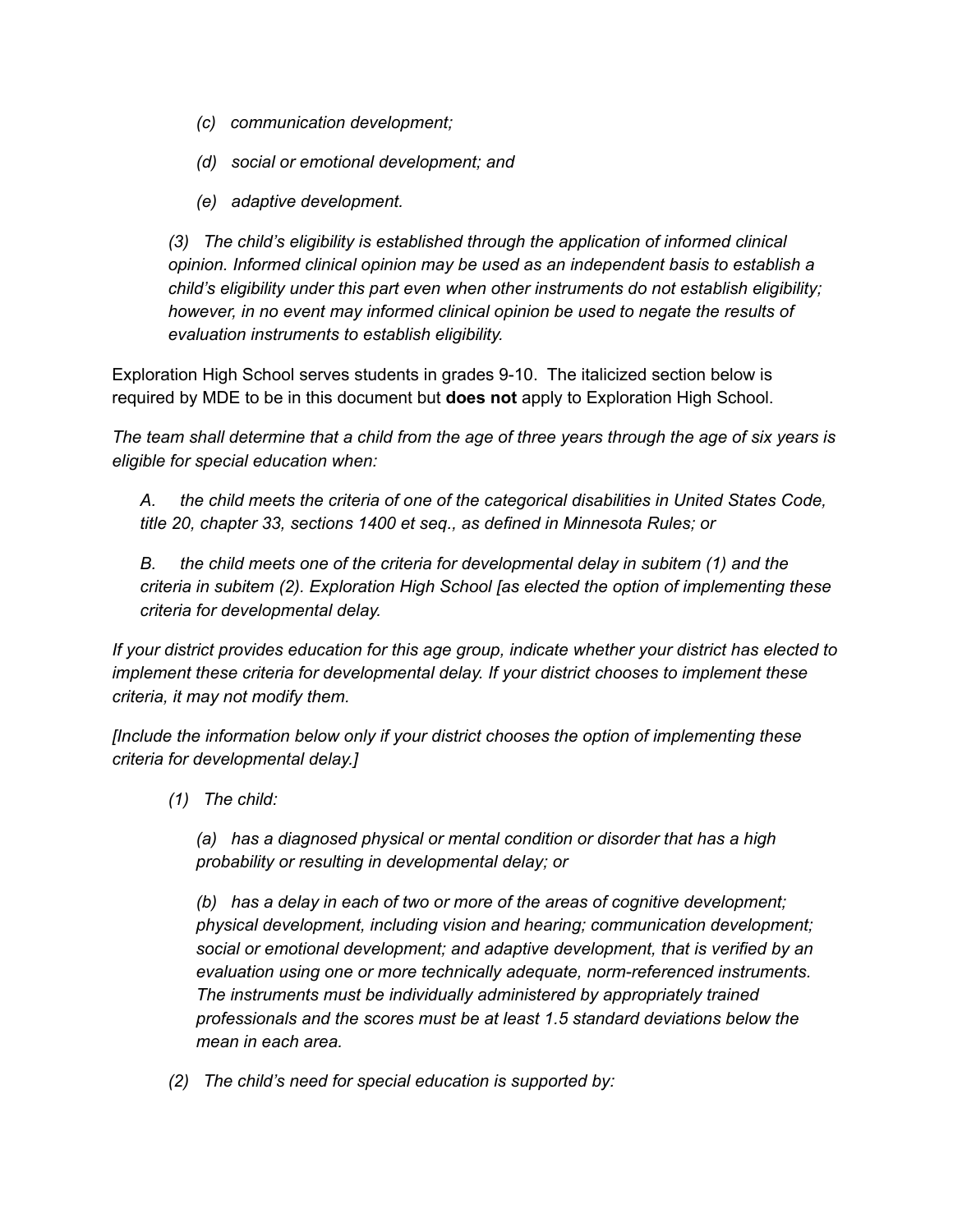- *(c) communication development;*
- *(d) social or emotional development; and*
- *(e) adaptive development.*

*(3) The child's eligibility is established through the application of informed clinical opinion. Informed clinical opinion may be used as an independent basis to establish a child's eligibility under this part even when other instruments do not establish eligibility; however, in no event may informed clinical opinion be used to negate the results of evaluation instruments to establish eligibility.*

Exploration High School serves students in grades 9-10. The italicized section below is required by MDE to be in this document but **does not** apply to Exploration High School.

The team shall determine that a child from the age of three years through the age of six years is *eligible for special education when:*

*A. the child meets the criteria of one of the categorical disabilities in United States Code, title 20, chapter 33, sections 1400 et seq., as defined in Minnesota Rules; or*

*B. the child meets one of the criteria for developmental delay in subitem (1) and the criteria in subitem (2). Exploration High School [as elected the option of implementing these criteria for developmental delay.*

*If your district provides education for this age group, indicate whether your district has elected to implement these criteria for developmental delay. If your district chooses to implement these criteria, it may not modify them.*

*[Include the information below only if your district chooses the option of implementing these criteria for developmental delay.]*

*(1) The child:*

*(a) has a diagnosed physical or mental condition or disorder that has a high probability or resulting in developmental delay; or*

*(b) has a delay in each of two or more of the areas of cognitive development; physical development, including vision and hearing; communication development; social or emotional development; and adaptive development, that is verified by an evaluation using one or more technically adequate, norm-referenced instruments. The instruments must be individually administered by appropriately trained professionals and the scores must be at least 1.5 standard deviations below the mean in each area.*

*(2) The child's need for special education is supported by:*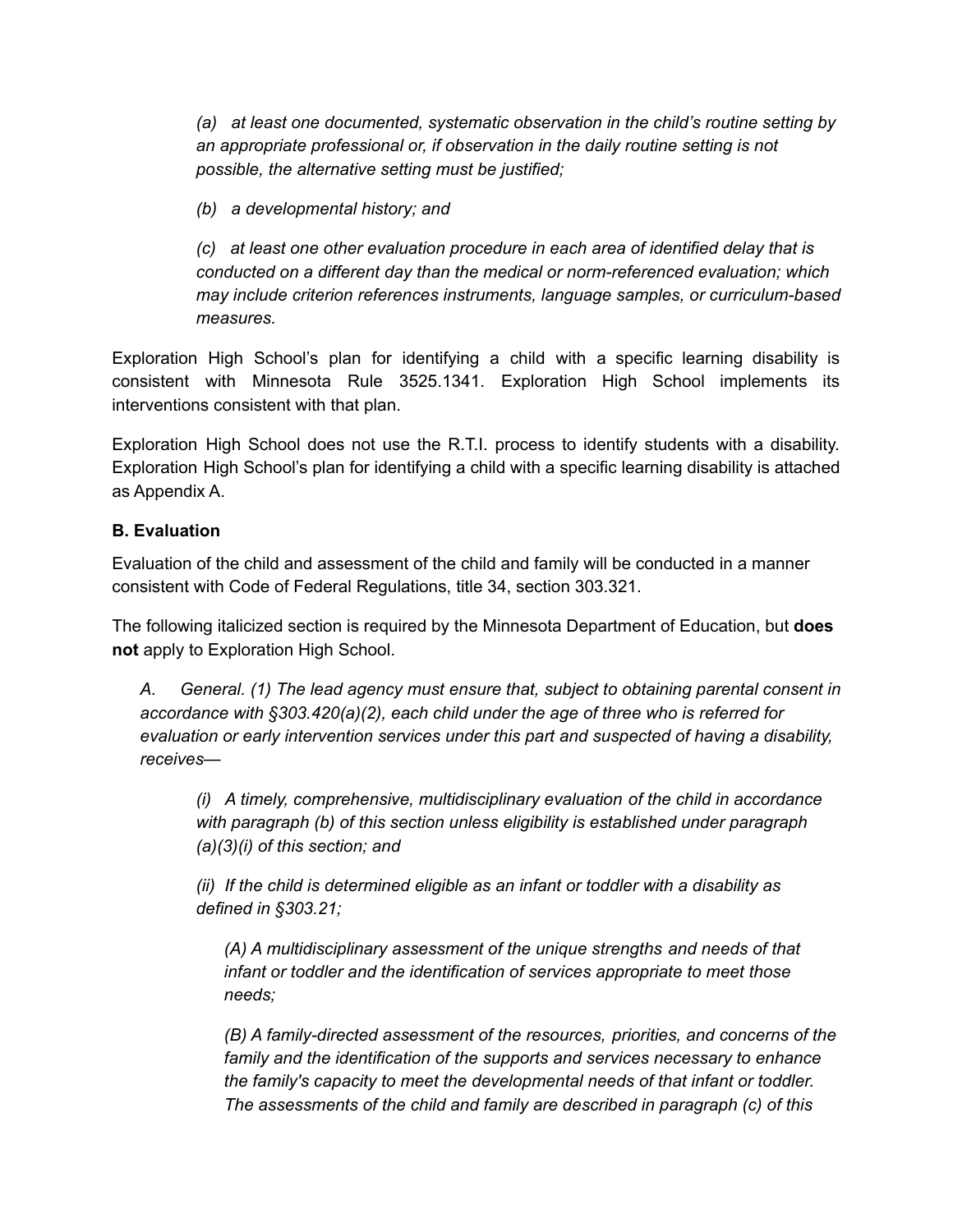*(a) at least one documented, systematic observation in the child's routine setting by an appropriate professional or, if observation in the daily routine setting is not possible, the alternative setting must be justified;*

*(b) a developmental history; and*

*(c) at least one other evaluation procedure in each area of identified delay that is conducted on a different day than the medical or norm-referenced evaluation; which may include criterion references instruments, language samples, or curriculum-based measures.*

Exploration High School's plan for identifying a child with a specific learning disability is consistent with Minnesota Rule 3525.1341. Exploration High School implements its interventions consistent with that plan.

Exploration High School does not use the R.T.I. process to identify students with a disability. Exploration High School's plan for identifying a child with a specific learning disability is attached as Appendix A.

#### **B. Evaluation**

Evaluation of the child and assessment of the child and family will be conducted in a manner consistent with Code of Federal Regulations, title 34, section 303.321.

The following italicized section is required by the Minnesota Department of Education, but **does not** apply to Exploration High School.

*A. General. (1) The lead agency must ensure that, subject to obtaining parental consent in accordance with §303.420(a)(2), each child under the age of three who is referred for evaluation or early intervention services under this part and suspected of having a disability, receives—*

*(i) A timely, comprehensive, multidisciplinary evaluation of the child in accordance with paragraph (b) of this section unless eligibility is established under paragraph (a)(3)(i) of this section; and*

*(ii) If the child is determined eligible as an infant or toddler with a disability as defined in §303.21;*

*(A) A multidisciplinary assessment of the unique strengths and needs of that infant or toddler and the identification of services appropriate to meet those needs;*

*(B) A family-directed assessment of the resources, priorities, and concerns of the family and the identification of the supports and services necessary to enhance the family's capacity to meet the developmental needs of that infant or toddler. The assessments of the child and family are described in paragraph (c) of this*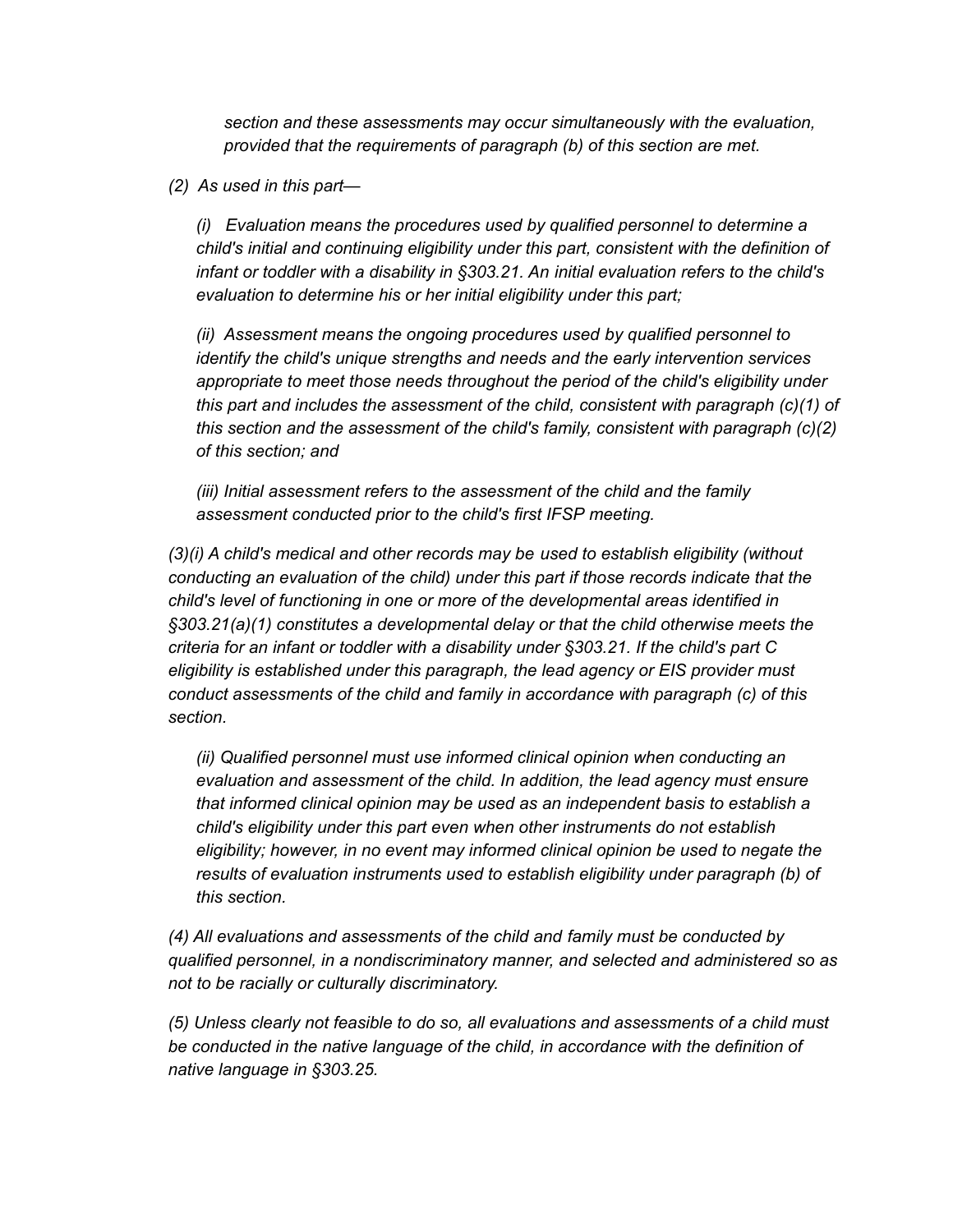*section and these assessments may occur simultaneously with the evaluation, provided that the requirements of paragraph (b) of this section are met.*

*(2) As used in this part—*

*(i) Evaluation means the procedures used by qualified personnel to determine a child's initial and continuing eligibility under this part, consistent with the definition of infant or toddler with a disability in §303.21. An initial evaluation refers to the child's evaluation to determine his or her initial eligibility under this part;*

*(ii) Assessment means the ongoing procedures used by qualified personnel to identify the child's unique strengths and needs and the early intervention services appropriate to meet those needs throughout the period of the child's eligibility under this part and includes the assessment of the child, consistent with paragraph (c)(1) of this section and the assessment of the child's family, consistent with paragraph (c)(2) of this section; and*

*(iii) Initial assessment refers to the assessment of the child and the family assessment conducted prior to the child's first IFSP meeting.*

*(3)(i) A child's medical and other records may be used to establish eligibility (without conducting an evaluation of the child) under this part if those records indicate that the child's level of functioning in one or more of the developmental areas identified in §303.21(a)(1) constitutes a developmental delay or that the child otherwise meets the criteria for an infant or toddler with a disability under §303.21. If the child's part C eligibility is established under this paragraph, the lead agency or EIS provider must conduct assessments of the child and family in accordance with paragraph (c) of this section.*

*(ii) Qualified personnel must use informed clinical opinion when conducting an evaluation and assessment of the child. In addition, the lead agency must ensure that informed clinical opinion may be used as an independent basis to establish a child's eligibility under this part even when other instruments do not establish eligibility; however, in no event may informed clinical opinion be used to negate the results of evaluation instruments used to establish eligibility under paragraph (b) of this section.*

*(4) All evaluations and assessments of the child and family must be conducted by qualified personnel, in a nondiscriminatory manner, and selected and administered so as not to be racially or culturally discriminatory.*

*(5) Unless clearly not feasible to do so, all evaluations and assessments of a child must be conducted in the native language of the child, in accordance with the definition of native language in §303.25.*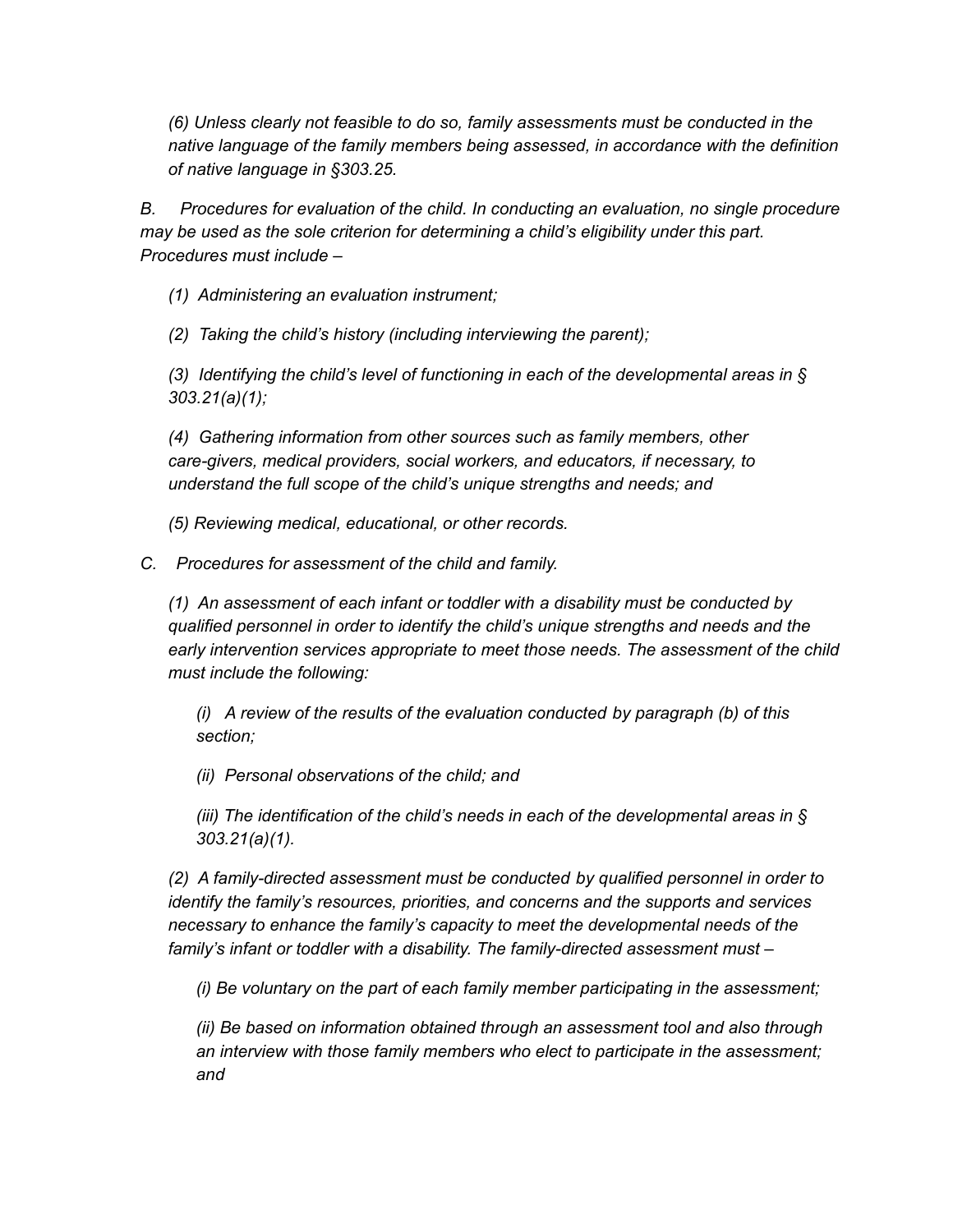*(6) Unless clearly not feasible to do so, family assessments must be conducted in the native language of the family members being assessed, in accordance with the definition of native language in §303.25.*

*B. Procedures for evaluation of the child. In conducting an evaluation, no single procedure may be used as the sole criterion for determining a child's eligibility under this part. Procedures must include –*

*(1) Administering an evaluation instrument;*

*(2) Taking the child's history (including interviewing the parent);*

*(3) Identifying the child's level of functioning in each of the developmental areas in § 303.21(a)(1);*

*(4) Gathering information from other sources such as family members, other care-givers, medical providers, social workers, and educators, if necessary, to understand the full scope of the child's unique strengths and needs; and*

*(5) Reviewing medical, educational, or other records.*

*C. Procedures for assessment of the child and family.*

*(1) An assessment of each infant or toddler with a disability must be conducted by qualified personnel in order to identify the child's unique strengths and needs and the early intervention services appropriate to meet those needs. The assessment of the child must include the following:*

*(i) A review of the results of the evaluation conducted by paragraph (b) of this section;*

*(ii) Personal observations of the child; and*

*(iii) The identification of the child's needs in each of the developmental areas in § 303.21(a)(1).*

*(2) A family-directed assessment must be conducted by qualified personnel in order to identify the family's resources, priorities, and concerns and the supports and services necessary to enhance the family's capacity to meet the developmental needs of the family's infant or toddler with a disability. The family-directed assessment must –*

*(i) Be voluntary on the part of each family member participating in the assessment;*

*(ii) Be based on information obtained through an assessment tool and also through an interview with those family members who elect to participate in the assessment; and*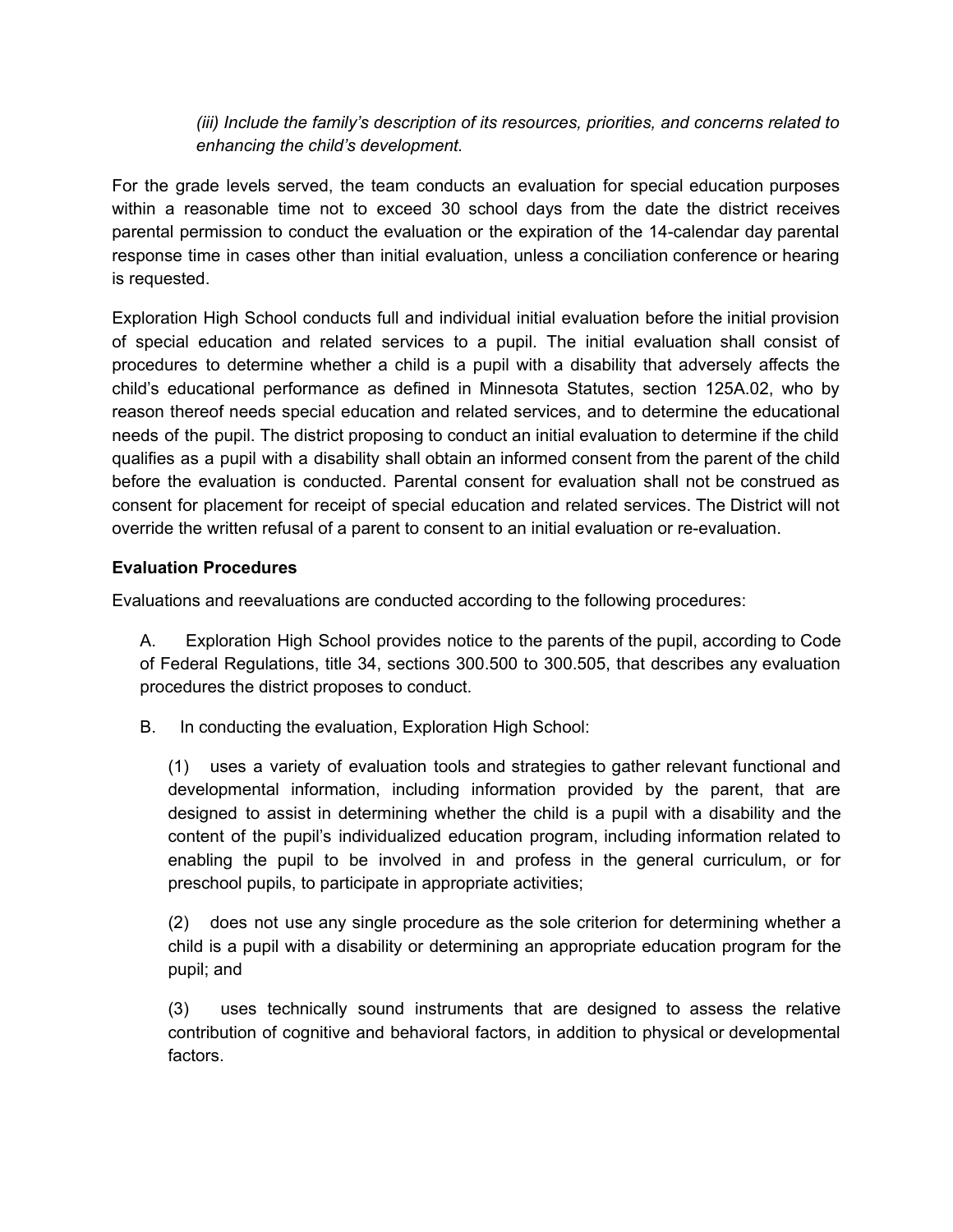#### *(iii) Include the family's description of its resources, priorities, and concerns related to enhancing the child's development.*

For the grade levels served, the team conducts an evaluation for special education purposes within a reasonable time not to exceed 30 school days from the date the district receives parental permission to conduct the evaluation or the expiration of the 14-calendar day parental response time in cases other than initial evaluation, unless a conciliation conference or hearing is requested.

Exploration High School conducts full and individual initial evaluation before the initial provision of special education and related services to a pupil. The initial evaluation shall consist of procedures to determine whether a child is a pupil with a disability that adversely affects the child's educational performance as defined in Minnesota Statutes, section 125A.02, who by reason thereof needs special education and related services, and to determine the educational needs of the pupil. The district proposing to conduct an initial evaluation to determine if the child qualifies as a pupil with a disability shall obtain an informed consent from the parent of the child before the evaluation is conducted. Parental consent for evaluation shall not be construed as consent for placement for receipt of special education and related services. The District will not override the written refusal of a parent to consent to an initial evaluation or re-evaluation.

#### **Evaluation Procedures**

Evaluations and reevaluations are conducted according to the following procedures:

A. Exploration High School provides notice to the parents of the pupil, according to Code of Federal Regulations, title 34, sections 300.500 to 300.505, that describes any evaluation procedures the district proposes to conduct.

B. In conducting the evaluation, Exploration High School:

(1) uses a variety of evaluation tools and strategies to gather relevant functional and developmental information, including information provided by the parent, that are designed to assist in determining whether the child is a pupil with a disability and the content of the pupil's individualized education program, including information related to enabling the pupil to be involved in and profess in the general curriculum, or for preschool pupils, to participate in appropriate activities;

(2) does not use any single procedure as the sole criterion for determining whether a child is a pupil with a disability or determining an appropriate education program for the pupil; and

(3) uses technically sound instruments that are designed to assess the relative contribution of cognitive and behavioral factors, in addition to physical or developmental factors.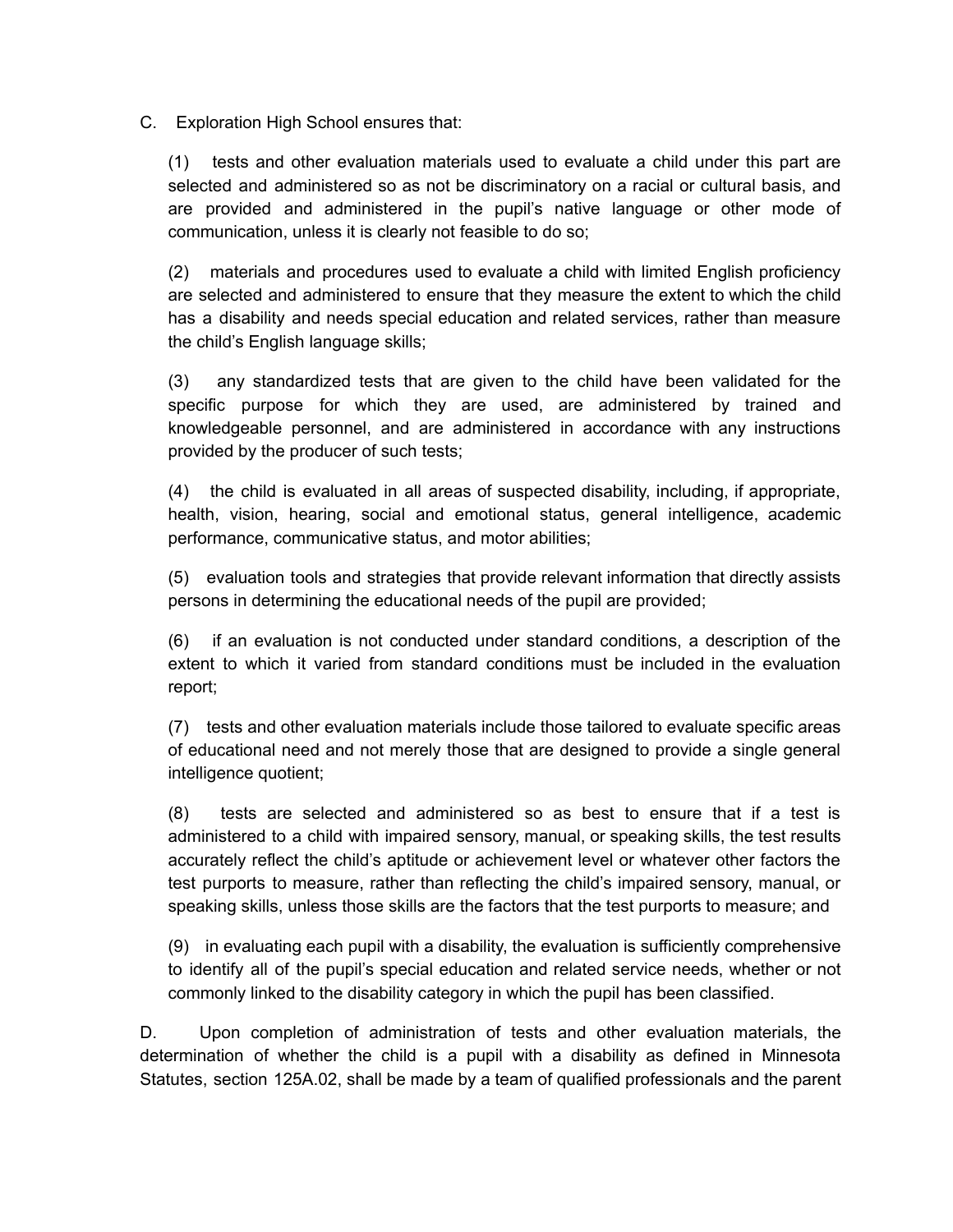C. Exploration High School ensures that:

(1) tests and other evaluation materials used to evaluate a child under this part are selected and administered so as not be discriminatory on a racial or cultural basis, and are provided and administered in the pupil's native language or other mode of communication, unless it is clearly not feasible to do so;

(2) materials and procedures used to evaluate a child with limited English proficiency are selected and administered to ensure that they measure the extent to which the child has a disability and needs special education and related services, rather than measure the child's English language skills;

(3) any standardized tests that are given to the child have been validated for the specific purpose for which they are used, are administered by trained and knowledgeable personnel, and are administered in accordance with any instructions provided by the producer of such tests;

(4) the child is evaluated in all areas of suspected disability, including, if appropriate, health, vision, hearing, social and emotional status, general intelligence, academic performance, communicative status, and motor abilities;

(5) evaluation tools and strategies that provide relevant information that directly assists persons in determining the educational needs of the pupil are provided;

(6) if an evaluation is not conducted under standard conditions, a description of the extent to which it varied from standard conditions must be included in the evaluation report;

(7) tests and other evaluation materials include those tailored to evaluate specific areas of educational need and not merely those that are designed to provide a single general intelligence quotient;

(8) tests are selected and administered so as best to ensure that if a test is administered to a child with impaired sensory, manual, or speaking skills, the test results accurately reflect the child's aptitude or achievement level or whatever other factors the test purports to measure, rather than reflecting the child's impaired sensory, manual, or speaking skills, unless those skills are the factors that the test purports to measure; and

(9) in evaluating each pupil with a disability, the evaluation is sufficiently comprehensive to identify all of the pupil's special education and related service needs, whether or not commonly linked to the disability category in which the pupil has been classified.

D. Upon completion of administration of tests and other evaluation materials, the determination of whether the child is a pupil with a disability as defined in Minnesota Statutes, section 125A.02, shall be made by a team of qualified professionals and the parent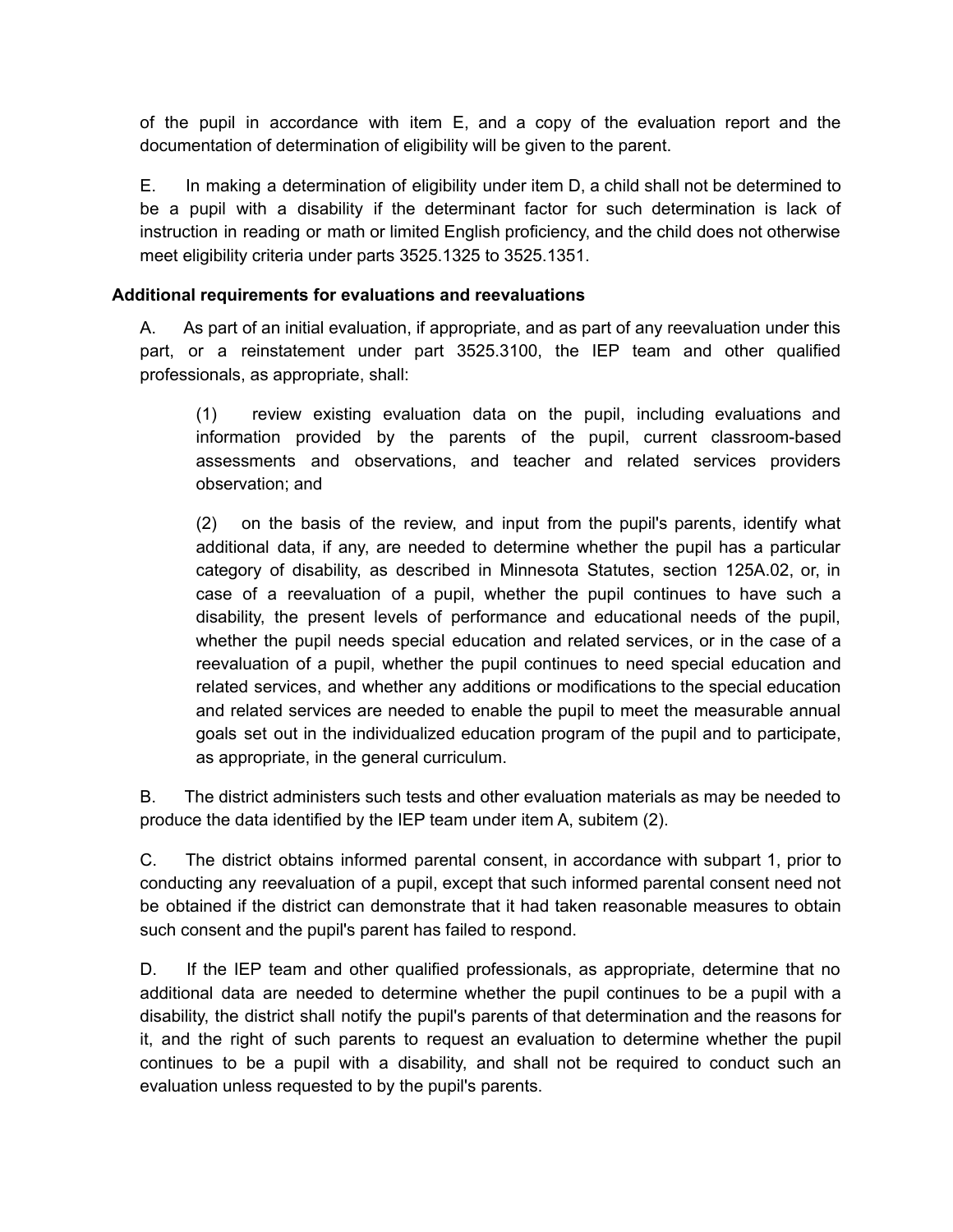of the pupil in accordance with item E, and a copy of the evaluation report and the documentation of determination of eligibility will be given to the parent.

E. In making a determination of eligibility under item D, a child shall not be determined to be a pupil with a disability if the determinant factor for such determination is lack of instruction in reading or math or limited English proficiency, and the child does not otherwise meet eligibility criteria under parts 3525.1325 to 3525.1351.

#### **Additional requirements for evaluations and reevaluations**

A. As part of an initial evaluation, if appropriate, and as part of any reevaluation under this part, or a reinstatement under part 3525.3100, the IEP team and other qualified professionals, as appropriate, shall:

(1) review existing evaluation data on the pupil, including evaluations and information provided by the parents of the pupil, current classroom-based assessments and observations, and teacher and related services providers observation; and

(2) on the basis of the review, and input from the pupil's parents, identify what additional data, if any, are needed to determine whether the pupil has a particular category of disability, as described in Minnesota Statutes, section 125A.02, or, in case of a reevaluation of a pupil, whether the pupil continues to have such a disability, the present levels of performance and educational needs of the pupil, whether the pupil needs special education and related services, or in the case of a reevaluation of a pupil, whether the pupil continues to need special education and related services, and whether any additions or modifications to the special education and related services are needed to enable the pupil to meet the measurable annual goals set out in the individualized education program of the pupil and to participate, as appropriate, in the general curriculum.

B. The district administers such tests and other evaluation materials as may be needed to produce the data identified by the IEP team under item A, subitem (2).

C. The district obtains informed parental consent, in accordance with subpart 1, prior to conducting any reevaluation of a pupil, except that such informed parental consent need not be obtained if the district can demonstrate that it had taken reasonable measures to obtain such consent and the pupil's parent has failed to respond.

D. If the IEP team and other qualified professionals, as appropriate, determine that no additional data are needed to determine whether the pupil continues to be a pupil with a disability, the district shall notify the pupil's parents of that determination and the reasons for it, and the right of such parents to request an evaluation to determine whether the pupil continues to be a pupil with a disability, and shall not be required to conduct such an evaluation unless requested to by the pupil's parents.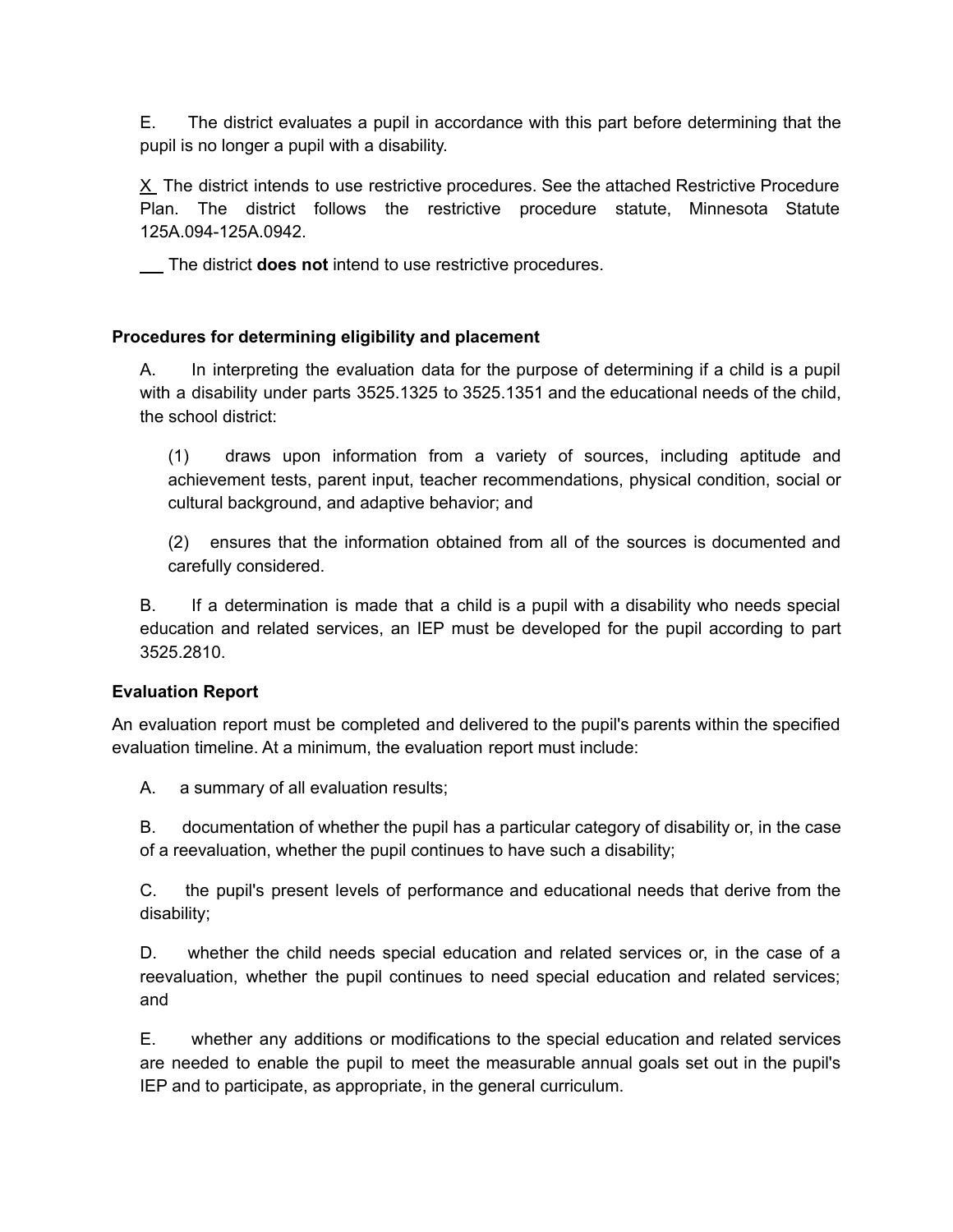E. The district evaluates a pupil in accordance with this part before determining that the pupil is no longer a pupil with a disability.

X The district intends to use restrictive procedures. See the attached Restrictive Procedure Plan. The district follows the restrictive procedure statute, Minnesota Statute 125A.094-125A.0942.

The district **does not** intend to use restrictive procedures.

#### **Procedures for determining eligibility and placement**

A. In interpreting the evaluation data for the purpose of determining if a child is a pupil with a disability under parts 3525.1325 to 3525.1351 and the educational needs of the child, the school district:

(1) draws upon information from a variety of sources, including aptitude and achievement tests, parent input, teacher recommendations, physical condition, social or cultural background, and adaptive behavior; and

(2) ensures that the information obtained from all of the sources is documented and carefully considered.

B. If a determination is made that a child is a pupil with a disability who needs special education and related services, an IEP must be developed for the pupil according to part 3525.2810.

#### **Evaluation Report**

An evaluation report must be completed and delivered to the pupil's parents within the specified evaluation timeline. At a minimum, the evaluation report must include:

A. a summary of all evaluation results;

B. documentation of whether the pupil has a particular category of disability or, in the case of a reevaluation, whether the pupil continues to have such a disability;

C. the pupil's present levels of performance and educational needs that derive from the disability;

D. whether the child needs special education and related services or, in the case of a reevaluation, whether the pupil continues to need special education and related services; and

E. whether any additions or modifications to the special education and related services are needed to enable the pupil to meet the measurable annual goals set out in the pupil's IEP and to participate, as appropriate, in the general curriculum.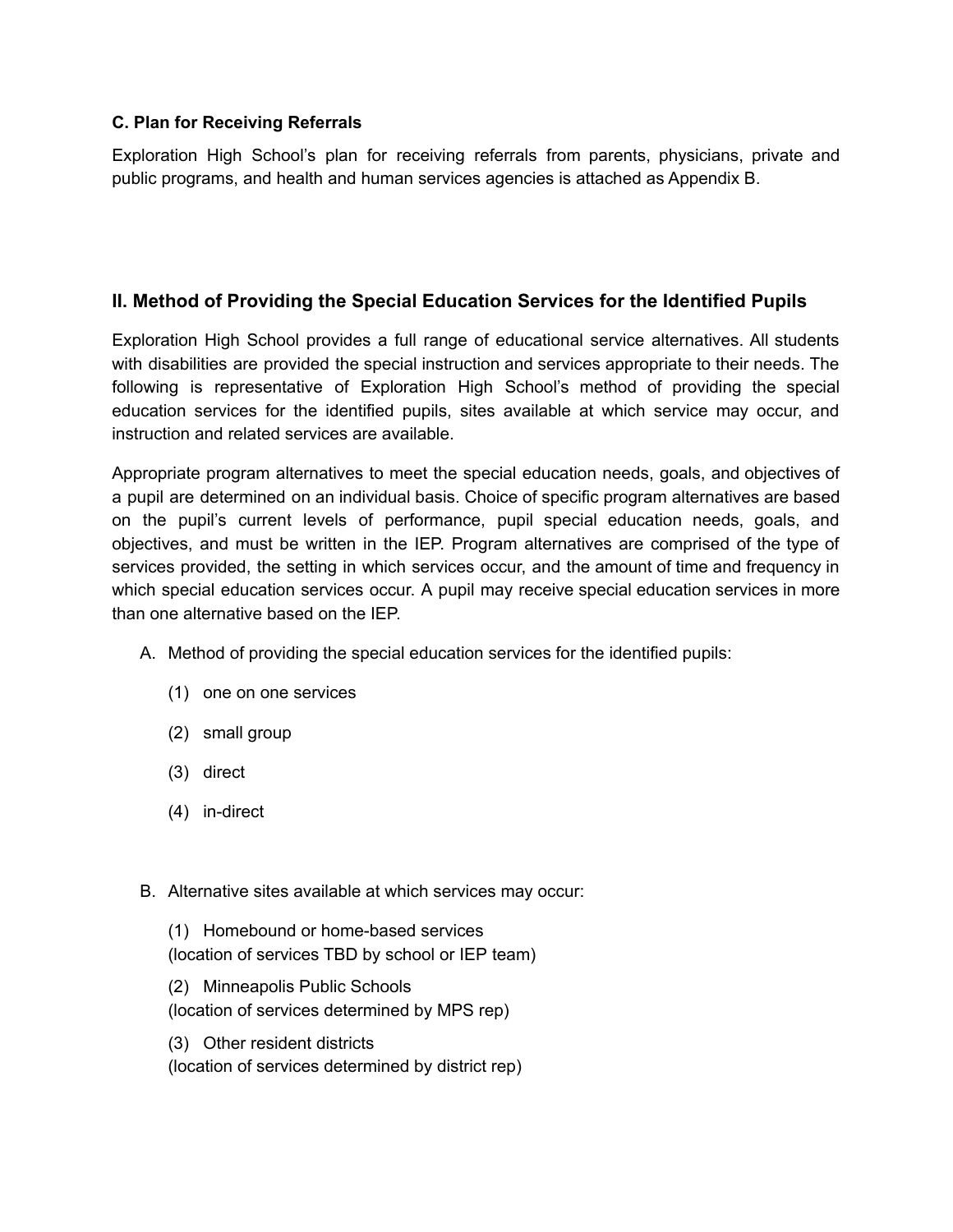#### **C. Plan for Receiving Referrals**

Exploration High School's plan for receiving referrals from parents, physicians, private and public programs, and health and human services agencies is attached as Appendix B.

#### **II. Method of Providing the Special Education Services for the Identified Pupils**

Exploration High School provides a full range of educational service alternatives. All students with disabilities are provided the special instruction and services appropriate to their needs. The following is representative of Exploration High School's method of providing the special education services for the identified pupils, sites available at which service may occur, and instruction and related services are available.

Appropriate program alternatives to meet the special education needs, goals, and objectives of a pupil are determined on an individual basis. Choice of specific program alternatives are based on the pupil's current levels of performance, pupil special education needs, goals, and objectives, and must be written in the IEP. Program alternatives are comprised of the type of services provided, the setting in which services occur, and the amount of time and frequency in which special education services occur. A pupil may receive special education services in more than one alternative based on the IEP.

- A. Method of providing the special education services for the identified pupils:
	- (1) one on one services
	- (2) small group
	- (3) direct
	- (4) in-direct
- B. Alternative sites available at which services may occur:
	- (1) Homebound or home-based services (location of services TBD by school or IEP team)
	- (2) Minneapolis Public Schools (location of services determined by MPS rep)
	- (3) Other resident districts

(location of services determined by district rep)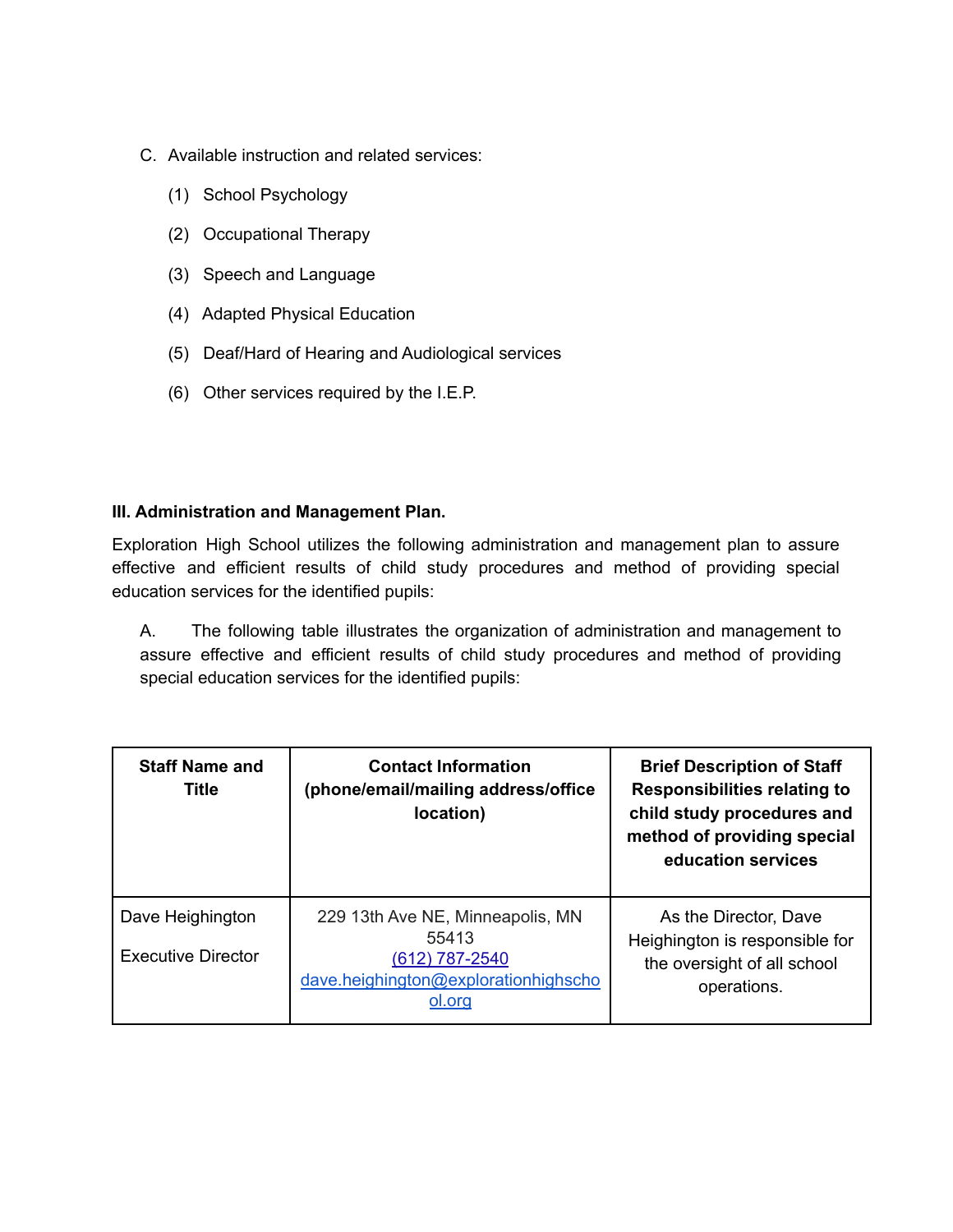- C. Available instruction and related services:
	- (1) School Psychology
	- (2) Occupational Therapy
	- (3) Speech and Language
	- (4) Adapted Physical Education
	- (5) Deaf/Hard of Hearing and Audiological services
	- (6) Other services required by the I.E.P.

#### **III. Administration and Management Plan.**

Exploration High School utilizes the following administration and management plan to assure effective and efficient results of child study procedures and method of providing special education services for the identified pupils:

A. The following table illustrates the organization of administration and management to assure effective and efficient results of child study procedures and method of providing special education services for the identified pupils:

| <b>Staff Name and</b><br><b>Title</b>         | <b>Contact Information</b><br>(phone/email/mailing address/office<br>location)                                  | <b>Brief Description of Staff</b><br><b>Responsibilities relating to</b><br>child study procedures and<br>method of providing special<br>education services |
|-----------------------------------------------|-----------------------------------------------------------------------------------------------------------------|-------------------------------------------------------------------------------------------------------------------------------------------------------------|
| Dave Heighington<br><b>Executive Director</b> | 229 13th Ave NE, Minneapolis, MN<br>55413<br>$(612)$ 787-2540<br>dave.heighington@explorationhighscho<br>ol.org | As the Director, Dave<br>Heighington is responsible for<br>the oversight of all school<br>operations.                                                       |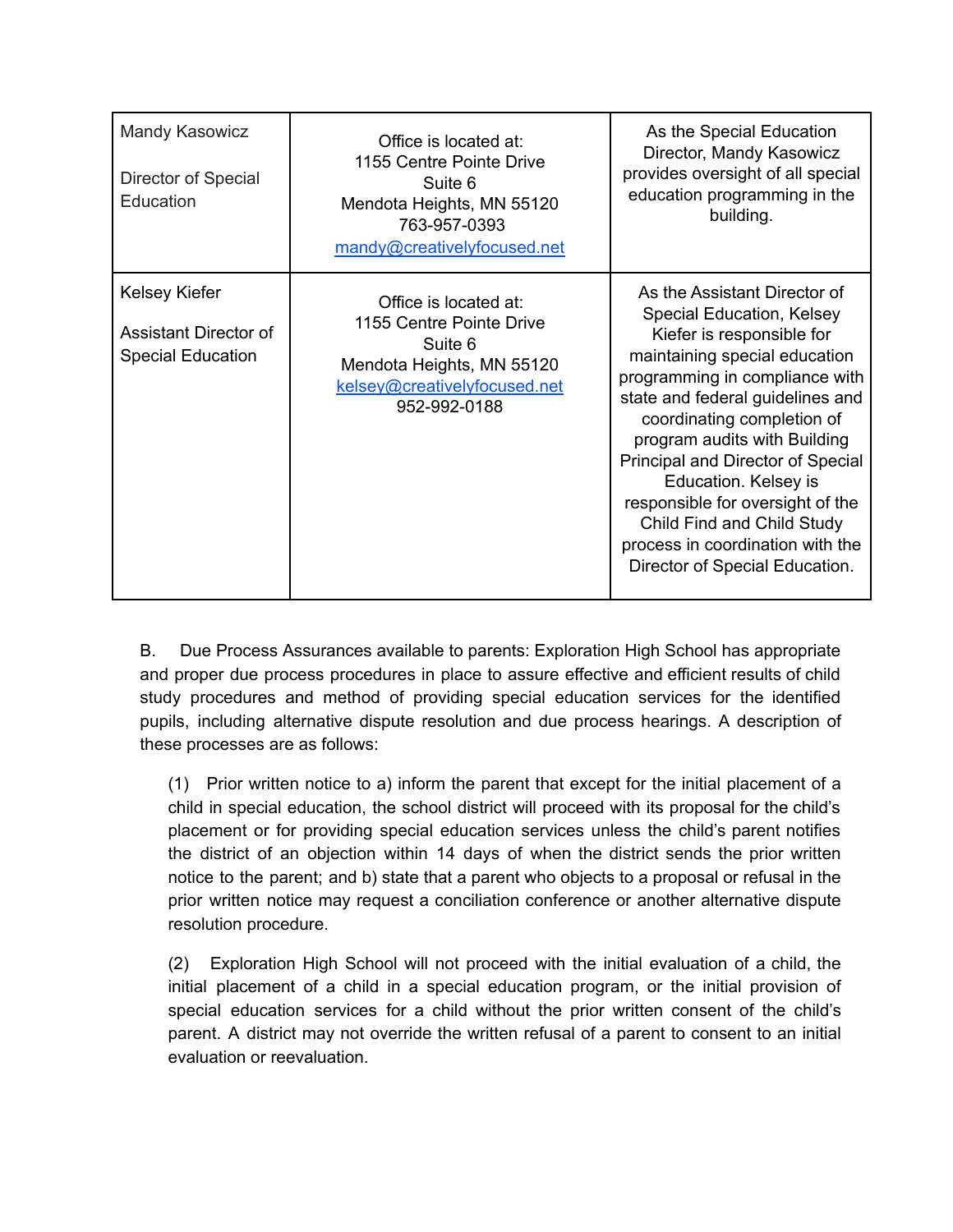| <b>Mandy Kasowicz</b><br>Director of Special<br>Education                 | Office is located at:<br>1155 Centre Pointe Drive<br>Suite 6<br>Mendota Heights, MN 55120<br>763-957-0393<br>mandy@creativelyfocused.net  | As the Special Education<br>Director, Mandy Kasowicz<br>provides oversight of all special<br>education programming in the<br>building.                                                                                                                                                                                                                                                                                                                           |
|---------------------------------------------------------------------------|-------------------------------------------------------------------------------------------------------------------------------------------|------------------------------------------------------------------------------------------------------------------------------------------------------------------------------------------------------------------------------------------------------------------------------------------------------------------------------------------------------------------------------------------------------------------------------------------------------------------|
| Kelsey Kiefer<br><b>Assistant Director of</b><br><b>Special Education</b> | Office is located at:<br>1155 Centre Pointe Drive<br>Suite 6<br>Mendota Heights, MN 55120<br>kelsey@creativelyfocused.net<br>952-992-0188 | As the Assistant Director of<br>Special Education, Kelsey<br>Kiefer is responsible for<br>maintaining special education<br>programming in compliance with<br>state and federal guidelines and<br>coordinating completion of<br>program audits with Building<br>Principal and Director of Special<br>Education. Kelsey is<br>responsible for oversight of the<br>Child Find and Child Study<br>process in coordination with the<br>Director of Special Education. |

B. Due Process Assurances available to parents: Exploration High School has appropriate and proper due process procedures in place to assure effective and efficient results of child study procedures and method of providing special education services for the identified pupils, including alternative dispute resolution and due process hearings. A description of these processes are as follows:

(1) Prior written notice to a) inform the parent that except for the initial placement of a child in special education, the school district will proceed with its proposal for the child's placement or for providing special education services unless the child's parent notifies the district of an objection within 14 days of when the district sends the prior written notice to the parent; and b) state that a parent who objects to a proposal or refusal in the prior written notice may request a conciliation conference or another alternative dispute resolution procedure.

(2) Exploration High School will not proceed with the initial evaluation of a child, the initial placement of a child in a special education program, or the initial provision of special education services for a child without the prior written consent of the child's parent. A district may not override the written refusal of a parent to consent to an initial evaluation or reevaluation.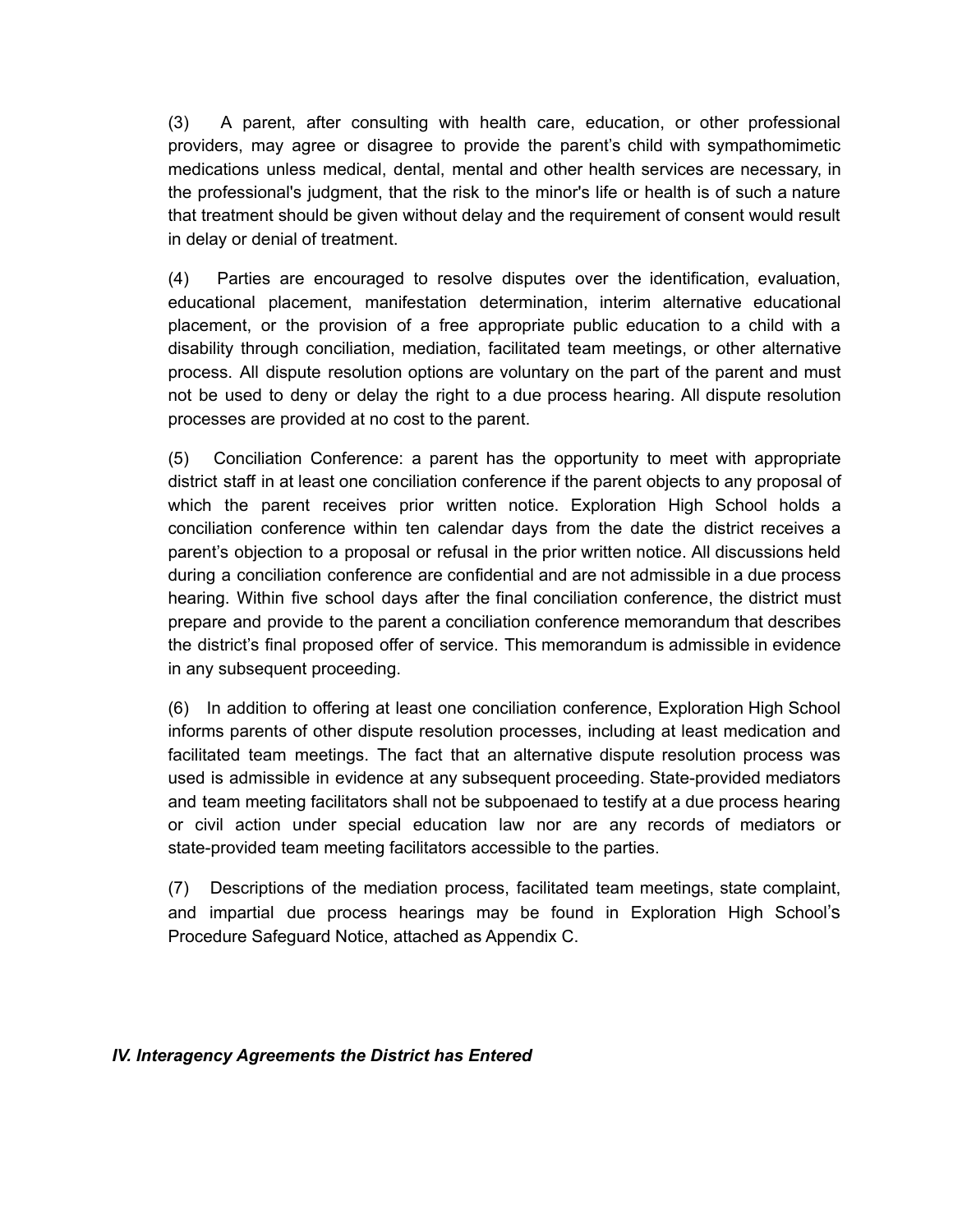(3) A parent, after consulting with health care, education, or other professional providers, may agree or disagree to provide the parent's child with sympathomimetic medications unless medical, dental, mental and other health services are necessary, in the professional's judgment, that the risk to the minor's life or health is of such a nature that treatment should be given without delay and the requirement of consent would result in delay or denial of treatment.

(4) Parties are encouraged to resolve disputes over the identification, evaluation, educational placement, manifestation determination, interim alternative educational placement, or the provision of a free appropriate public education to a child with a disability through conciliation, mediation, facilitated team meetings, or other alternative process. All dispute resolution options are voluntary on the part of the parent and must not be used to deny or delay the right to a due process hearing. All dispute resolution processes are provided at no cost to the parent.

(5) Conciliation Conference: a parent has the opportunity to meet with appropriate district staff in at least one conciliation conference if the parent objects to any proposal of which the parent receives prior written notice. Exploration High School holds a conciliation conference within ten calendar days from the date the district receives a parent's objection to a proposal or refusal in the prior written notice. All discussions held during a conciliation conference are confidential and are not admissible in a due process hearing. Within five school days after the final conciliation conference, the district must prepare and provide to the parent a conciliation conference memorandum that describes the district's final proposed offer of service. This memorandum is admissible in evidence in any subsequent proceeding.

(6) In addition to offering at least one conciliation conference, Exploration High School informs parents of other dispute resolution processes, including at least medication and facilitated team meetings. The fact that an alternative dispute resolution process was used is admissible in evidence at any subsequent proceeding. State-provided mediators and team meeting facilitators shall not be subpoenaed to testify at a due process hearing or civil action under special education law nor are any records of mediators or state-provided team meeting facilitators accessible to the parties.

(7) Descriptions of the mediation process, facilitated team meetings, state complaint, and impartial due process hearings may be found in Exploration High School's Procedure Safeguard Notice, attached as Appendix C.

#### *IV. Interagency Agreements the District has Entered*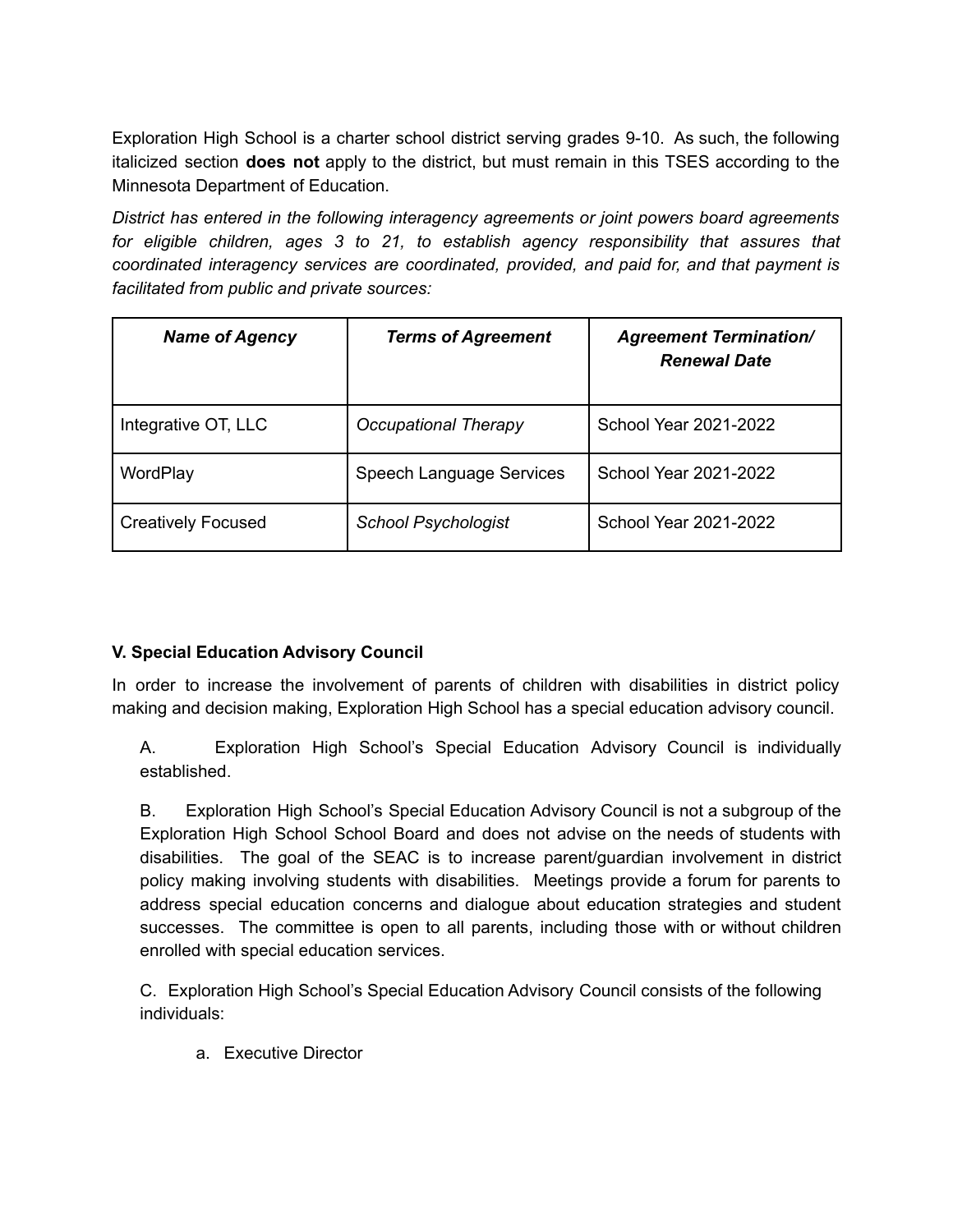Exploration High School is a charter school district serving grades 9-10. As such, the following italicized section **does not** apply to the district, but must remain in this TSES according to the Minnesota Department of Education.

*District has entered in the following interagency agreements or joint powers board agreements for eligible children, ages 3 to 21, to establish agency responsibility that assures that coordinated interagency services are coordinated, provided, and paid for, and that payment is facilitated from public and private sources:*

| <b>Name of Agency</b>     | <b>Terms of Agreement</b>  | <b>Agreement Termination/</b><br><b>Renewal Date</b> |
|---------------------------|----------------------------|------------------------------------------------------|
| Integrative OT, LLC       | Occupational Therapy       | School Year 2021-2022                                |
| WordPlay                  | Speech Language Services   | School Year 2021-2022                                |
| <b>Creatively Focused</b> | <b>School Psychologist</b> | School Year 2021-2022                                |

#### **V. Special Education Advisory Council**

In order to increase the involvement of parents of children with disabilities in district policy making and decision making, Exploration High School has a special education advisory council.

A. Exploration High School's Special Education Advisory Council is individually established.

B. Exploration High School's Special Education Advisory Council is not a subgroup of the Exploration High School School Board and does not advise on the needs of students with disabilities. The goal of the SEAC is to increase parent/guardian involvement in district policy making involving students with disabilities. Meetings provide a forum for parents to address special education concerns and dialogue about education strategies and student successes. The committee is open to all parents, including those with or without children enrolled with special education services.

C. Exploration High School's Special Education Advisory Council consists of the following individuals:

a. Executive Director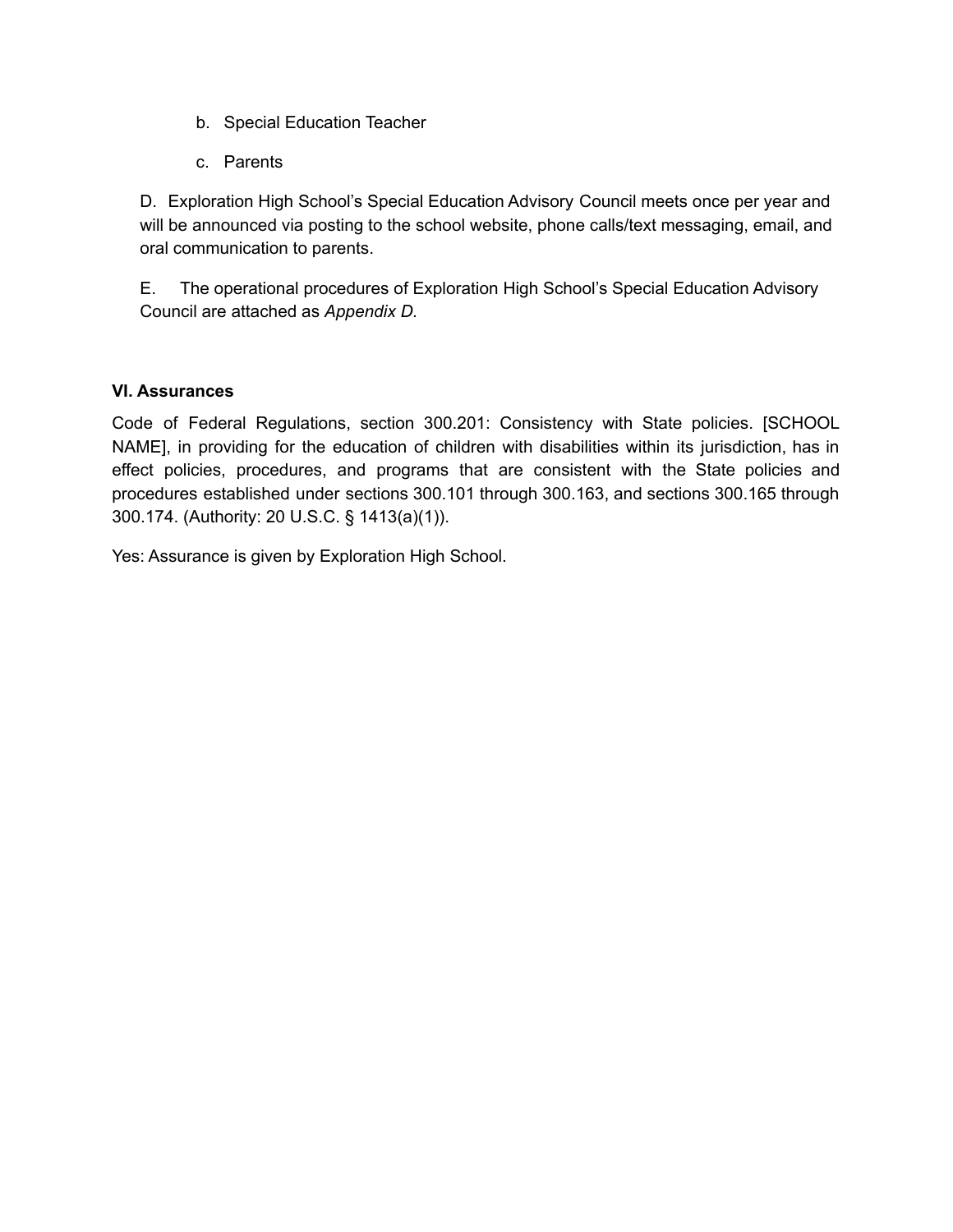- b. Special Education Teacher
- c. Parents

D. Exploration High School's Special Education Advisory Council meets once per year and will be announced via posting to the school website, phone calls/text messaging, email, and oral communication to parents.

E. The operational procedures of Exploration High School's Special Education Advisory Council are attached as *Appendix D.*

#### **VI. Assurances**

Code of Federal Regulations, section 300.201: Consistency with State policies. [SCHOOL NAME], in providing for the education of children with disabilities within its jurisdiction, has in effect policies, procedures, and programs that are consistent with the State policies and procedures established under sections 300.101 through 300.163, and sections 300.165 through 300.174. (Authority: 20 U.S.C. § 1413(a)(1)).

Yes: Assurance is given by Exploration High School.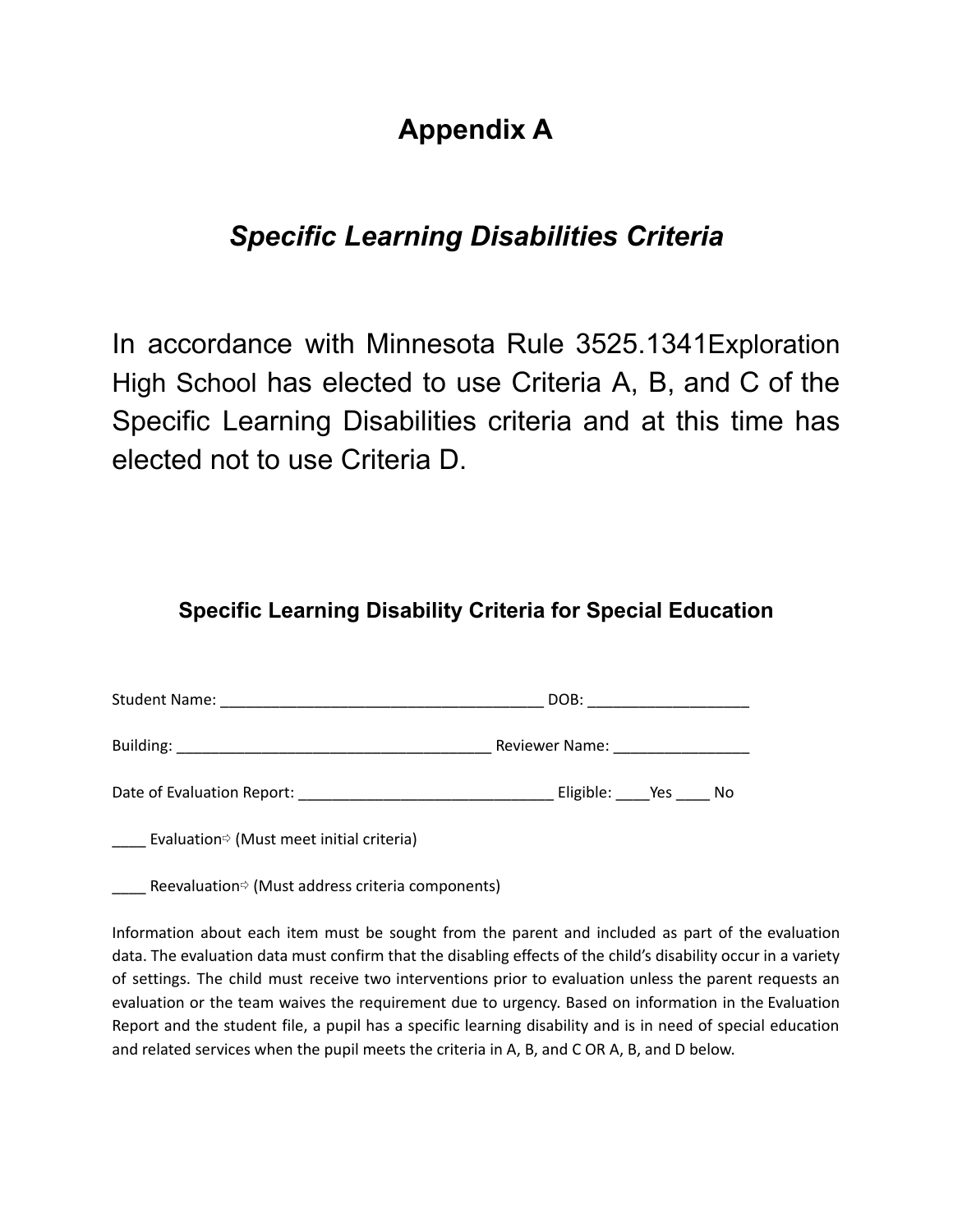# **Appendix A**

# *Specific Learning Disabilities Criteria*

In accordance with Minnesota Rule 3525.1341Exploration High School has elected to use Criteria A, B, and C of the Specific Learning Disabilities criteria and at this time has elected not to use Criteria D.

### **Specific Learning Disability Criteria for Special Education**

| <b>Student Name:</b>       | DOB:                                                                                                           |  |
|----------------------------|----------------------------------------------------------------------------------------------------------------|--|
|                            | Reviewer Name: Namer Service Service Service Service Service Service Service Service Service Service Service S |  |
| Date of Evaluation Report: | Eligible: Yes<br><b>No</b>                                                                                     |  |

\_\_\_\_ Evaluation⇨ (Must meet initial criteria)

\_\_\_\_ Reevaluation⇨ (Must address criteria components)

Information about each item must be sought from the parent and included as part of the evaluation data. The evaluation data must confirm that the disabling effects of the child's disability occur in a variety of settings. The child must receive two interventions prior to evaluation unless the parent requests an evaluation or the team waives the requirement due to urgency. Based on information in the Evaluation Report and the student file, a pupil has a specific learning disability and is in need of special education and related services when the pupil meets the criteria in A, B, and C OR A, B, and D below.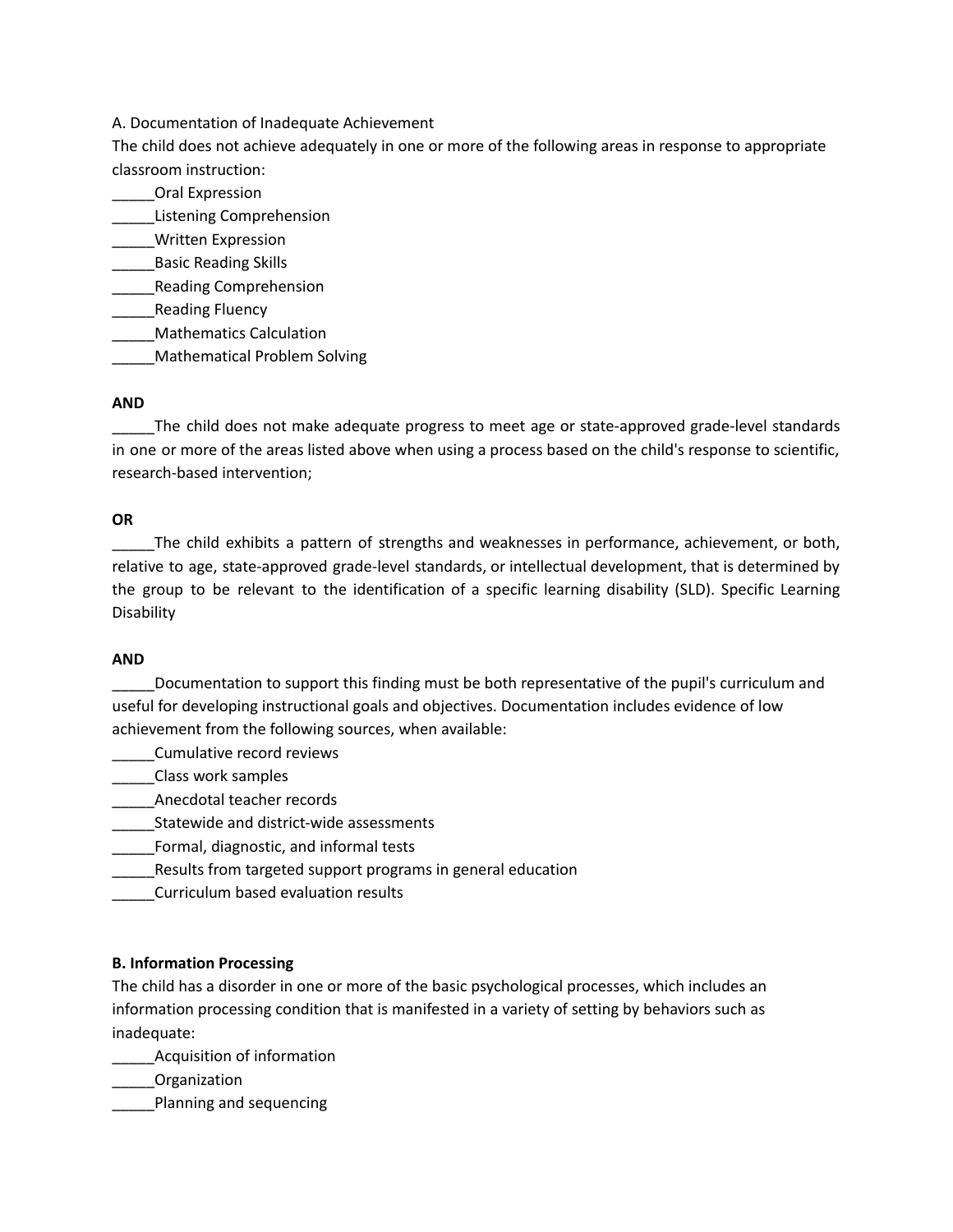A. Documentation of Inadequate Achievement

The child does not achieve adequately in one or more of the following areas in response to appropriate classroom instruction:

\_\_\_\_\_Oral Expression

\_\_\_\_\_Listening Comprehension

- \_\_\_\_\_Written Expression
- \_\_\_\_\_Basic Reading Skills
- \_\_\_\_\_Reading Comprehension
- \_\_\_\_\_Reading Fluency
- \_\_\_\_\_Mathematics Calculation
- \_\_\_\_\_Mathematical Problem Solving

#### **AND**

The child does not make adequate progress to meet age or state-approved grade-level standards in one or more of the areas listed above when using a process based on the child's response to scientific, research-based intervention;

#### **OR**

\_\_\_\_\_The child exhibits a pattern of strengths and weaknesses in performance, achievement, or both, relative to age, state-approved grade-level standards, or intellectual development, that is determined by the group to be relevant to the identification of a specific learning disability (SLD). Specific Learning **Disability** 

#### **AND**

\_\_\_\_\_Documentation to support this finding must be both representative of the pupil's curriculum and useful for developing instructional goals and objectives. Documentation includes evidence of low achievement from the following sources, when available:

\_\_\_\_\_Cumulative record reviews

\_\_\_\_\_Class work samples

- \_\_\_\_\_Anecdotal teacher records
- \_\_\_\_\_Statewide and district-wide assessments
- \_\_\_\_\_Formal, diagnostic, and informal tests
- \_\_\_\_\_Results from targeted support programs in general education
- \_\_\_\_\_Curriculum based evaluation results

#### **B. Information Processing**

The child has a disorder in one or more of the basic psychological processes, which includes an information processing condition that is manifested in a variety of setting by behaviors such as inadequate:

\_\_\_\_\_Acquisition of information

\_\_\_\_\_Organization

\_\_\_\_\_Planning and sequencing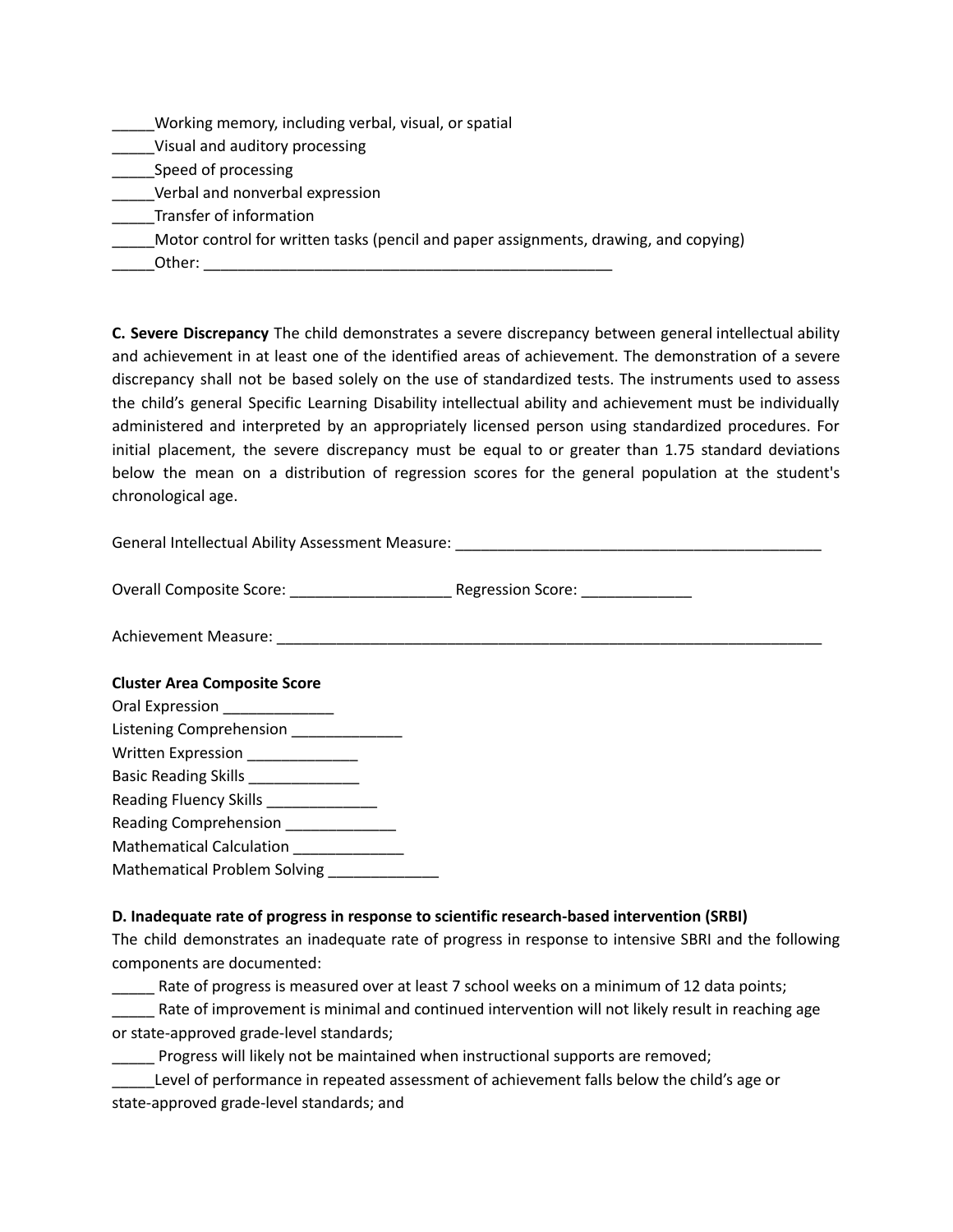\_\_\_\_\_Working memory, including verbal, visual, or spatial

- \_\_\_\_\_Visual and auditory processing
- \_\_\_\_\_Speed of processing
- \_\_\_\_\_Verbal and nonverbal expression
- \_\_\_\_\_Transfer of information
- \_\_\_\_\_Motor control for written tasks (pencil and paper assignments, drawing, and copying)

 $Other:$ 

**C. Severe Discrepancy** The child demonstrates a severe discrepancy between general intellectual ability and achievement in at least one of the identified areas of achievement. The demonstration of a severe discrepancy shall not be based solely on the use of standardized tests. The instruments used to assess the child's general Specific Learning Disability intellectual ability and achievement must be individually administered and interpreted by an appropriately licensed person using standardized procedures. For initial placement, the severe discrepancy must be equal to or greater than 1.75 standard deviations below the mean on a distribution of regression scores for the general population at the student's chronological age.

General Intellectual Ability Assessment Measure: \_\_\_\_\_\_\_\_\_\_\_\_\_\_\_\_\_\_\_\_\_\_\_\_\_\_\_\_\_\_\_\_\_\_\_\_\_\_\_\_\_\_\_

Overall Composite Score: \_\_\_\_\_\_\_\_\_\_\_\_\_\_\_\_\_\_\_ Regression Score: \_\_\_\_\_\_\_\_\_\_\_\_\_

Achievement Measure:  $\Box$ 

#### **Cluster Area Composite Score**

| Oral Expression ______________                     |  |
|----------------------------------------------------|--|
| Listening Comprehension                            |  |
| Written Expression                                 |  |
| Basic Reading Skills <b>Common Control Control</b> |  |
| Reading Fluency Skills <b>Example 20</b>           |  |
| Reading Comprehension<br>Reading Comprehension     |  |
| <b>Mathematical Calculation</b>                    |  |
| <b>Mathematical Problem Solving</b>                |  |

#### **D. Inadequate rate of progress in response to scientific research-based intervention (SRBI)**

The child demonstrates an inadequate rate of progress in response to intensive SBRI and the following components are documented:

\_\_\_\_\_ Rate of progress is measured over at least 7 school weeks on a minimum of 12 data points;

\_\_\_\_\_ Rate of improvement is minimal and continued intervention will not likely result in reaching age or state-approved grade-level standards;

\_\_\_\_\_ Progress will likely not be maintained when instructional supports are removed;

Level of performance in repeated assessment of achievement falls below the child's age or state-approved grade-level standards; and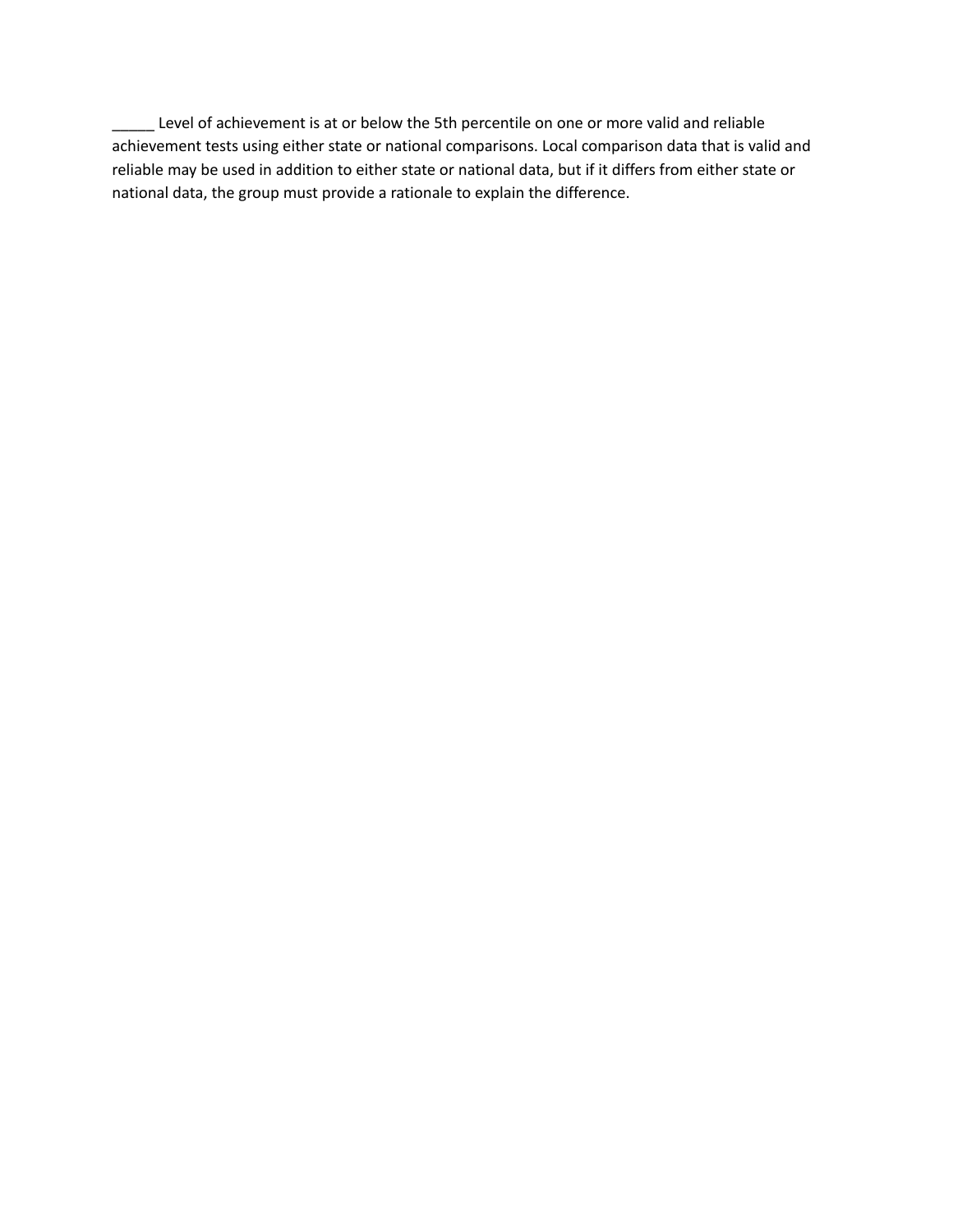\_\_\_\_\_ Level of achievement is at or below the 5th percentile on one or more valid and reliable achievement tests using either state or national comparisons. Local comparison data that is valid and reliable may be used in addition to either state or national data, but if it differs from either state or national data, the group must provide a rationale to explain the difference.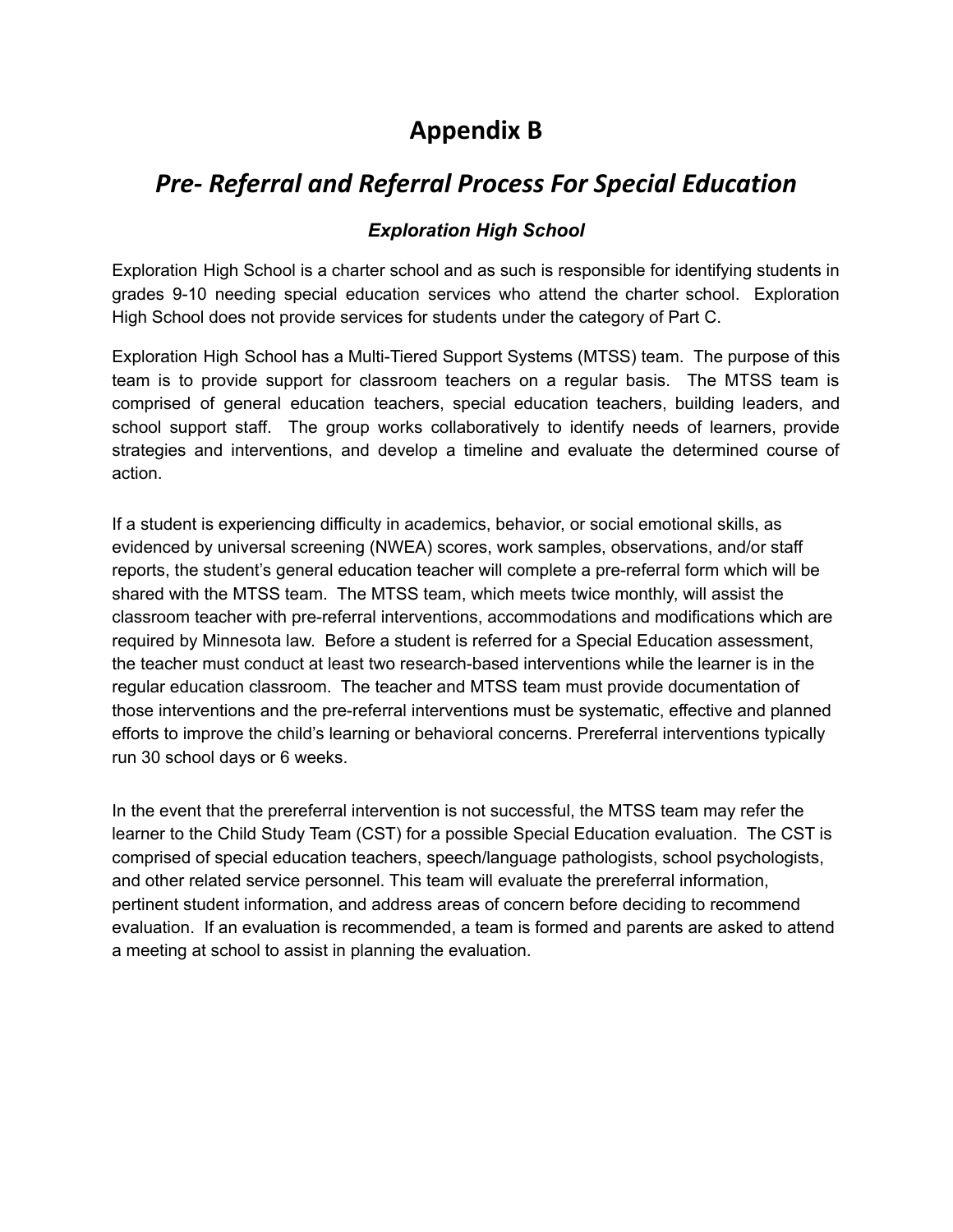## **Appendix B**

## *Pre- Referral and Referral Process For Special Education*

#### *Exploration High School*

Exploration High School is a charter school and as such is responsible for identifying students in grades 9-10 needing special education services who attend the charter school. Exploration High School does not provide services for students under the category of Part C.

Exploration High School has a Multi-Tiered Support Systems (MTSS) team. The purpose of this team is to provide support for classroom teachers on a regular basis. The MTSS team is comprised of general education teachers, special education teachers, building leaders, and school support staff. The group works collaboratively to identify needs of learners, provide strategies and interventions, and develop a timeline and evaluate the determined course of action.

If a student is experiencing difficulty in academics, behavior, or social emotional skills, as evidenced by universal screening (NWEA) scores, work samples, observations, and/or staff reports, the student's general education teacher will complete a pre-referral form which will be shared with the MTSS team. The MTSS team, which meets twice monthly, will assist the classroom teacher with pre-referral interventions, accommodations and modifications which are required by Minnesota law. Before a student is referred for a Special Education assessment, the teacher must conduct at least two research-based interventions while the learner is in the regular education classroom. The teacher and MTSS team must provide documentation of those interventions and the pre-referral interventions must be systematic, effective and planned efforts to improve the child's learning or behavioral concerns. Prereferral interventions typically run 30 school days or 6 weeks.

In the event that the prereferral intervention is not successful, the MTSS team may refer the learner to the Child Study Team (CST) for a possible Special Education evaluation. The CST is comprised of special education teachers, speech/language pathologists, school psychologists, and other related service personnel. This team will evaluate the prereferral information, pertinent student information, and address areas of concern before deciding to recommend evaluation. If an evaluation is recommended, a team is formed and parents are asked to attend a meeting at school to assist in planning the evaluation.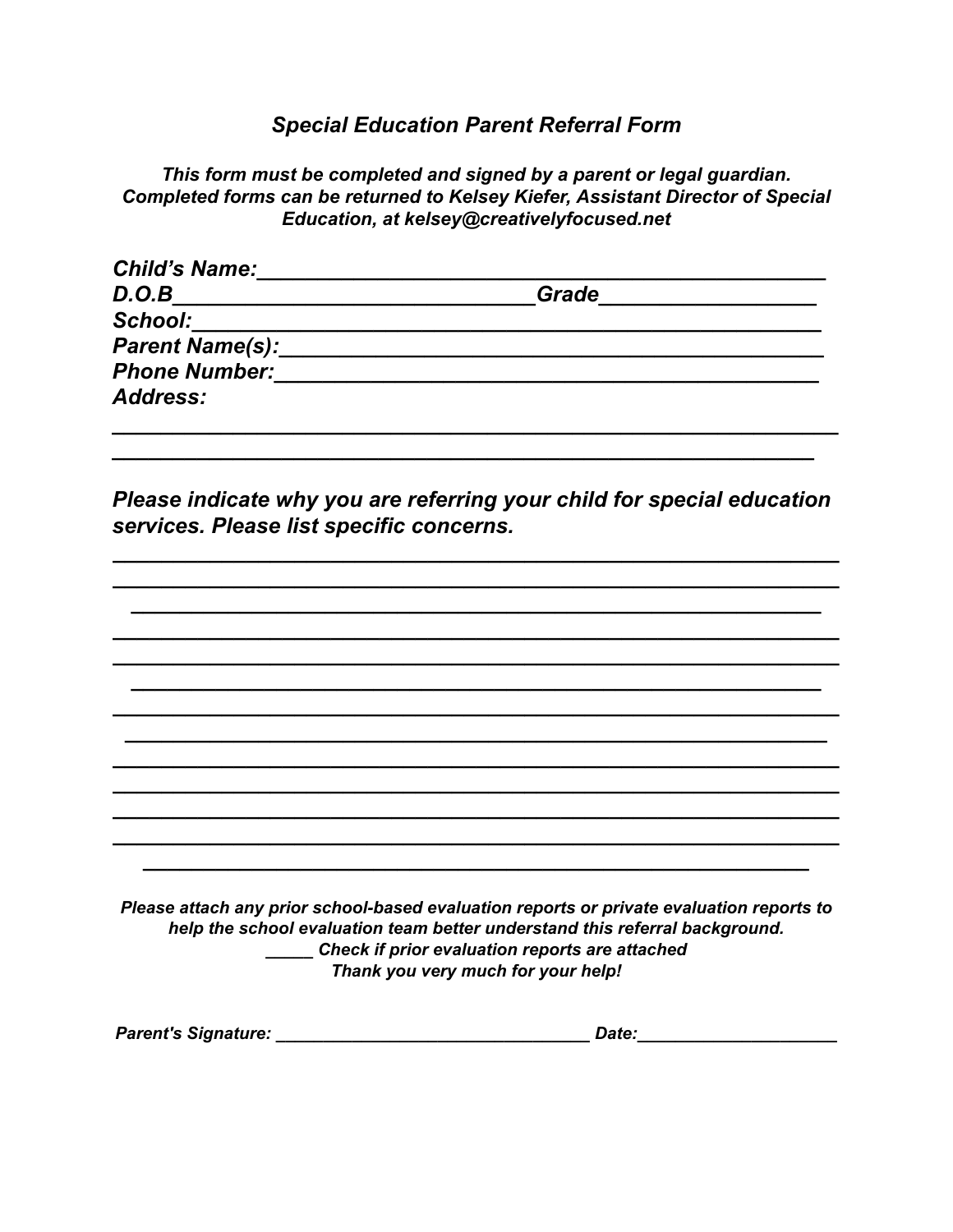#### *Special Education Parent Referral Form*

*This form must be completed and signed by a parent or legal guardian. Completed forms can be returned to Kelsey Kiefer, Assistant Director of Special Education, at kelsey@creativelyfocused.net*

| <b>Child's Name:</b>   |       |  |
|------------------------|-------|--|
| D.O.B                  | Grade |  |
| School:                |       |  |
| <b>Parent Name(s):</b> |       |  |
| <b>Phone Number:</b>   |       |  |
| <b>Address:</b>        |       |  |

*Please indicate why you are referring your child for special education services. Please list specific concerns.*

*\_\_\_\_\_\_\_\_\_\_\_\_\_\_\_\_\_\_\_\_\_\_\_\_\_\_\_\_\_\_\_\_\_\_\_\_\_\_\_\_\_\_\_\_\_\_\_\_\_\_\_\_\_\_\_\_\_\_*

| Please attach any prior school-based evaluation reports or private evaluation reports to<br>help the school evaluation team better understand this referral background. |
|-------------------------------------------------------------------------------------------------------------------------------------------------------------------------|

*\_\_\_\_\_ Check if prior evaluation reports are attached Thank you very much for your help!*

*Parent's Signature: \_\_\_\_\_\_\_\_\_\_\_\_\_\_\_\_\_\_\_\_\_\_\_\_\_\_\_\_\_\_\_\_\_ Date:\_\_\_\_\_\_\_\_\_\_\_\_\_\_\_\_\_\_\_\_\_*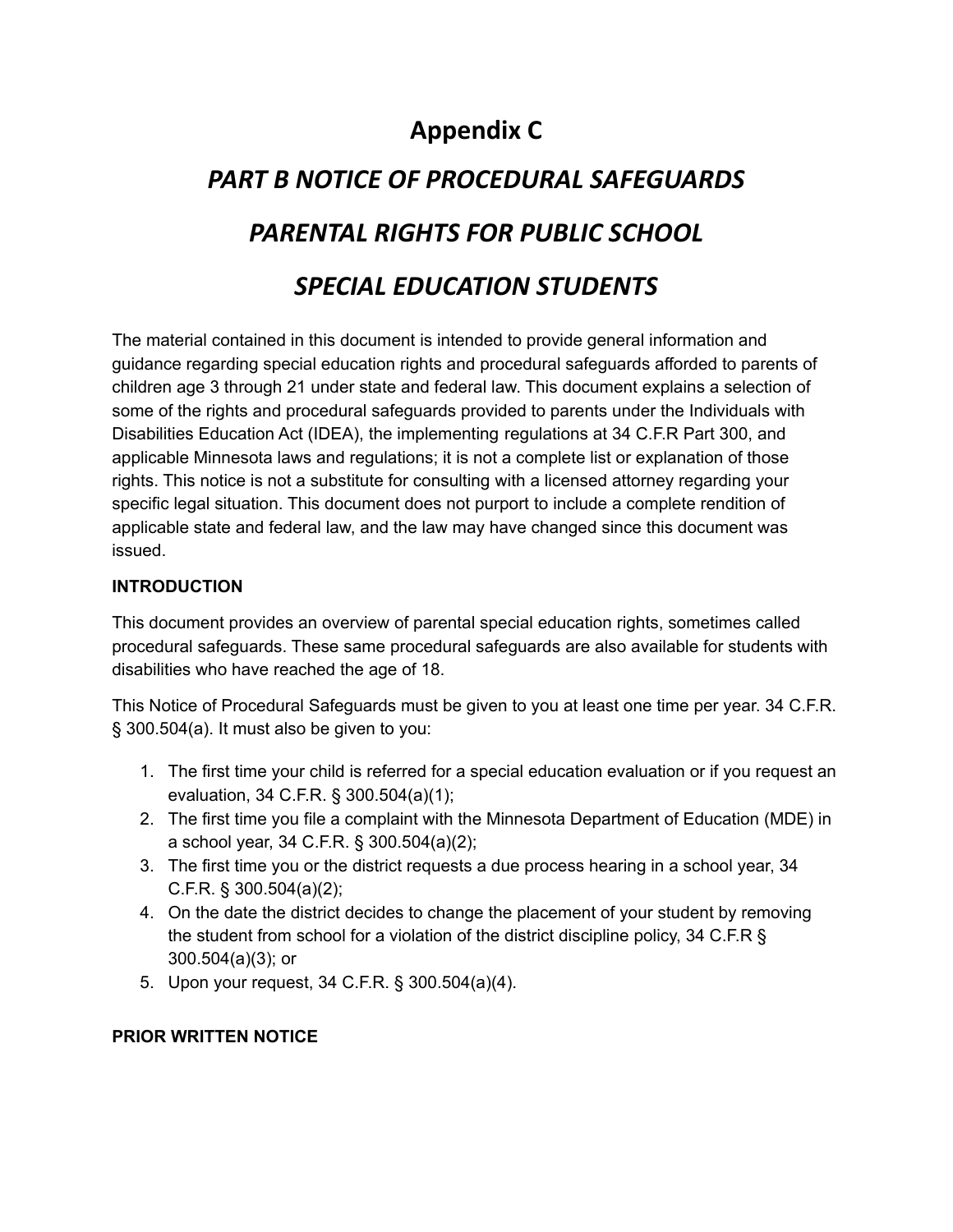## **Appendix C**

# *PART B NOTICE OF PROCEDURAL SAFEGUARDS PARENTAL RIGHTS FOR PUBLIC SCHOOL SPECIAL EDUCATION STUDENTS*

The material contained in this document is intended to provide general information and guidance regarding special education rights and procedural safeguards afforded to parents of children age 3 through 21 under state and federal law. This document explains a selection of some of the rights and procedural safeguards provided to parents under the Individuals with Disabilities Education Act (IDEA), the implementing regulations at 34 C.F.R Part 300, and applicable Minnesota laws and regulations; it is not a complete list or explanation of those rights. This notice is not a substitute for consulting with a licensed attorney regarding your specific legal situation. This document does not purport to include a complete rendition of applicable state and federal law, and the law may have changed since this document was issued.

#### **INTRODUCTION**

This document provides an overview of parental special education rights, sometimes called procedural safeguards. These same procedural safeguards are also available for students with disabilities who have reached the age of 18.

This Notice of Procedural Safeguards must be given to you at least one time per year. 34 C.F.R. § 300.504(a). It must also be given to you:

- 1. The first time your child is referred for a special education evaluation or if you request an evaluation, 34 C.F.R. § 300.504(a)(1);
- 2. The first time you file a complaint with the Minnesota Department of Education (MDE) in a school year, 34 C.F.R. § 300.504(a)(2);
- 3. The first time you or the district requests a due process hearing in a school year, 34 C.F.R. § 300.504(a)(2);
- 4. On the date the district decides to change the placement of your student by removing the student from school for a violation of the district discipline policy, 34 C.F.R § 300.504(a)(3); or
- 5. Upon your request, 34 C.F.R. § 300.504(a)(4).

#### **PRIOR WRITTEN NOTICE**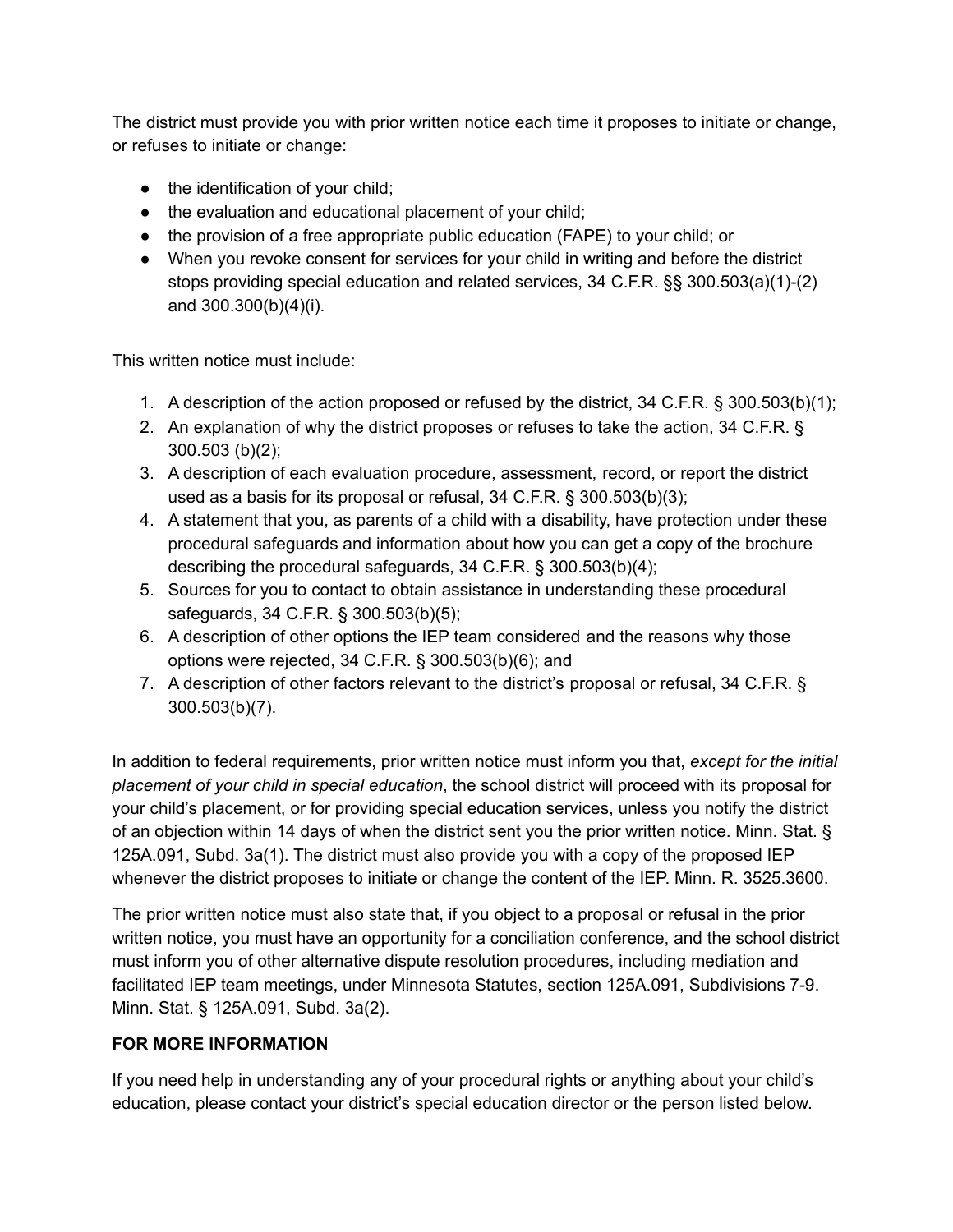The district must provide you with prior written notice each time it proposes to initiate or change, or refuses to initiate or change:

- the identification of your child;
- the evaluation and educational placement of your child;
- the provision of a free appropriate public education (FAPE) to your child; or
- When you revoke consent for services for your child in writing and before the district stops providing special education and related services, 34 C.F.R. §§ 300.503(a)(1)-(2) and 300.300(b)(4)(i).

This written notice must include:

- 1. A description of the action proposed or refused by the district, 34 C.F.R. § 300.503(b)(1);
- 2. An explanation of why the district proposes or refuses to take the action, 34 C.F.R. § 300.503 (b)(2);
- 3. A description of each evaluation procedure, assessment, record, or report the district used as a basis for its proposal or refusal, 34 C.F.R. § 300.503(b)(3);
- 4. A statement that you, as parents of a child with a disability, have protection under these procedural safeguards and information about how you can get a copy of the brochure describing the procedural safeguards, 34 C.F.R. § 300.503(b)(4);
- 5. Sources for you to contact to obtain assistance in understanding these procedural safeguards, 34 C.F.R. § 300.503(b)(5);
- 6. A description of other options the IEP team considered and the reasons why those options were rejected, 34 C.F.R. § 300.503(b)(6); and
- 7. A description of other factors relevant to the district's proposal or refusal, 34 C.F.R. § 300.503(b)(7).

In addition to federal requirements, prior written notice must inform you that, *except for the initial placement of your child in special education*, the school district will proceed with its proposal for your child's placement, or for providing special education services, unless you notify the district of an objection within 14 days of when the district sent you the prior written notice. Minn. Stat. § 125A.091, Subd. 3a(1). The district must also provide you with a copy of the proposed IEP whenever the district proposes to initiate or change the content of the IEP. Minn. R. 3525.3600.

The prior written notice must also state that, if you object to a proposal or refusal in the prior written notice, you must have an opportunity for a conciliation conference, and the school district must inform you of other alternative dispute resolution procedures, including mediation and facilitated IEP team meetings, under Minnesota Statutes, section 125A.091, Subdivisions 7-9. Minn. Stat. § 125A.091, Subd. 3a(2).

#### **FOR MORE INFORMATION**

If you need help in understanding any of your procedural rights or anything about your child's education, please contact your district's special education director or the person listed below.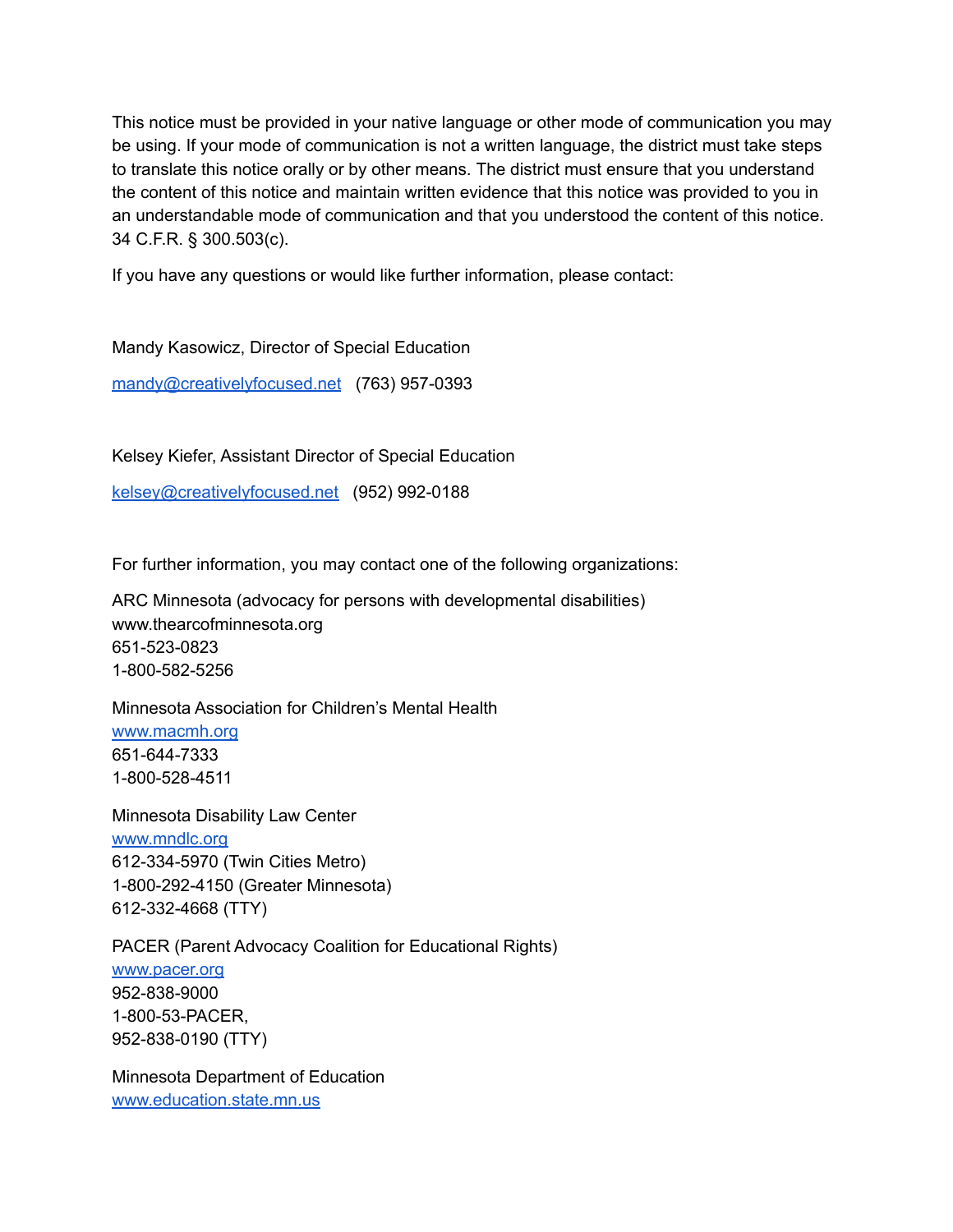This notice must be provided in your native language or other mode of communication you may be using. If your mode of communication is not a written language, the district must take steps to translate this notice orally or by other means. The district must ensure that you understand the content of this notice and maintain written evidence that this notice was provided to you in an understandable mode of communication and that you understood the content of this notice. 34 C.F.R. § 300.503(c).

If you have any questions or would like further information, please contact:

Mandy Kasowicz, Director of Special Education [mandy@creativelyfocused.net](mailto:mandy@creativelyfocused.net) (763) 957-0393

Kelsey Kiefer, Assistant Director of Special Education

[kelsey@creativelyfocused.net](mailto:kelsey@creativelyfocused.net) (952) 992-0188

For further information, you may contact one of the following organizations:

ARC Minnesota (advocacy for persons with developmental disabilities) www.thearcofminnesota.org 651-523-0823 1-800-582-5256

Minnesota Association for Children's Mental Health

[www.macmh.org](http://www.macmh.org/) 651-644-7333 1-800-528-4511

Minnesota Disability Law Center [www.mndlc.org](http://www.mndlc.org/) 612-334-5970 (Twin Cities Metro) 1-800-292-4150 (Greater Minnesota) 612-332-4668 (TTY)

PACER (Parent Advocacy Coalition for Educational Rights) [www.pacer.org](http://www.pacer.org/) 952-838-9000 1-800-53-PACER, 952-838-0190 (TTY)

Minnesota Department of Education [www.education.state.mn.us](http://www.education.state.mn.us/)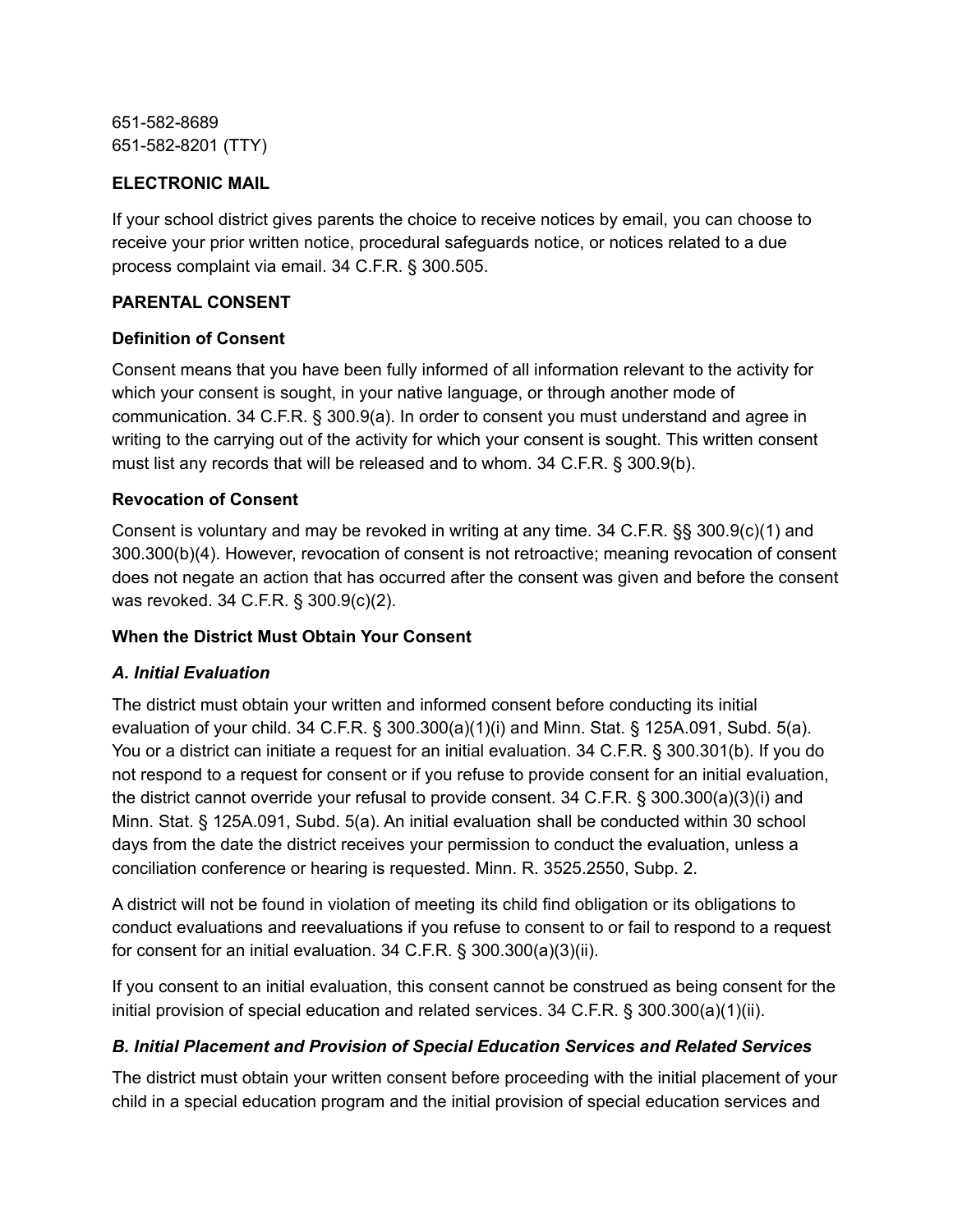651-582-8689 651-582-8201 (TTY)

#### **ELECTRONIC MAIL**

If your school district gives parents the choice to receive notices by email, you can choose to receive your prior written notice, procedural safeguards notice, or notices related to a due process complaint via email. 34 C.F.R. § 300.505.

#### **PARENTAL CONSENT**

#### **Definition of Consent**

Consent means that you have been fully informed of all information relevant to the activity for which your consent is sought, in your native language, or through another mode of communication. 34 C.F.R. § 300.9(a). In order to consent you must understand and agree in writing to the carrying out of the activity for which your consent is sought. This written consent must list any records that will be released and to whom. 34 C.F.R. § 300.9(b).

#### **Revocation of Consent**

Consent is voluntary and may be revoked in writing at any time. 34 C.F.R. §§ 300.9(c)(1) and 300.300(b)(4). However, revocation of consent is not retroactive; meaning revocation of consent does not negate an action that has occurred after the consent was given and before the consent was revoked. 34 C.F.R. § 300.9(c)(2).

#### **When the District Must Obtain Your Consent**

#### *A. Initial Evaluation*

The district must obtain your written and informed consent before conducting its initial evaluation of your child. 34 C.F.R. § 300.300(a)(1)(i) and Minn. Stat. § 125A.091, Subd. 5(a). You or a district can initiate a request for an initial evaluation. 34 C.F.R. § 300.301(b). If you do not respond to a request for consent or if you refuse to provide consent for an initial evaluation, the district cannot override your refusal to provide consent. 34 C.F.R. § 300.300(a)(3)(i) and Minn. Stat. § 125A.091, Subd. 5(a). An initial evaluation shall be conducted within 30 school days from the date the district receives your permission to conduct the evaluation, unless a conciliation conference or hearing is requested. Minn. R. 3525.2550, Subp. 2.

A district will not be found in violation of meeting its child find obligation or its obligations to conduct evaluations and reevaluations if you refuse to consent to or fail to respond to a request for consent for an initial evaluation. 34 C.F.R. § 300.300(a)(3)(ii).

If you consent to an initial evaluation, this consent cannot be construed as being consent for the initial provision of special education and related services. 34 C.F.R. § 300.300(a)(1)(ii).

#### *B. Initial Placement and Provision of Special Education Services and Related Services*

The district must obtain your written consent before proceeding with the initial placement of your child in a special education program and the initial provision of special education services and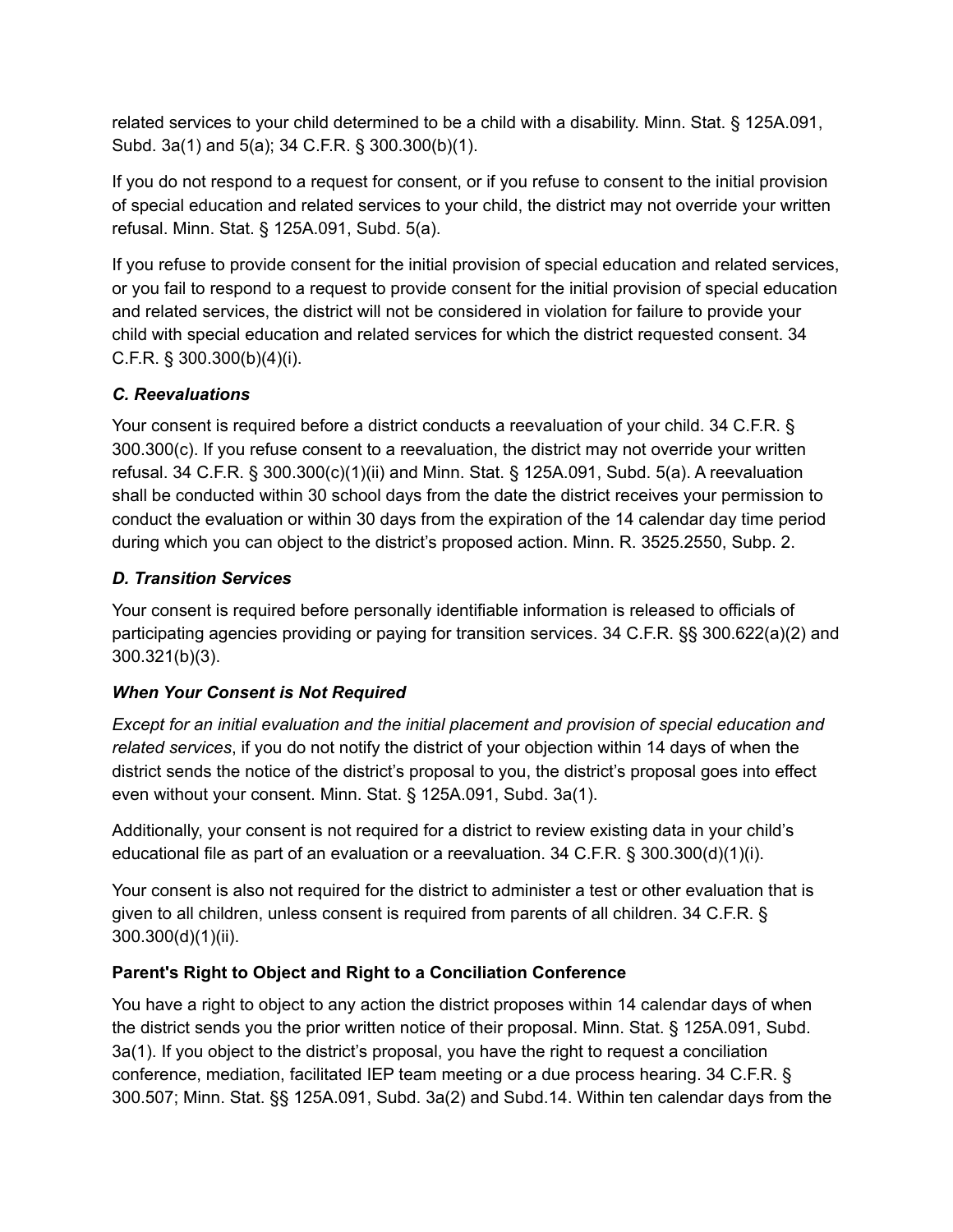related services to your child determined to be a child with a disability. Minn. Stat. § 125A.091, Subd. 3a(1) and 5(a); 34 C.F.R. § 300.300(b)(1).

If you do not respond to a request for consent, or if you refuse to consent to the initial provision of special education and related services to your child, the district may not override your written refusal. Minn. Stat. § 125A.091, Subd. 5(a).

If you refuse to provide consent for the initial provision of special education and related services, or you fail to respond to a request to provide consent for the initial provision of special education and related services, the district will not be considered in violation for failure to provide your child with special education and related services for which the district requested consent. 34 C.F.R. § 300.300(b)(4)(i).

#### *C. Reevaluations*

Your consent is required before a district conducts a reevaluation of your child. 34 C.F.R. § 300.300(c). If you refuse consent to a reevaluation, the district may not override your written refusal. 34 C.F.R. § 300.300(c)(1)(ii) and Minn. Stat. § 125A.091, Subd. 5(a). A reevaluation shall be conducted within 30 school days from the date the district receives your permission to conduct the evaluation or within 30 days from the expiration of the 14 calendar day time period during which you can object to the district's proposed action. Minn. R. 3525.2550, Subp. 2.

#### *D. Transition Services*

Your consent is required before personally identifiable information is released to officials of participating agencies providing or paying for transition services. 34 C.F.R. §§ 300.622(a)(2) and 300.321(b)(3).

#### *When Your Consent is Not Required*

*Except for an initial evaluation and the initial placement and provision of special education and related services*, if you do not notify the district of your objection within 14 days of when the district sends the notice of the district's proposal to you, the district's proposal goes into effect even without your consent. Minn. Stat. § 125A.091, Subd. 3a(1).

Additionally, your consent is not required for a district to review existing data in your child's educational file as part of an evaluation or a reevaluation. 34 C.F.R. § 300.300(d)(1)(i).

Your consent is also not required for the district to administer a test or other evaluation that is given to all children, unless consent is required from parents of all children. 34 C.F.R. § 300.300(d)(1)(ii).

#### **Parent's Right to Object and Right to a Conciliation Conference**

You have a right to object to any action the district proposes within 14 calendar days of when the district sends you the prior written notice of their proposal. Minn. Stat. § 125A.091, Subd. 3a(1). If you object to the district's proposal, you have the right to request a conciliation conference, mediation, facilitated IEP team meeting or a due process hearing. 34 C.F.R. § 300.507; Minn. Stat. §§ 125A.091, Subd. 3a(2) and Subd.14. Within ten calendar days from the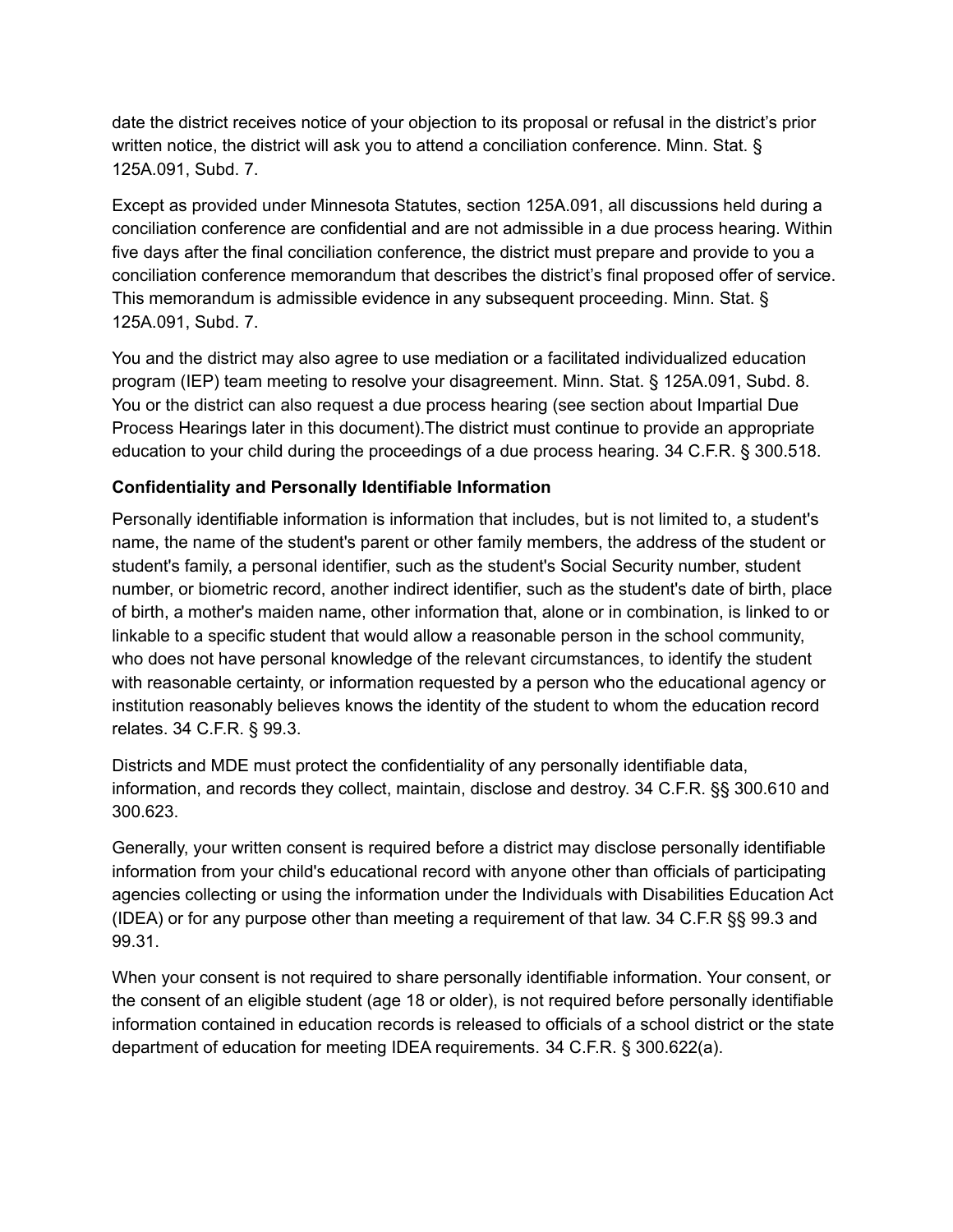date the district receives notice of your objection to its proposal or refusal in the district's prior written notice, the district will ask you to attend a conciliation conference. Minn. Stat. § 125A.091, Subd. 7.

Except as provided under Minnesota Statutes, section 125A.091, all discussions held during a conciliation conference are confidential and are not admissible in a due process hearing. Within five days after the final conciliation conference, the district must prepare and provide to you a conciliation conference memorandum that describes the district's final proposed offer of service. This memorandum is admissible evidence in any subsequent proceeding. Minn. Stat. § 125A.091, Subd. 7.

You and the district may also agree to use mediation or a facilitated individualized education program (IEP) team meeting to resolve your disagreement. Minn. Stat. § 125A.091, Subd. 8. You or the district can also request a due process hearing (see section about Impartial Due Process Hearings later in this document).The district must continue to provide an appropriate education to your child during the proceedings of a due process hearing. 34 C.F.R. § 300.518.

#### **Confidentiality and Personally Identifiable Information**

Personally identifiable information is information that includes, but is not limited to, a student's name, the name of the student's parent or other family members, the address of the student or student's family, a personal identifier, such as the student's Social Security number, student number, or biometric record, another indirect identifier, such as the student's date of birth, place of birth, a mother's maiden name, other information that, alone or in combination, is linked to or linkable to a specific student that would allow a reasonable person in the school community, who does not have personal knowledge of the relevant circumstances, to identify the student with reasonable certainty, or information requested by a person who the educational agency or institution reasonably believes knows the identity of the student to whom the education record relates. 34 C.F.R. § 99.3.

Districts and MDE must protect the confidentiality of any personally identifiable data, information, and records they collect, maintain, disclose and destroy. 34 C.F.R. §§ 300.610 and 300.623.

Generally, your written consent is required before a district may disclose personally identifiable information from your child's educational record with anyone other than officials of participating agencies collecting or using the information under the Individuals with Disabilities Education Act (IDEA) or for any purpose other than meeting a requirement of that law. 34 C.F.R §§ 99.3 and 99.31.

When your consent is not required to share personally identifiable information. Your consent, or the consent of an eligible student (age 18 or older), is not required before personally identifiable information contained in education records is released to officials of a school district or the state department of education for meeting IDEA requirements. 34 C.F.R. § 300.622(a).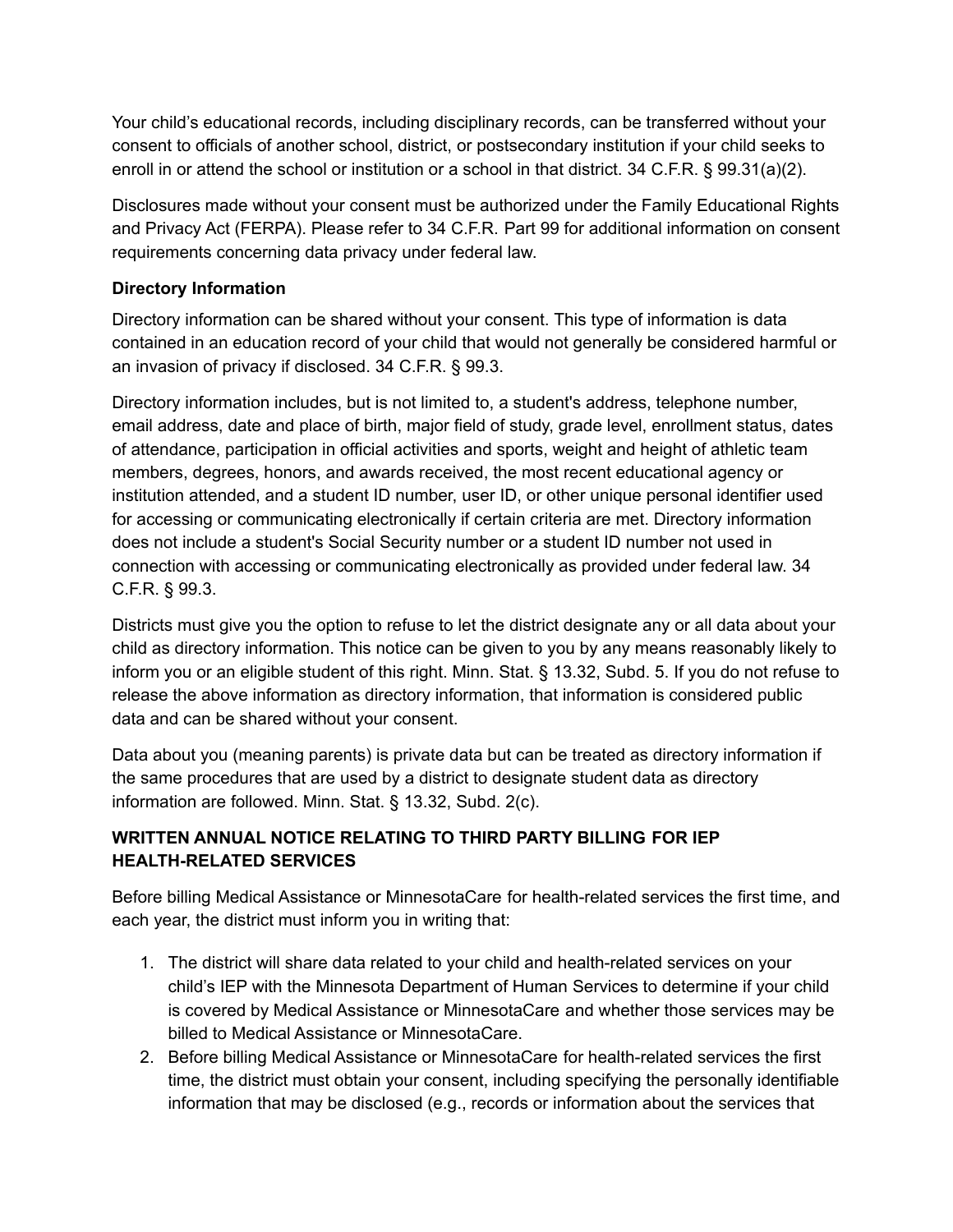Your child's educational records, including disciplinary records, can be transferred without your consent to officials of another school, district, or postsecondary institution if your child seeks to enroll in or attend the school or institution or a school in that district. 34 C.F.R. § 99.31(a)(2).

Disclosures made without your consent must be authorized under the Family Educational Rights and Privacy Act (FERPA). Please refer to 34 C.F.R. Part 99 for additional information on consent requirements concerning data privacy under federal law.

#### **Directory Information**

Directory information can be shared without your consent. This type of information is data contained in an education record of your child that would not generally be considered harmful or an invasion of privacy if disclosed. 34 C.F.R. § 99.3.

Directory information includes, but is not limited to, a student's address, telephone number, email address, date and place of birth, major field of study, grade level, enrollment status, dates of attendance, participation in official activities and sports, weight and height of athletic team members, degrees, honors, and awards received, the most recent educational agency or institution attended, and a student ID number, user ID, or other unique personal identifier used for accessing or communicating electronically if certain criteria are met. Directory information does not include a student's Social Security number or a student ID number not used in connection with accessing or communicating electronically as provided under federal law. 34 C.F.R. § 99.3.

Districts must give you the option to refuse to let the district designate any or all data about your child as directory information. This notice can be given to you by any means reasonably likely to inform you or an eligible student of this right. Minn. Stat. § 13.32, Subd. 5. If you do not refuse to release the above information as directory information, that information is considered public data and can be shared without your consent.

Data about you (meaning parents) is private data but can be treated as directory information if the same procedures that are used by a district to designate student data as directory information are followed. Minn. Stat. § 13.32, Subd. 2(c).

#### **WRITTEN ANNUAL NOTICE RELATING TO THIRD PARTY BILLING FOR IEP HEALTH-RELATED SERVICES**

Before billing Medical Assistance or MinnesotaCare for health-related services the first time, and each year, the district must inform you in writing that:

- 1. The district will share data related to your child and health-related services on your child's IEP with the Minnesota Department of Human Services to determine if your child is covered by Medical Assistance or MinnesotaCare and whether those services may be billed to Medical Assistance or MinnesotaCare.
- 2. Before billing Medical Assistance or MinnesotaCare for health-related services the first time, the district must obtain your consent, including specifying the personally identifiable information that may be disclosed (e.g., records or information about the services that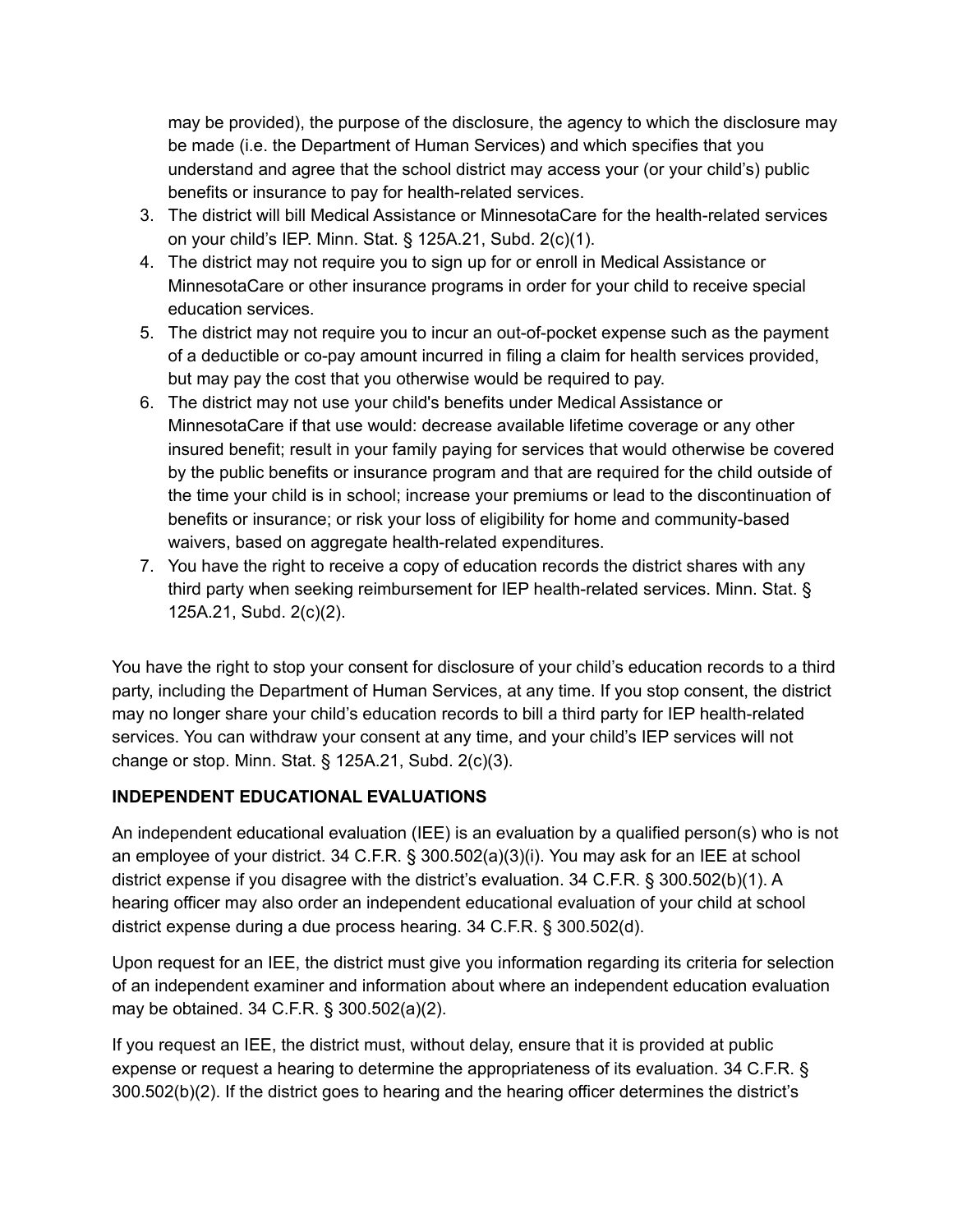may be provided), the purpose of the disclosure, the agency to which the disclosure may be made (i.e. the Department of Human Services) and which specifies that you understand and agree that the school district may access your (or your child's) public benefits or insurance to pay for health-related services.

- 3. The district will bill Medical Assistance or MinnesotaCare for the health-related services on your child's IEP. Minn. Stat. § 125A.21, Subd. 2(c)(1).
- 4. The district may not require you to sign up for or enroll in Medical Assistance or MinnesotaCare or other insurance programs in order for your child to receive special education services.
- 5. The district may not require you to incur an out-of-pocket expense such as the payment of a deductible or co-pay amount incurred in filing a claim for health services provided, but may pay the cost that you otherwise would be required to pay.
- 6. The district may not use your child's benefits under Medical Assistance or MinnesotaCare if that use would: decrease available lifetime coverage or any other insured benefit; result in your family paying for services that would otherwise be covered by the public benefits or insurance program and that are required for the child outside of the time your child is in school; increase your premiums or lead to the discontinuation of benefits or insurance; or risk your loss of eligibility for home and community-based waivers, based on aggregate health-related expenditures.
- 7. You have the right to receive a copy of education records the district shares with any third party when seeking reimbursement for IEP health-related services. Minn. Stat. § 125A.21, Subd. 2(c)(2).

You have the right to stop your consent for disclosure of your child's education records to a third party, including the Department of Human Services, at any time. If you stop consent, the district may no longer share your child's education records to bill a third party for IEP health-related services. You can withdraw your consent at any time, and your child's IEP services will not change or stop. Minn. Stat. § 125A.21, Subd. 2(c)(3).

#### **INDEPENDENT EDUCATIONAL EVALUATIONS**

An independent educational evaluation (IEE) is an evaluation by a qualified person(s) who is not an employee of your district. 34 C.F.R. § 300.502(a)(3)(i). You may ask for an IEE at school district expense if you disagree with the district's evaluation. 34 C.F.R. § 300.502(b)(1). A hearing officer may also order an independent educational evaluation of your child at school district expense during a due process hearing. 34 C.F.R. § 300.502(d).

Upon request for an IEE, the district must give you information regarding its criteria for selection of an independent examiner and information about where an independent education evaluation may be obtained. 34 C.F.R. § 300.502(a)(2).

If you request an IEE, the district must, without delay, ensure that it is provided at public expense or request a hearing to determine the appropriateness of its evaluation. 34 C.F.R. § 300.502(b)(2). If the district goes to hearing and the hearing officer determines the district's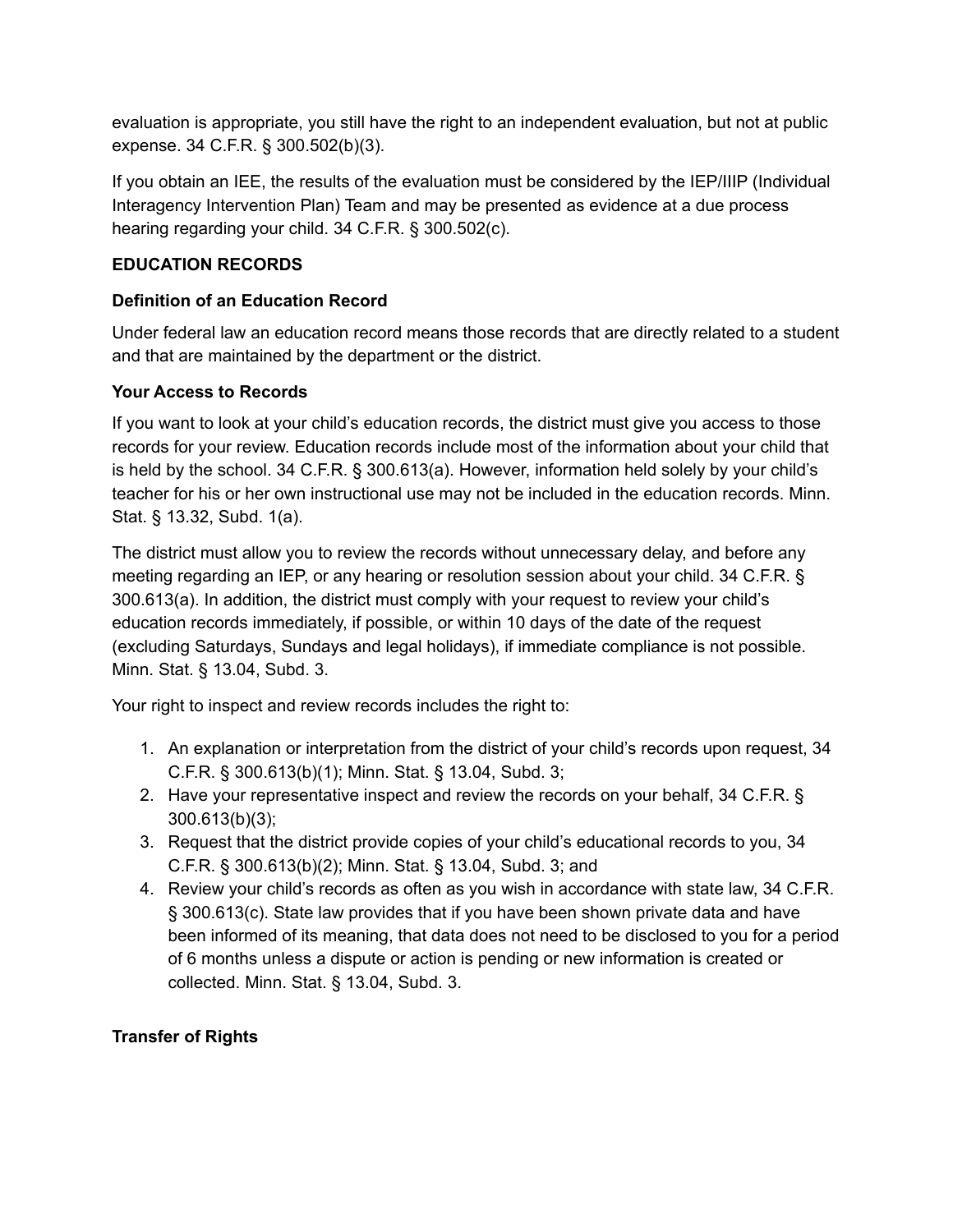evaluation is appropriate, you still have the right to an independent evaluation, but not at public expense. 34 C.F.R. § 300.502(b)(3).

If you obtain an IEE, the results of the evaluation must be considered by the IEP/IIIP (Individual Interagency Intervention Plan) Team and may be presented as evidence at a due process hearing regarding your child. 34 C.F.R. § 300.502(c).

#### **EDUCATION RECORDS**

#### **Definition of an Education Record**

Under federal law an education record means those records that are directly related to a student and that are maintained by the department or the district.

#### **Your Access to Records**

If you want to look at your child's education records, the district must give you access to those records for your review. Education records include most of the information about your child that is held by the school. 34 C.F.R. § 300.613(a). However, information held solely by your child's teacher for his or her own instructional use may not be included in the education records. Minn. Stat. § 13.32, Subd. 1(a).

The district must allow you to review the records without unnecessary delay, and before any meeting regarding an IEP, or any hearing or resolution session about your child. 34 C.F.R. § 300.613(a). In addition, the district must comply with your request to review your child's education records immediately, if possible, or within 10 days of the date of the request (excluding Saturdays, Sundays and legal holidays), if immediate compliance is not possible. Minn. Stat. § 13.04, Subd. 3.

Your right to inspect and review records includes the right to:

- 1. An explanation or interpretation from the district of your child's records upon request, 34 C.F.R. § 300.613(b)(1); Minn. Stat. § 13.04, Subd. 3;
- 2. Have your representative inspect and review the records on your behalf, 34 C.F.R. § 300.613(b)(3);
- 3. Request that the district provide copies of your child's educational records to you, 34 C.F.R. § 300.613(b)(2); Minn. Stat. § 13.04, Subd. 3; and
- 4. Review your child's records as often as you wish in accordance with state law, 34 C.F.R. § 300.613(c). State law provides that if you have been shown private data and have been informed of its meaning, that data does not need to be disclosed to you for a period of 6 months unless a dispute or action is pending or new information is created or collected. Minn. Stat. § 13.04, Subd. 3.

#### **Transfer of Rights**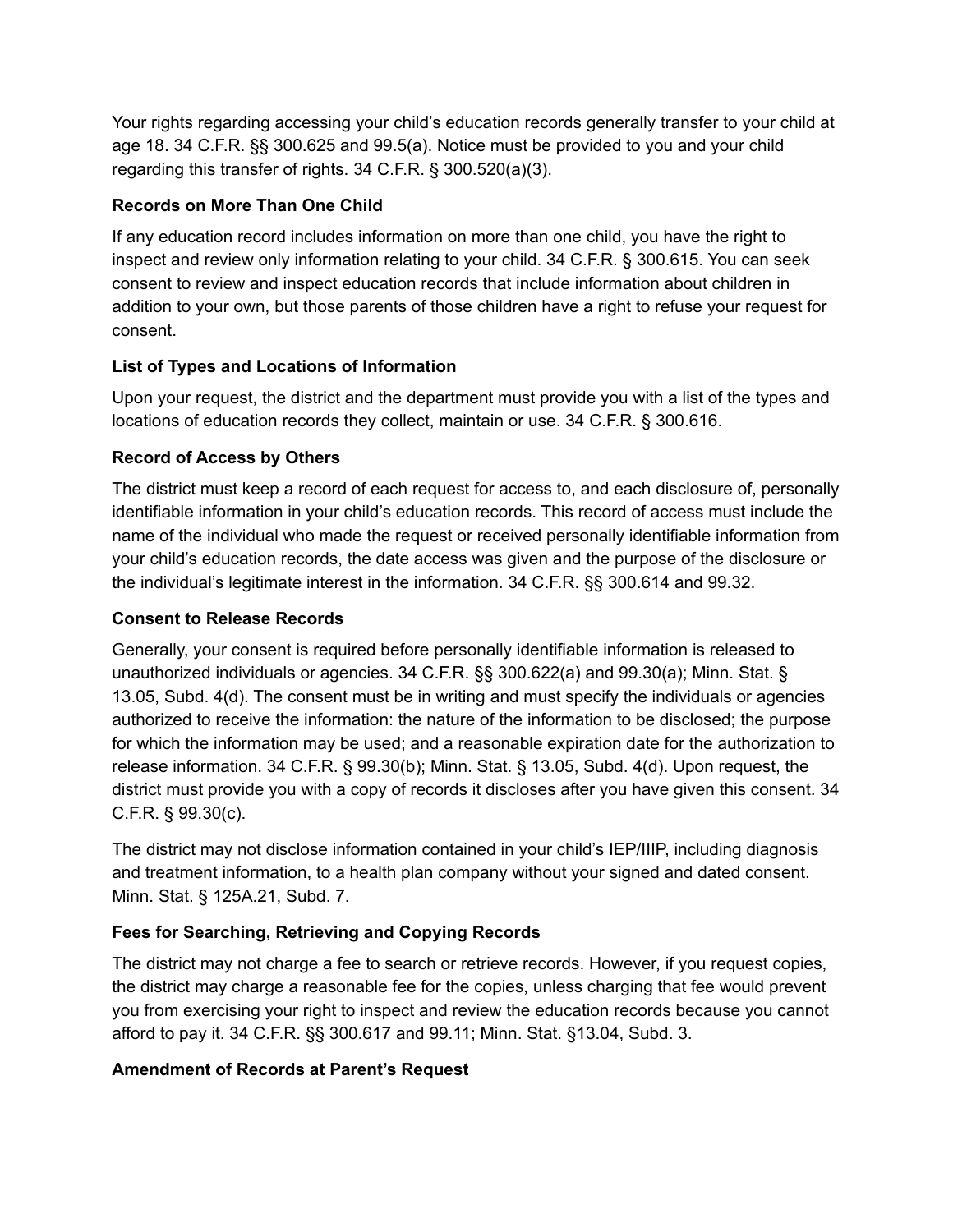Your rights regarding accessing your child's education records generally transfer to your child at age 18. 34 C.F.R. §§ 300.625 and 99.5(a). Notice must be provided to you and your child regarding this transfer of rights. 34 C.F.R. § 300.520(a)(3).

#### **Records on More Than One Child**

If any education record includes information on more than one child, you have the right to inspect and review only information relating to your child. 34 C.F.R. § 300.615. You can seek consent to review and inspect education records that include information about children in addition to your own, but those parents of those children have a right to refuse your request for consent.

#### **List of Types and Locations of Information**

Upon your request, the district and the department must provide you with a list of the types and locations of education records they collect, maintain or use. 34 C.F.R. § 300.616.

#### **Record of Access by Others**

The district must keep a record of each request for access to, and each disclosure of, personally identifiable information in your child's education records. This record of access must include the name of the individual who made the request or received personally identifiable information from your child's education records, the date access was given and the purpose of the disclosure or the individual's legitimate interest in the information. 34 C.F.R. §§ 300.614 and 99.32.

#### **Consent to Release Records**

Generally, your consent is required before personally identifiable information is released to unauthorized individuals or agencies. 34 C.F.R. §§ 300.622(a) and 99.30(a); Minn. Stat. § 13.05, Subd. 4(d). The consent must be in writing and must specify the individuals or agencies authorized to receive the information: the nature of the information to be disclosed; the purpose for which the information may be used; and a reasonable expiration date for the authorization to release information. 34 C.F.R. § 99.30(b); Minn. Stat. § 13.05, Subd. 4(d). Upon request, the district must provide you with a copy of records it discloses after you have given this consent. 34 C.F.R. § 99.30(c).

The district may not disclose information contained in your child's IEP/IIIP, including diagnosis and treatment information, to a health plan company without your signed and dated consent. Minn. Stat. § 125A.21, Subd. 7.

#### **Fees for Searching, Retrieving and Copying Records**

The district may not charge a fee to search or retrieve records. However, if you request copies, the district may charge a reasonable fee for the copies, unless charging that fee would prevent you from exercising your right to inspect and review the education records because you cannot afford to pay it. 34 C.F.R. §§ 300.617 and 99.11; Minn. Stat. §13.04, Subd. 3.

#### **Amendment of Records at Parent's Request**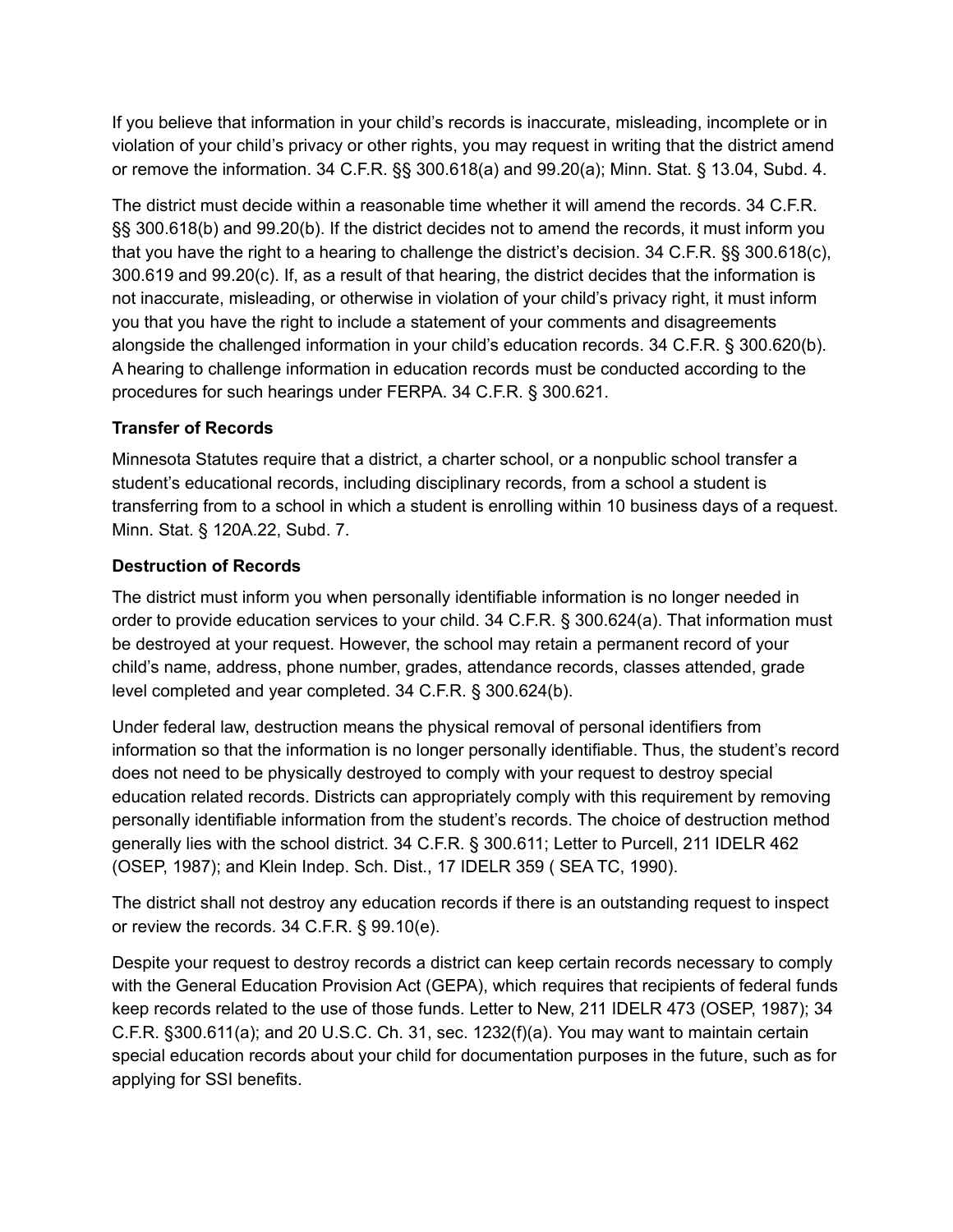If you believe that information in your child's records is inaccurate, misleading, incomplete or in violation of your child's privacy or other rights, you may request in writing that the district amend or remove the information. 34 C.F.R. §§ 300.618(a) and 99.20(a); Minn. Stat. § 13.04, Subd. 4.

The district must decide within a reasonable time whether it will amend the records. 34 C.F.R. §§ 300.618(b) and 99.20(b). If the district decides not to amend the records, it must inform you that you have the right to a hearing to challenge the district's decision. 34 C.F.R. §§ 300.618(c), 300.619 and 99.20(c). If, as a result of that hearing, the district decides that the information is not inaccurate, misleading, or otherwise in violation of your child's privacy right, it must inform you that you have the right to include a statement of your comments and disagreements alongside the challenged information in your child's education records. 34 C.F.R. § 300.620(b). A hearing to challenge information in education records must be conducted according to the procedures for such hearings under FERPA. 34 C.F.R. § 300.621.

#### **Transfer of Records**

Minnesota Statutes require that a district, a charter school, or a nonpublic school transfer a student's educational records, including disciplinary records, from a school a student is transferring from to a school in which a student is enrolling within 10 business days of a request. Minn. Stat. § 120A.22, Subd. 7.

#### **Destruction of Records**

The district must inform you when personally identifiable information is no longer needed in order to provide education services to your child. 34 C.F.R. § 300.624(a). That information must be destroyed at your request. However, the school may retain a permanent record of your child's name, address, phone number, grades, attendance records, classes attended, grade level completed and year completed. 34 C.F.R. § 300.624(b).

Under federal law, destruction means the physical removal of personal identifiers from information so that the information is no longer personally identifiable. Thus, the student's record does not need to be physically destroyed to comply with your request to destroy special education related records. Districts can appropriately comply with this requirement by removing personally identifiable information from the student's records. The choice of destruction method generally lies with the school district. 34 C.F.R. § 300.611; Letter to Purcell, 211 IDELR 462 (OSEP, 1987); and Klein Indep. Sch. Dist., 17 IDELR 359 ( SEA TC, 1990).

The district shall not destroy any education records if there is an outstanding request to inspect or review the records. 34 C.F.R. § 99.10(e).

Despite your request to destroy records a district can keep certain records necessary to comply with the General Education Provision Act (GEPA), which requires that recipients of federal funds keep records related to the use of those funds. Letter to New, 211 IDELR 473 (OSEP, 1987); 34 C.F.R. §300.611(a); and 20 U.S.C. Ch. 31, sec. 1232(f)(a). You may want to maintain certain special education records about your child for documentation purposes in the future, such as for applying for SSI benefits.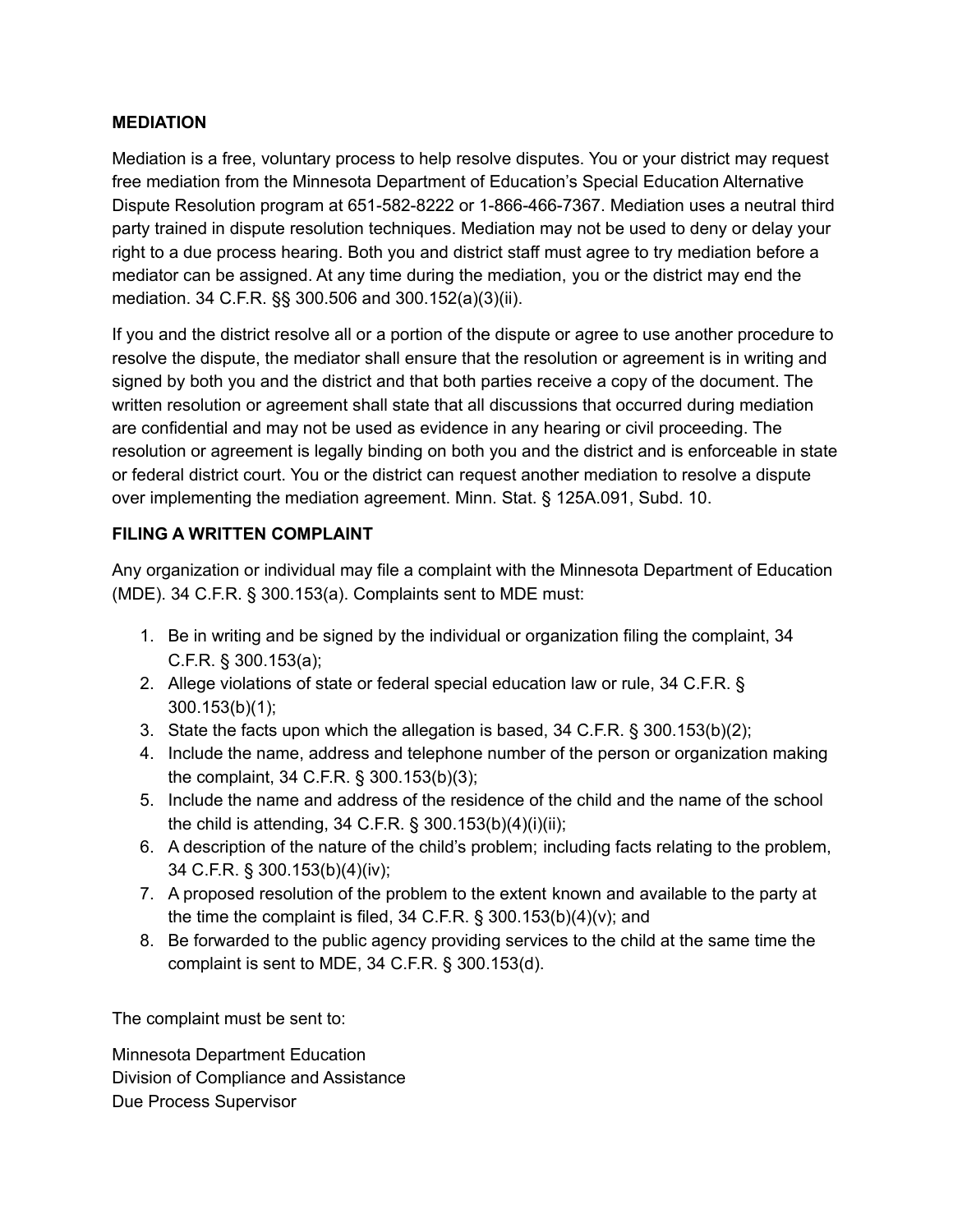#### **MEDIATION**

Mediation is a free, voluntary process to help resolve disputes. You or your district may request free mediation from the Minnesota Department of Education's Special Education Alternative Dispute Resolution program at 651-582-8222 or 1-866-466-7367. Mediation uses a neutral third party trained in dispute resolution techniques. Mediation may not be used to deny or delay your right to a due process hearing. Both you and district staff must agree to try mediation before a mediator can be assigned. At any time during the mediation, you or the district may end the mediation. 34 C.F.R. §§ 300.506 and 300.152(a)(3)(ii).

If you and the district resolve all or a portion of the dispute or agree to use another procedure to resolve the dispute, the mediator shall ensure that the resolution or agreement is in writing and signed by both you and the district and that both parties receive a copy of the document. The written resolution or agreement shall state that all discussions that occurred during mediation are confidential and may not be used as evidence in any hearing or civil proceeding. The resolution or agreement is legally binding on both you and the district and is enforceable in state or federal district court. You or the district can request another mediation to resolve a dispute over implementing the mediation agreement. Minn. Stat. § 125A.091, Subd. 10.

#### **FILING A WRITTEN COMPLAINT**

Any organization or individual may file a complaint with the Minnesota Department of Education (MDE). 34 C.F.R. § 300.153(a). Complaints sent to MDE must:

- 1. Be in writing and be signed by the individual or organization filing the complaint, 34 C.F.R. § 300.153(a);
- 2. Allege violations of state or federal special education law or rule, 34 C.F.R. § 300.153(b)(1);
- 3. State the facts upon which the allegation is based, 34 C.F.R. § 300.153(b)(2);
- 4. Include the name, address and telephone number of the person or organization making the complaint, 34 C.F.R. § 300.153(b)(3);
- 5. Include the name and address of the residence of the child and the name of the school the child is attending, 34 C.F.R. § 300.153(b)(4)(i)(ii);
- 6. A description of the nature of the child's problem; including facts relating to the problem, 34 C.F.R. § 300.153(b)(4)(iv);
- 7. A proposed resolution of the problem to the extent known and available to the party at the time the complaint is filed, 34 C.F.R.  $\S$  300.153(b)(4)(v); and
- 8. Be forwarded to the public agency providing services to the child at the same time the complaint is sent to MDE, 34 C.F.R. § 300.153(d).

The complaint must be sent to:

Minnesota Department Education Division of Compliance and Assistance Due Process Supervisor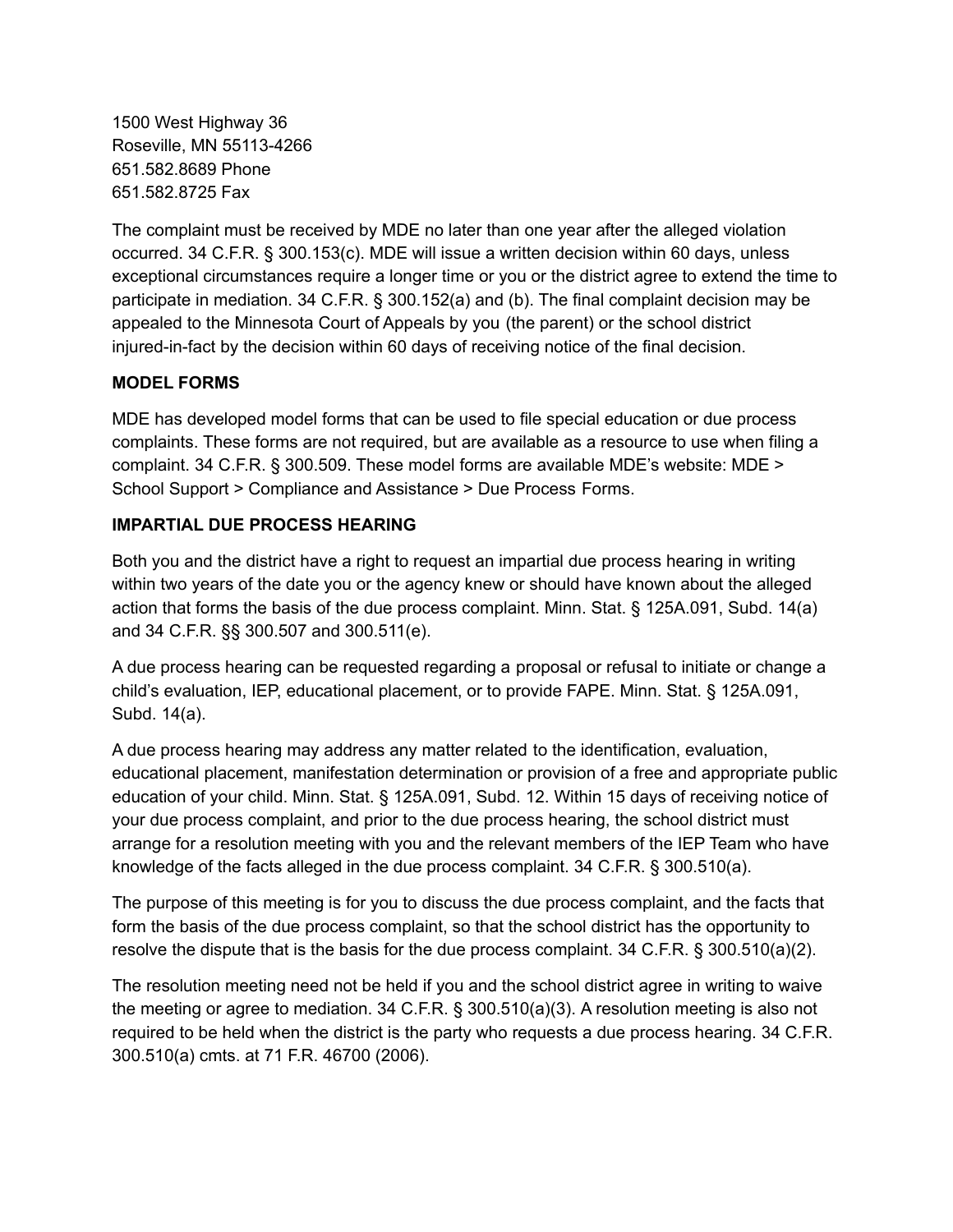1500 West Highway 36 Roseville, MN 55113-4266 651.582.8689 Phone 651.582.8725 Fax

The complaint must be received by MDE no later than one year after the alleged violation occurred. 34 C.F.R. § 300.153(c). MDE will issue a written decision within 60 days, unless exceptional circumstances require a longer time or you or the district agree to extend the time to participate in mediation. 34 C.F.R. § 300.152(a) and (b). The final complaint decision may be appealed to the Minnesota Court of Appeals by you (the parent) or the school district injured-in-fact by the decision within 60 days of receiving notice of the final decision.

#### **MODEL FORMS**

MDE has developed model forms that can be used to file special education or due process complaints. These forms are not required, but are available as a resource to use when filing a complaint. 34 C.F.R. § 300.509. These model forms are available MDE's website: MDE > School Support > Compliance and Assistance > Due Process Forms.

#### **IMPARTIAL DUE PROCESS HEARING**

Both you and the district have a right to request an impartial due process hearing in writing within two years of the date you or the agency knew or should have known about the alleged action that forms the basis of the due process complaint. Minn. Stat. § 125A.091, Subd. 14(a) and 34 C.F.R. §§ 300.507 and 300.511(e).

A due process hearing can be requested regarding a proposal or refusal to initiate or change a child's evaluation, IEP, educational placement, or to provide FAPE. Minn. Stat. § 125A.091, Subd. 14(a).

A due process hearing may address any matter related to the identification, evaluation, educational placement, manifestation determination or provision of a free and appropriate public education of your child. Minn. Stat. § 125A.091, Subd. 12. Within 15 days of receiving notice of your due process complaint, and prior to the due process hearing, the school district must arrange for a resolution meeting with you and the relevant members of the IEP Team who have knowledge of the facts alleged in the due process complaint. 34 C.F.R. § 300.510(a).

The purpose of this meeting is for you to discuss the due process complaint, and the facts that form the basis of the due process complaint, so that the school district has the opportunity to resolve the dispute that is the basis for the due process complaint. 34 C.F.R. § 300.510(a)(2).

The resolution meeting need not be held if you and the school district agree in writing to waive the meeting or agree to mediation. 34 C.F.R. § 300.510(a)(3). A resolution meeting is also not required to be held when the district is the party who requests a due process hearing. 34 C.F.R. 300.510(a) cmts. at 71 F.R. 46700 (2006).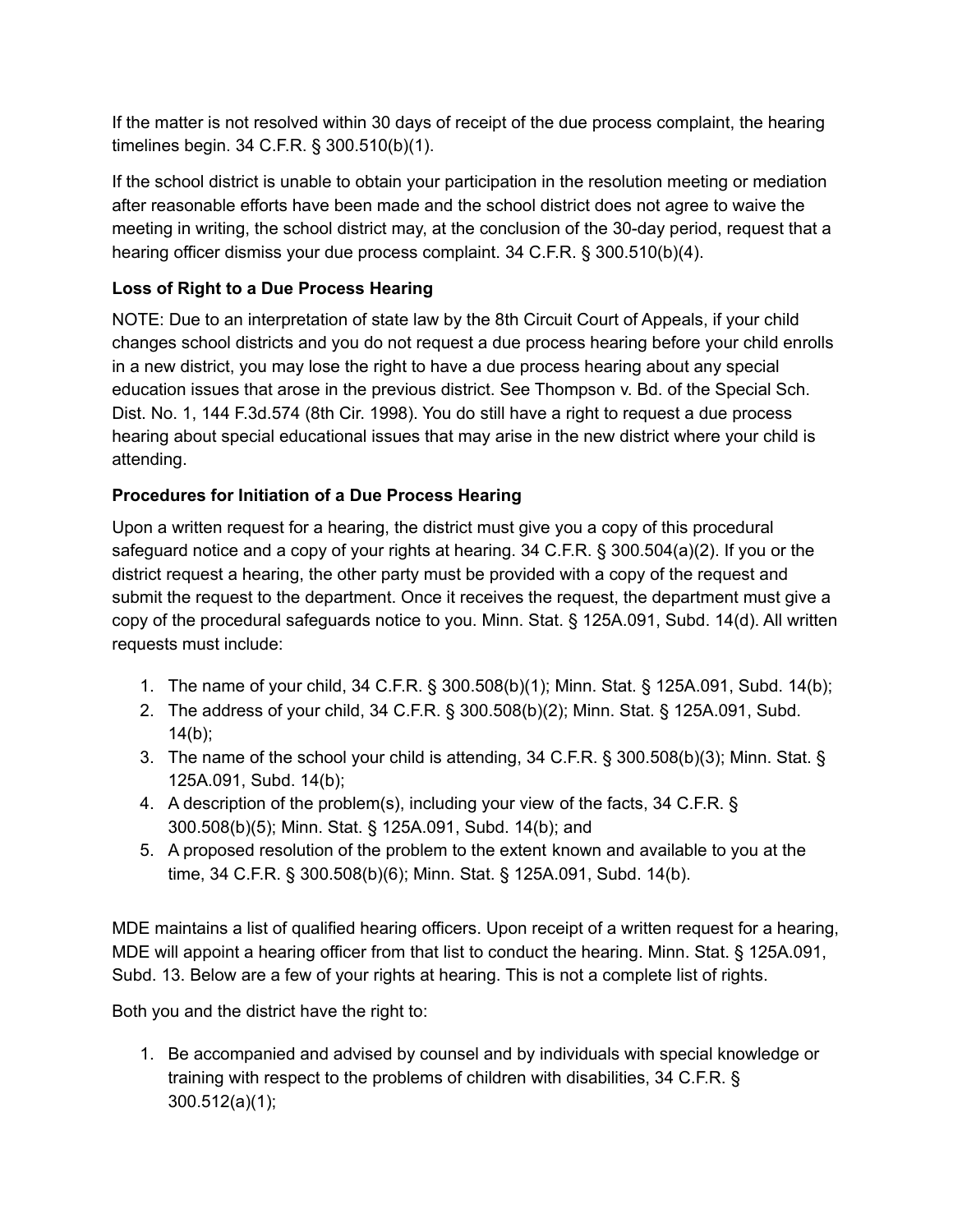If the matter is not resolved within 30 days of receipt of the due process complaint, the hearing timelines begin. 34 C.F.R. § 300.510(b)(1).

If the school district is unable to obtain your participation in the resolution meeting or mediation after reasonable efforts have been made and the school district does not agree to waive the meeting in writing, the school district may, at the conclusion of the 30-day period, request that a hearing officer dismiss your due process complaint. 34 C.F.R. § 300.510(b)(4).

#### **Loss of Right to a Due Process Hearing**

NOTE: Due to an interpretation of state law by the 8th Circuit Court of Appeals, if your child changes school districts and you do not request a due process hearing before your child enrolls in a new district, you may lose the right to have a due process hearing about any special education issues that arose in the previous district. See Thompson v. Bd. of the Special Sch. Dist. No. 1, 144 F.3d.574 (8th Cir. 1998). You do still have a right to request a due process hearing about special educational issues that may arise in the new district where your child is attending.

#### **Procedures for Initiation of a Due Process Hearing**

Upon a written request for a hearing, the district must give you a copy of this procedural safeguard notice and a copy of your rights at hearing. 34 C.F.R. § 300.504(a)(2). If you or the district request a hearing, the other party must be provided with a copy of the request and submit the request to the department. Once it receives the request, the department must give a copy of the procedural safeguards notice to you. Minn. Stat. § 125A.091, Subd. 14(d). All written requests must include:

- 1. The name of your child, 34 C.F.R. § 300.508(b)(1); Minn. Stat. § 125A.091, Subd. 14(b);
- 2. The address of your child, 34 C.F.R. § 300.508(b)(2); Minn. Stat. § 125A.091, Subd.  $14(b)$ ;
- 3. The name of the school your child is attending, 34 C.F.R. § 300.508(b)(3); Minn. Stat. § 125A.091, Subd. 14(b);
- 4. A description of the problem(s), including your view of the facts, 34 C.F.R. § 300.508(b)(5); Minn. Stat. § 125A.091, Subd. 14(b); and
- 5. A proposed resolution of the problem to the extent known and available to you at the time, 34 C.F.R. § 300.508(b)(6); Minn. Stat. § 125A.091, Subd. 14(b).

MDE maintains a list of qualified hearing officers. Upon receipt of a written request for a hearing, MDE will appoint a hearing officer from that list to conduct the hearing. Minn. Stat. § 125A.091, Subd. 13. Below are a few of your rights at hearing. This is not a complete list of rights.

Both you and the district have the right to:

1. Be accompanied and advised by counsel and by individuals with special knowledge or training with respect to the problems of children with disabilities, 34 C.F.R. § 300.512(a)(1);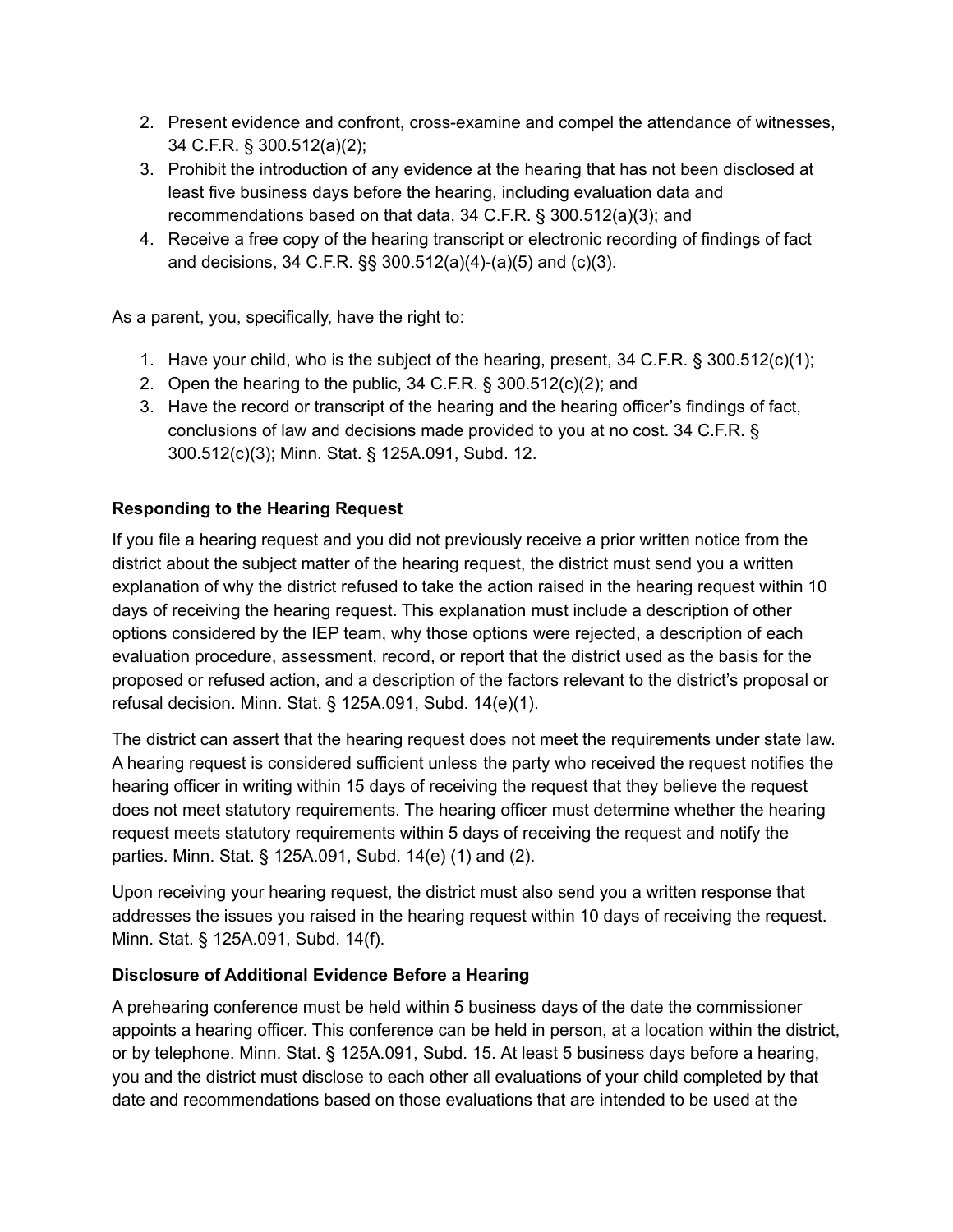- 2. Present evidence and confront, cross-examine and compel the attendance of witnesses, 34 C.F.R. § 300.512(a)(2);
- 3. Prohibit the introduction of any evidence at the hearing that has not been disclosed at least five business days before the hearing, including evaluation data and recommendations based on that data, 34 C.F.R. § 300.512(a)(3); and
- 4. Receive a free copy of the hearing transcript or electronic recording of findings of fact and decisions, 34 C.F.R. §§ 300.512(a)(4)-(a)(5) and (c)(3).

As a parent, you, specifically, have the right to:

- 1. Have your child, who is the subject of the hearing, present, 34 C.F.R. § 300.512(c)(1);
- 2. Open the hearing to the public, 34 C.F.R. § 300.512(c)(2); and
- 3. Have the record or transcript of the hearing and the hearing officer's findings of fact, conclusions of law and decisions made provided to you at no cost. 34 C.F.R. § 300.512(c)(3); Minn. Stat. § 125A.091, Subd. 12.

#### **Responding to the Hearing Request**

If you file a hearing request and you did not previously receive a prior written notice from the district about the subject matter of the hearing request, the district must send you a written explanation of why the district refused to take the action raised in the hearing request within 10 days of receiving the hearing request. This explanation must include a description of other options considered by the IEP team, why those options were rejected, a description of each evaluation procedure, assessment, record, or report that the district used as the basis for the proposed or refused action, and a description of the factors relevant to the district's proposal or refusal decision. Minn. Stat. § 125A.091, Subd. 14(e)(1).

The district can assert that the hearing request does not meet the requirements under state law. A hearing request is considered sufficient unless the party who received the request notifies the hearing officer in writing within 15 days of receiving the request that they believe the request does not meet statutory requirements. The hearing officer must determine whether the hearing request meets statutory requirements within 5 days of receiving the request and notify the parties. Minn. Stat. § 125A.091, Subd. 14(e) (1) and (2).

Upon receiving your hearing request, the district must also send you a written response that addresses the issues you raised in the hearing request within 10 days of receiving the request. Minn. Stat. § 125A.091, Subd. 14(f).

#### **Disclosure of Additional Evidence Before a Hearing**

A prehearing conference must be held within 5 business days of the date the commissioner appoints a hearing officer. This conference can be held in person, at a location within the district, or by telephone. Minn. Stat. § 125A.091, Subd. 15. At least 5 business days before a hearing, you and the district must disclose to each other all evaluations of your child completed by that date and recommendations based on those evaluations that are intended to be used at the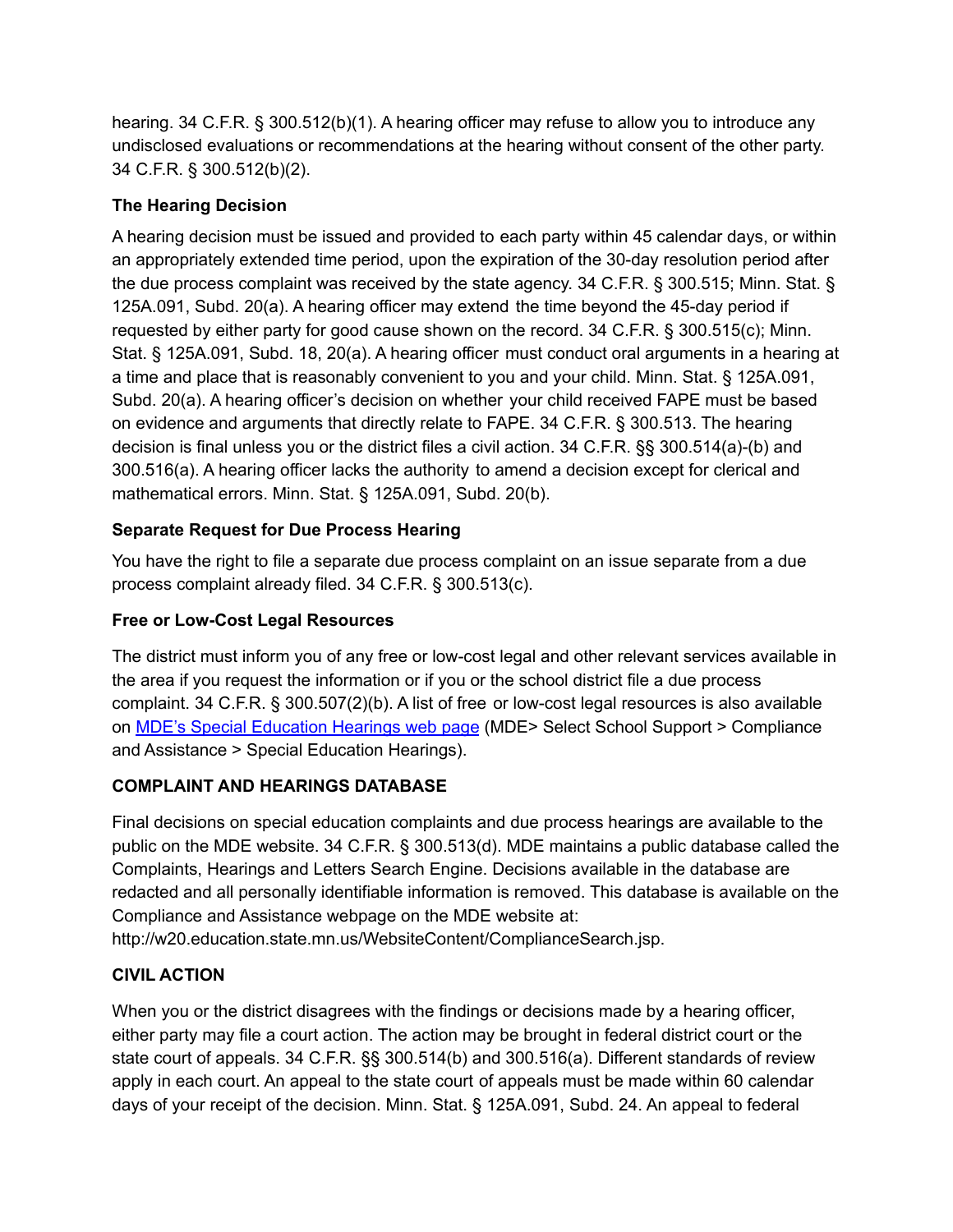hearing. 34 C.F.R. § 300.512(b)(1). A hearing officer may refuse to allow you to introduce any undisclosed evaluations or recommendations at the hearing without consent of the other party. 34 C.F.R. § 300.512(b)(2).

#### **The Hearing Decision**

A hearing decision must be issued and provided to each party within 45 calendar days, or within an appropriately extended time period, upon the expiration of the 30-day resolution period after the due process complaint was received by the state agency. 34 C.F.R. § 300.515; Minn. Stat. § 125A.091, Subd. 20(a). A hearing officer may extend the time beyond the 45-day period if requested by either party for good cause shown on the record. 34 C.F.R. § 300.515(c); Minn. Stat. § 125A.091, Subd. 18, 20(a). A hearing officer must conduct oral arguments in a hearing at a time and place that is reasonably convenient to you and your child. Minn. Stat. § 125A.091, Subd. 20(a). A hearing officer's decision on whether your child received FAPE must be based on evidence and arguments that directly relate to FAPE. 34 C.F.R. § 300.513. The hearing decision is final unless you or the district files a civil action. 34 C.F.R. §§ 300.514(a)-(b) and 300.516(a). A hearing officer lacks the authority to amend a decision except for clerical and mathematical errors. Minn. Stat. § 125A.091, Subd. 20(b).

#### **Separate Request for Due Process Hearing**

You have the right to file a separate due process complaint on an issue separate from a due process complaint already filed. 34 C.F.R. § 300.513(c).

#### **Free or Low-Cost Legal Resources**

The district must inform you of any free or low-cost legal and other relevant services available in the area if you request the information or if you or the school district file a due process complaint. 34 C.F.R. § 300.507(2)(b). A list of free or low-cost legal resources is also available on MDE's Special [Education](http://education.state.mn.us/MDE/SchSup/ComplAssist/Hearing/index.html) Hearings web page (MDE> Select School Support > Compliance and Assistance > Special Education Hearings).

#### **COMPLAINT AND HEARINGS DATABASE**

Final decisions on special education complaints and due process hearings are available to the public on the MDE website. 34 C.F.R. § 300.513(d). MDE maintains a public database called the Complaints, Hearings and Letters Search Engine. Decisions available in the database are redacted and all personally identifiable information is removed. This database is available on the Compliance and Assistance webpage on the MDE website at:

http://w20.education.state.mn.us/WebsiteContent/ComplianceSearch.jsp.

#### **CIVIL ACTION**

When you or the district disagrees with the findings or decisions made by a hearing officer, either party may file a court action. The action may be brought in federal district court or the state court of appeals. 34 C.F.R. §§ 300.514(b) and 300.516(a). Different standards of review apply in each court. An appeal to the state court of appeals must be made within 60 calendar days of your receipt of the decision. Minn. Stat. § 125A.091, Subd. 24. An appeal to federal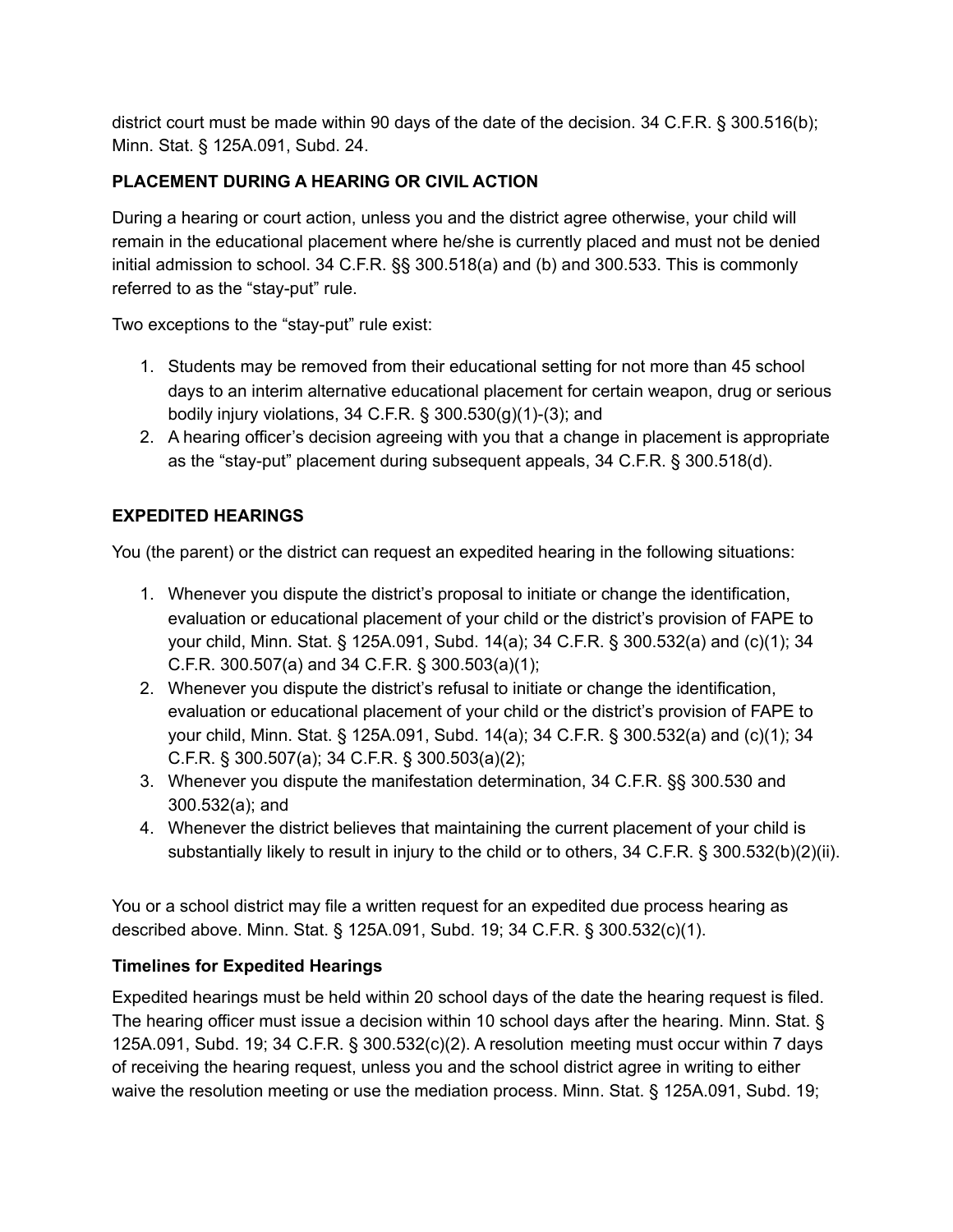district court must be made within 90 days of the date of the decision. 34 C.F.R. § 300.516(b); Minn. Stat. § 125A.091, Subd. 24.

#### **PLACEMENT DURING A HEARING OR CIVIL ACTION**

During a hearing or court action, unless you and the district agree otherwise, your child will remain in the educational placement where he/she is currently placed and must not be denied initial admission to school. 34 C.F.R. §§ 300.518(a) and (b) and 300.533. This is commonly referred to as the "stay-put" rule.

Two exceptions to the "stay-put" rule exist:

- 1. Students may be removed from their educational setting for not more than 45 school days to an interim alternative educational placement for certain weapon, drug or serious bodily injury violations, 34 C.F.R. § 300.530(g)(1)-(3); and
- 2. A hearing officer's decision agreeing with you that a change in placement is appropriate as the "stay-put" placement during subsequent appeals, 34 C.F.R. § 300.518(d).

#### **EXPEDITED HEARINGS**

You (the parent) or the district can request an expedited hearing in the following situations:

- 1. Whenever you dispute the district's proposal to initiate or change the identification, evaluation or educational placement of your child or the district's provision of FAPE to your child, Minn. Stat. § 125A.091, Subd. 14(a); 34 C.F.R. § 300.532(a) and (c)(1); 34 C.F.R. 300.507(a) and 34 C.F.R. § 300.503(a)(1);
- 2. Whenever you dispute the district's refusal to initiate or change the identification, evaluation or educational placement of your child or the district's provision of FAPE to your child, Minn. Stat. § 125A.091, Subd. 14(a); 34 C.F.R. § 300.532(a) and (c)(1); 34 C.F.R. § 300.507(a); 34 C.F.R. § 300.503(a)(2);
- 3. Whenever you dispute the manifestation determination, 34 C.F.R. §§ 300.530 and 300.532(a); and
- 4. Whenever the district believes that maintaining the current placement of your child is substantially likely to result in injury to the child or to others, 34 C.F.R. § 300.532(b)(2)(ii).

You or a school district may file a written request for an expedited due process hearing as described above. Minn. Stat. § 125A.091, Subd. 19; 34 C.F.R. § 300.532(c)(1).

#### **Timelines for Expedited Hearings**

Expedited hearings must be held within 20 school days of the date the hearing request is filed. The hearing officer must issue a decision within 10 school days after the hearing. Minn. Stat. § 125A.091, Subd. 19; 34 C.F.R. § 300.532(c)(2). A resolution meeting must occur within 7 days of receiving the hearing request, unless you and the school district agree in writing to either waive the resolution meeting or use the mediation process. Minn. Stat. § 125A.091, Subd. 19;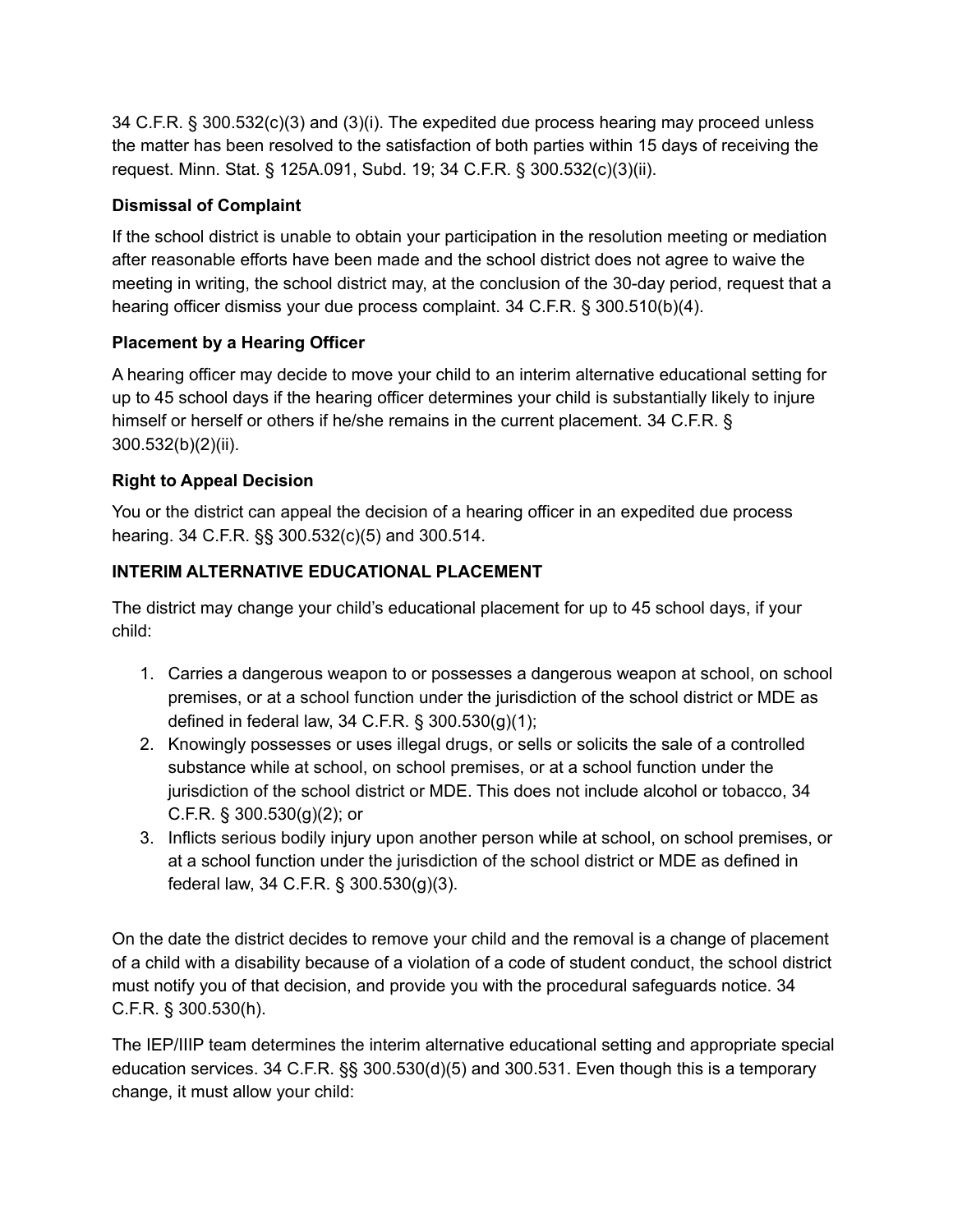34 C.F.R. § 300.532(c)(3) and (3)(i). The expedited due process hearing may proceed unless the matter has been resolved to the satisfaction of both parties within 15 days of receiving the request. Minn. Stat. § 125A.091, Subd. 19; 34 C.F.R. § 300.532(c)(3)(ii).

#### **Dismissal of Complaint**

If the school district is unable to obtain your participation in the resolution meeting or mediation after reasonable efforts have been made and the school district does not agree to waive the meeting in writing, the school district may, at the conclusion of the 30-day period, request that a hearing officer dismiss your due process complaint. 34 C.F.R. § 300.510(b)(4).

#### **Placement by a Hearing Officer**

A hearing officer may decide to move your child to an interim alternative educational setting for up to 45 school days if the hearing officer determines your child is substantially likely to injure himself or herself or others if he/she remains in the current placement. 34 C.F.R. § 300.532(b)(2)(ii).

#### **Right to Appeal Decision**

You or the district can appeal the decision of a hearing officer in an expedited due process hearing. 34 C.F.R. §§ 300.532(c)(5) and 300.514.

#### **INTERIM ALTERNATIVE EDUCATIONAL PLACEMENT**

The district may change your child's educational placement for up to 45 school days, if your child:

- 1. Carries a dangerous weapon to or possesses a dangerous weapon at school, on school premises, or at a school function under the jurisdiction of the school district or MDE as defined in federal law, 34 C.F.R. § 300.530(g)(1);
- 2. Knowingly possesses or uses illegal drugs, or sells or solicits the sale of a controlled substance while at school, on school premises, or at a school function under the jurisdiction of the school district or MDE. This does not include alcohol or tobacco, 34 C.F.R. § 300.530(g)(2); or
- 3. Inflicts serious bodily injury upon another person while at school, on school premises, or at a school function under the jurisdiction of the school district or MDE as defined in federal law, 34 C.F.R. § 300.530(g)(3).

On the date the district decides to remove your child and the removal is a change of placement of a child with a disability because of a violation of a code of student conduct, the school district must notify you of that decision, and provide you with the procedural safeguards notice. 34 C.F.R. § 300.530(h).

The IEP/IIIP team determines the interim alternative educational setting and appropriate special education services. 34 C.F.R. §§ 300.530(d)(5) and 300.531. Even though this is a temporary change, it must allow your child: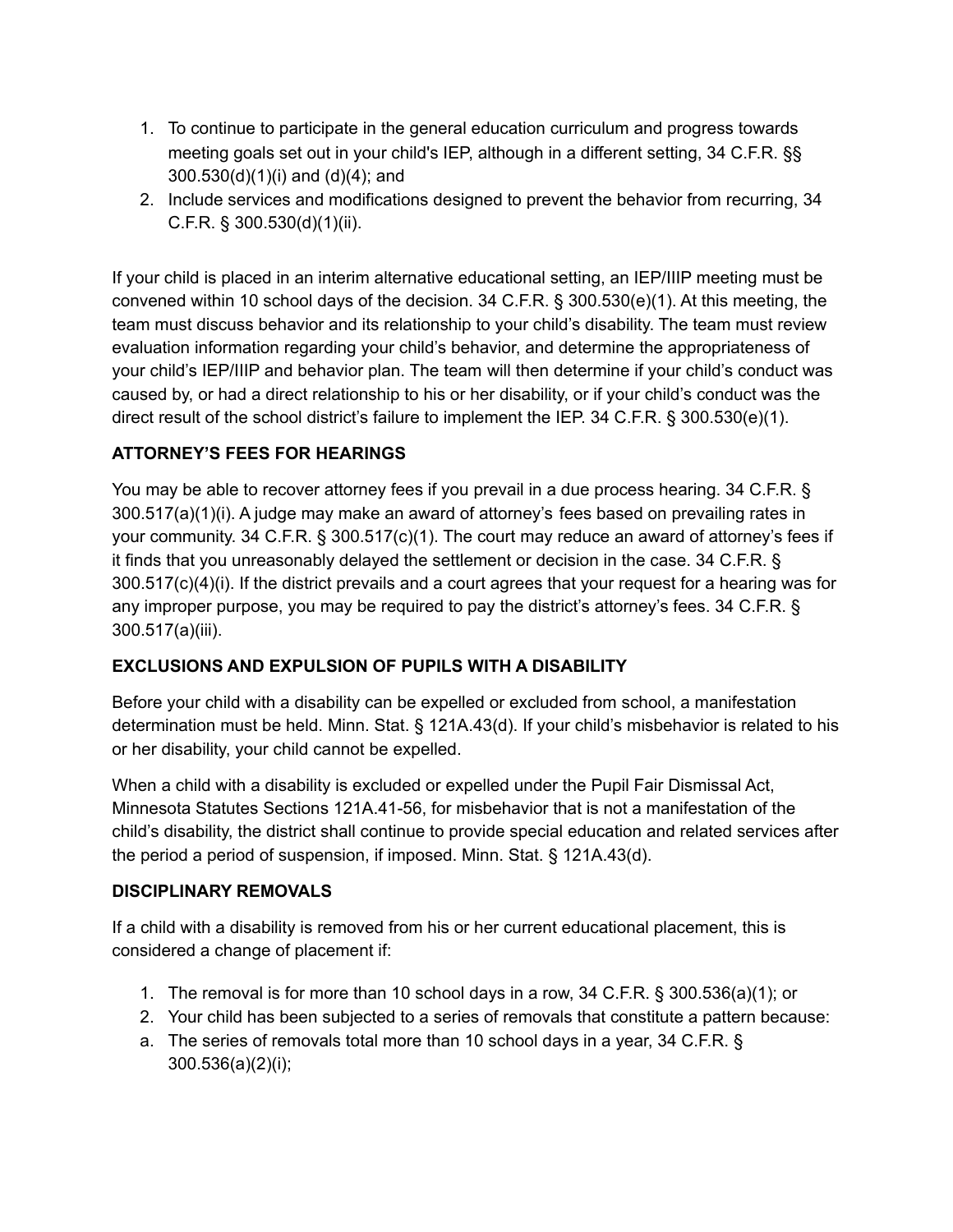- 1. To continue to participate in the general education curriculum and progress towards meeting goals set out in your child's IEP, although in a different setting, 34 C.F.R. §§ 300.530(d)(1)(i) and (d)(4); and
- 2. Include services and modifications designed to prevent the behavior from recurring, 34 C.F.R. § 300.530(d)(1)(ii).

If your child is placed in an interim alternative educational setting, an IEP/IIIP meeting must be convened within 10 school days of the decision. 34 C.F.R. § 300.530(e)(1). At this meeting, the team must discuss behavior and its relationship to your child's disability. The team must review evaluation information regarding your child's behavior, and determine the appropriateness of your child's IEP/IIIP and behavior plan. The team will then determine if your child's conduct was caused by, or had a direct relationship to his or her disability, or if your child's conduct was the direct result of the school district's failure to implement the IEP. 34 C.F.R. § 300.530(e)(1).

#### **ATTORNEY'S FEES FOR HEARINGS**

You may be able to recover attorney fees if you prevail in a due process hearing. 34 C.F.R. § 300.517(a)(1)(i). A judge may make an award of attorney's fees based on prevailing rates in your community. 34 C.F.R. § 300.517(c)(1). The court may reduce an award of attorney's fees if it finds that you unreasonably delayed the settlement or decision in the case. 34 C.F.R. § 300.517(c)(4)(i). If the district prevails and a court agrees that your request for a hearing was for any improper purpose, you may be required to pay the district's attorney's fees. 34 C.F.R. § 300.517(a)(iii).

#### **EXCLUSIONS AND EXPULSION OF PUPILS WITH A DISABILITY**

Before your child with a disability can be expelled or excluded from school, a manifestation determination must be held. Minn. Stat. § 121A.43(d). If your child's misbehavior is related to his or her disability, your child cannot be expelled.

When a child with a disability is excluded or expelled under the Pupil Fair Dismissal Act, Minnesota Statutes Sections 121A.41-56, for misbehavior that is not a manifestation of the child's disability, the district shall continue to provide special education and related services after the period a period of suspension, if imposed. Minn. Stat. § 121A.43(d).

#### **DISCIPLINARY REMOVALS**

If a child with a disability is removed from his or her current educational placement, this is considered a change of placement if:

- 1. The removal is for more than 10 school days in a row, 34 C.F.R. § 300.536(a)(1); or
- 2. Your child has been subjected to a series of removals that constitute a pattern because:
- a. The series of removals total more than 10 school days in a year, 34 C.F.R. § 300.536(a)(2)(i);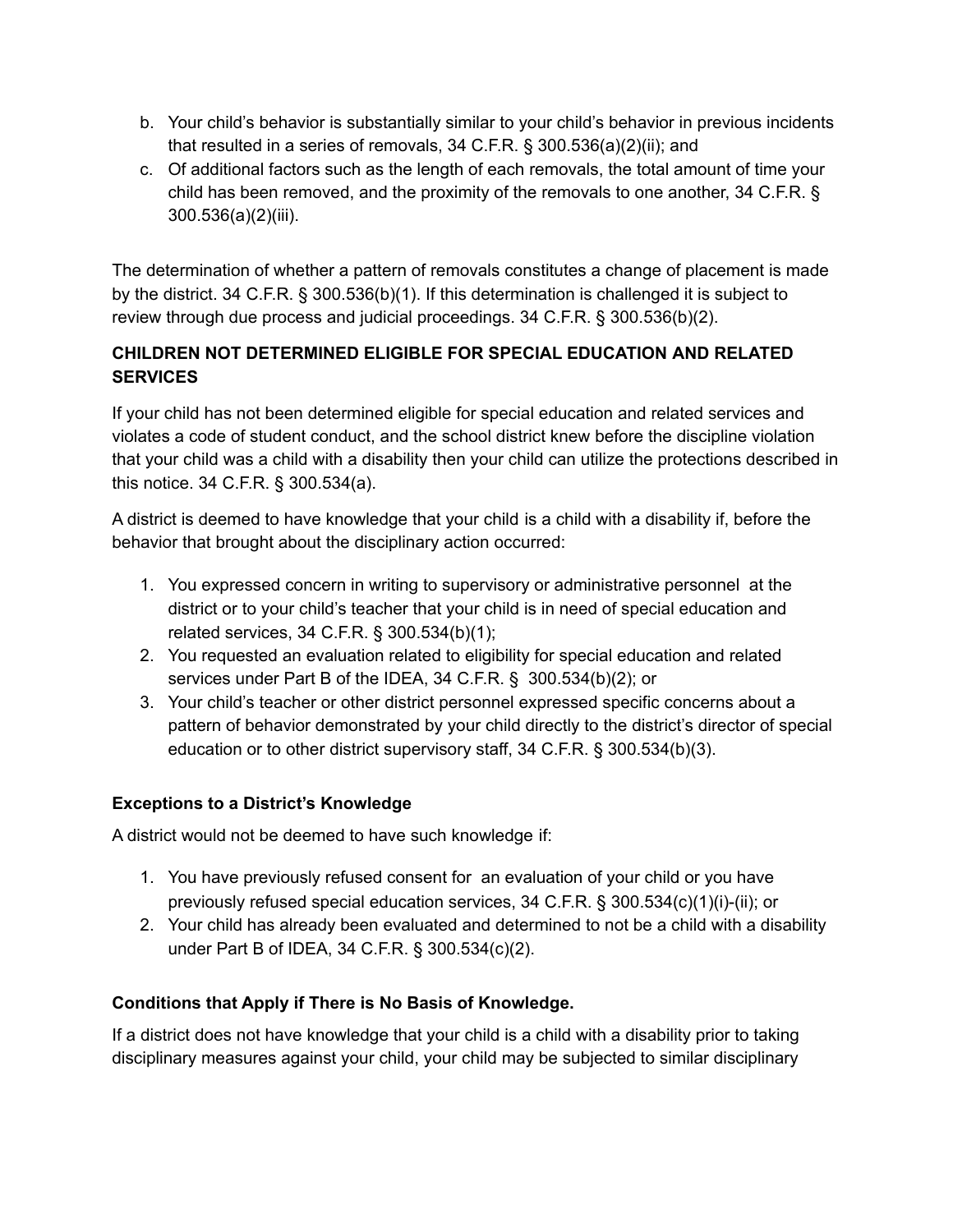- b. Your child's behavior is substantially similar to your child's behavior in previous incidents that resulted in a series of removals, 34 C.F.R. § 300.536(a)(2)(ii); and
- c. Of additional factors such as the length of each removals, the total amount of time your child has been removed, and the proximity of the removals to one another, 34 C.F.R. § 300.536(a)(2)(iii).

The determination of whether a pattern of removals constitutes a change of placement is made by the district. 34 C.F.R. § 300.536(b)(1). If this determination is challenged it is subject to review through due process and judicial proceedings. 34 C.F.R. § 300.536(b)(2).

#### **CHILDREN NOT DETERMINED ELIGIBLE FOR SPECIAL EDUCATION AND RELATED SERVICES**

If your child has not been determined eligible for special education and related services and violates a code of student conduct, and the school district knew before the discipline violation that your child was a child with a disability then your child can utilize the protections described in this notice. 34 C.F.R. § 300.534(a).

A district is deemed to have knowledge that your child is a child with a disability if, before the behavior that brought about the disciplinary action occurred:

- 1. You expressed concern in writing to supervisory or administrative personnel at the district or to your child's teacher that your child is in need of special education and related services, 34 C.F.R. § 300.534(b)(1);
- 2. You requested an evaluation related to eligibility for special education and related services under Part B of the IDEA, 34 C.F.R. § 300.534(b)(2); or
- 3. Your child's teacher or other district personnel expressed specific concerns about a pattern of behavior demonstrated by your child directly to the district's director of special education or to other district supervisory staff, 34 C.F.R. § 300.534(b)(3).

#### **Exceptions to a District's Knowledge**

A district would not be deemed to have such knowledge if:

- 1. You have previously refused consent for an evaluation of your child or you have previously refused special education services, 34 C.F.R. § 300.534(c)(1)(i)-(ii); or
- 2. Your child has already been evaluated and determined to not be a child with a disability under Part B of IDEA, 34 C.F.R. § 300.534(c)(2).

#### **Conditions that Apply if There is No Basis of Knowledge.**

If a district does not have knowledge that your child is a child with a disability prior to taking disciplinary measures against your child, your child may be subjected to similar disciplinary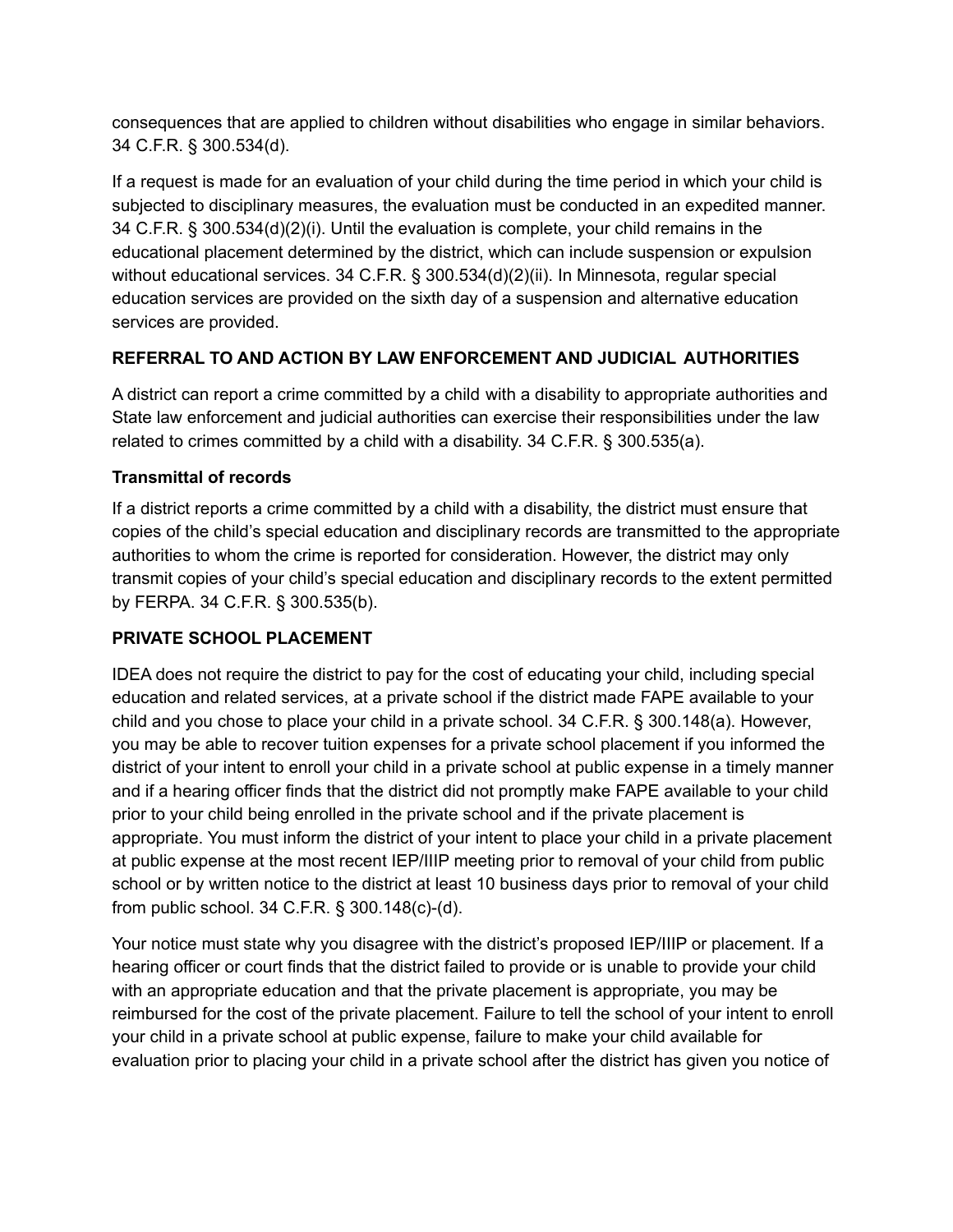consequences that are applied to children without disabilities who engage in similar behaviors. 34 C.F.R. § 300.534(d).

If a request is made for an evaluation of your child during the time period in which your child is subjected to disciplinary measures, the evaluation must be conducted in an expedited manner. 34 C.F.R. § 300.534(d)(2)(i). Until the evaluation is complete, your child remains in the educational placement determined by the district, which can include suspension or expulsion without educational services. 34 C.F.R. § 300.534(d)(2)(ii). In Minnesota, regular special education services are provided on the sixth day of a suspension and alternative education services are provided.

#### **REFERRAL TO AND ACTION BY LAW ENFORCEMENT AND JUDICIAL AUTHORITIES**

A district can report a crime committed by a child with a disability to appropriate authorities and State law enforcement and judicial authorities can exercise their responsibilities under the law related to crimes committed by a child with a disability. 34 C.F.R. § 300.535(a).

#### **Transmittal of records**

If a district reports a crime committed by a child with a disability, the district must ensure that copies of the child's special education and disciplinary records are transmitted to the appropriate authorities to whom the crime is reported for consideration. However, the district may only transmit copies of your child's special education and disciplinary records to the extent permitted by FERPA. 34 C.F.R. § 300.535(b).

#### **PRIVATE SCHOOL PLACEMENT**

IDEA does not require the district to pay for the cost of educating your child, including special education and related services, at a private school if the district made FAPE available to your child and you chose to place your child in a private school. 34 C.F.R. § 300.148(a). However, you may be able to recover tuition expenses for a private school placement if you informed the district of your intent to enroll your child in a private school at public expense in a timely manner and if a hearing officer finds that the district did not promptly make FAPE available to your child prior to your child being enrolled in the private school and if the private placement is appropriate. You must inform the district of your intent to place your child in a private placement at public expense at the most recent IEP/IIIP meeting prior to removal of your child from public school or by written notice to the district at least 10 business days prior to removal of your child from public school. 34 C.F.R. § 300.148(c)-(d).

Your notice must state why you disagree with the district's proposed IEP/IIIP or placement. If a hearing officer or court finds that the district failed to provide or is unable to provide your child with an appropriate education and that the private placement is appropriate, you may be reimbursed for the cost of the private placement. Failure to tell the school of your intent to enroll your child in a private school at public expense, failure to make your child available for evaluation prior to placing your child in a private school after the district has given you notice of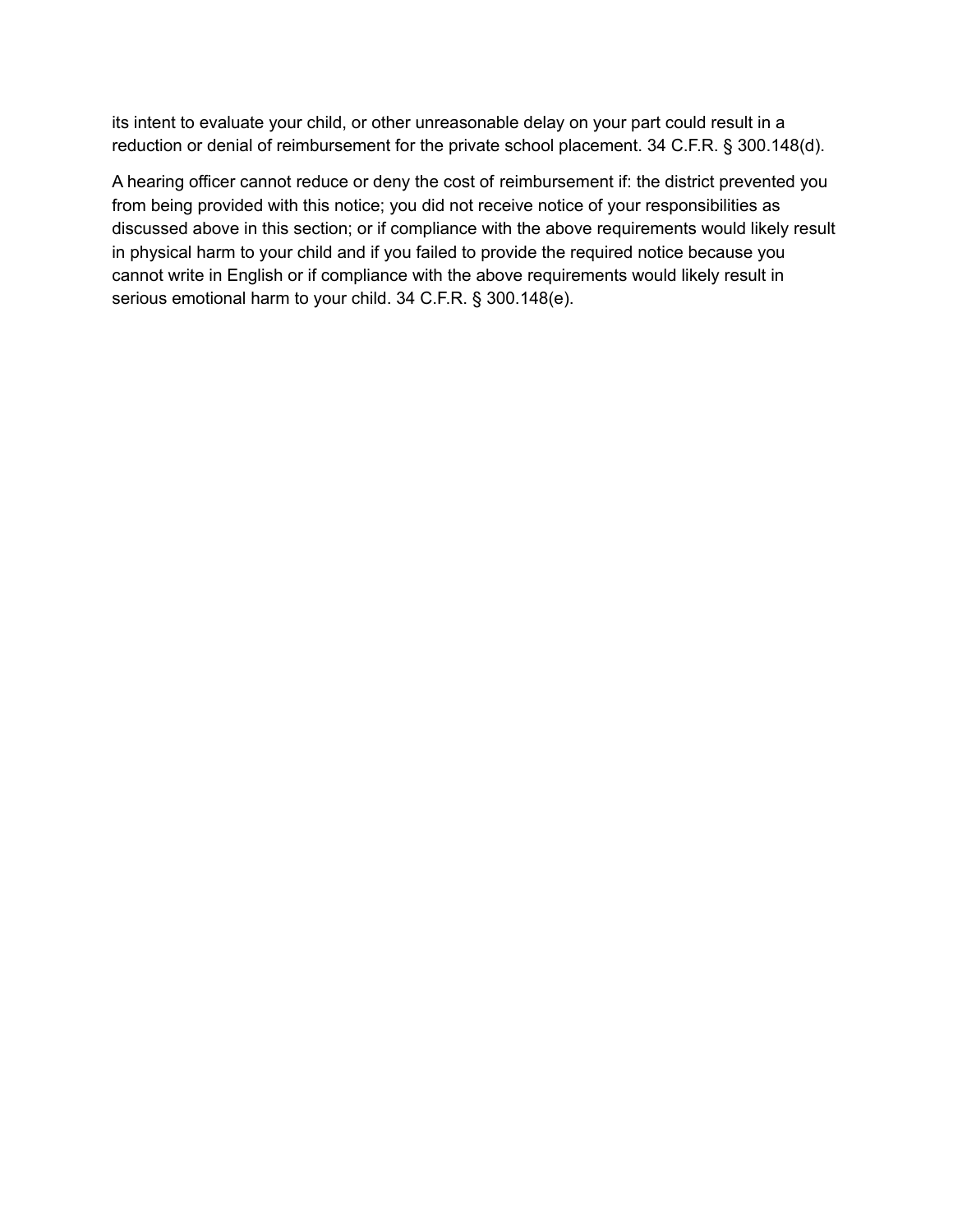its intent to evaluate your child, or other unreasonable delay on your part could result in a reduction or denial of reimbursement for the private school placement. 34 C.F.R. § 300.148(d).

A hearing officer cannot reduce or deny the cost of reimbursement if: the district prevented you from being provided with this notice; you did not receive notice of your responsibilities as discussed above in this section; or if compliance with the above requirements would likely result in physical harm to your child and if you failed to provide the required notice because you cannot write in English or if compliance with the above requirements would likely result in serious emotional harm to your child. 34 C.F.R. § 300.148(e).